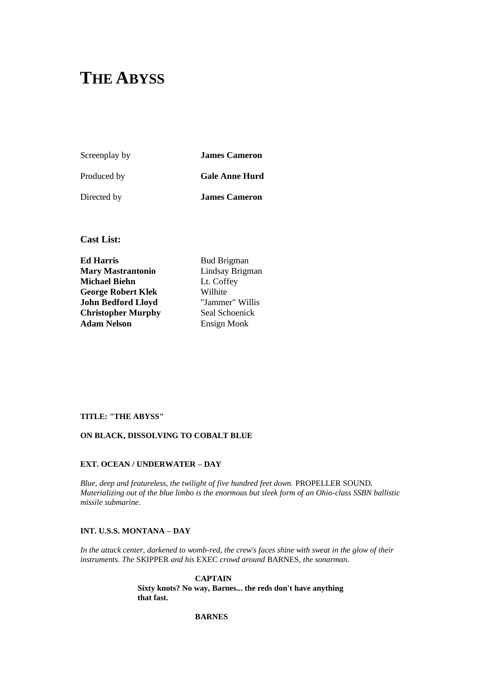# **THE ABYSS**

Screenplay by **James Cameron** Produced by **Gale Anne Hurd** Directed by **James Cameron**

**Cast List:** 

**Ed Harris** Bud Brigman **Mary Mastrantonio** Lindsay Brigman **Michael Biehn** Lt. Coffey **George Robert Klek** Wilhite **John Bedford Lloyd** "Jammer" Willis **Christopher Murphy** Seal Schoenick Adam Nelson<br>
Ensign Monk

## **TITLE: "THE ABYSS"**

## **ON BLACK, DISSOLVING TO COBALT BLUE**

## **EXT. OCEAN / UNDERWATER – DAY**

*Blue, deep and featureless, the twilight of five hundred feet down.* PROPELLER SOUND*. Materializing out of the blue limbo is the enormous but sleek form of an Ohio-class SSBN ballistic missile submarine.*

### **INT. U.S.S. MONTANA – DAY**

*In the attack center, darkened to womb-red, the crew's faces shine with sweat in the glow of their instruments. The* SKIPPER *and his* EXEC *crowd around* BARNES*, the sonarman.*

> **CAPTAIN Sixty knots? No way, Barnes... the reds don't have anything that fast.**

### **BARNES**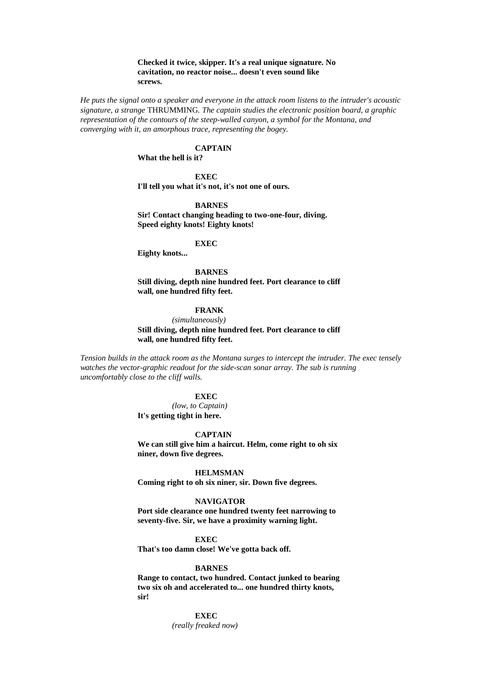### **Checked it twice, skipper. It's a real unique signature. No cavitation, no reactor noise... doesn't even sound like screws.**

*He puts the signal onto a speaker and everyone in the attack room listens to the intruder's acoustic signature, a strange* THRUMMING*. The captain studies the electronic position board, a graphic representation of the contours of the steep-walled canyon, a symbol for the Montana, and converging with it, an amorphous trace, representing the bogey.*

### **CAPTAIN**

**What the hell is it?**

### **EXEC**

**I'll tell you what it's not, it's not one of ours.**

### **BARNES**

**Sir! Contact changing heading to two-one-four, diving. Speed eighty knots! Eighty knots!**

### **EXEC**

**Eighty knots...**

**BARNES Still diving, depth nine hundred feet. Port clearance to cliff wall, one hundred fifty feet.**

### **FRANK**

*(simultaneously)* **Still diving, depth nine hundred feet. Port clearance to cliff wall, one hundred fifty feet.**

*Tension builds in the attack room as the Montana surges to intercept the intruder. The exec tensely watches the vector-graphic readout for the side-scan sonar array. The sub is running uncomfortably close to the cliff walls.*

### **EXEC**

*(low, to Captain)* **It's getting tight in here.**

#### **CAPTAIN**

**We can still give him a haircut. Helm, come right to oh six niner, down five degrees.**

### **HELMSMAN**

**Coming right to oh six niner, sir. Down five degrees.**

#### **NAVIGATOR**

**Port side clearance one hundred twenty feet narrowing to seventy-five. Sir, we have a proximity warning light.**

### **EXEC**

**That's too damn close! We've gotta back off.**

#### **BARNES**

**Range to contact, two hundred. Contact junked to bearing two six oh and accelerated to... one hundred thirty knots, sir!**

> **EXEC** *(really freaked now)*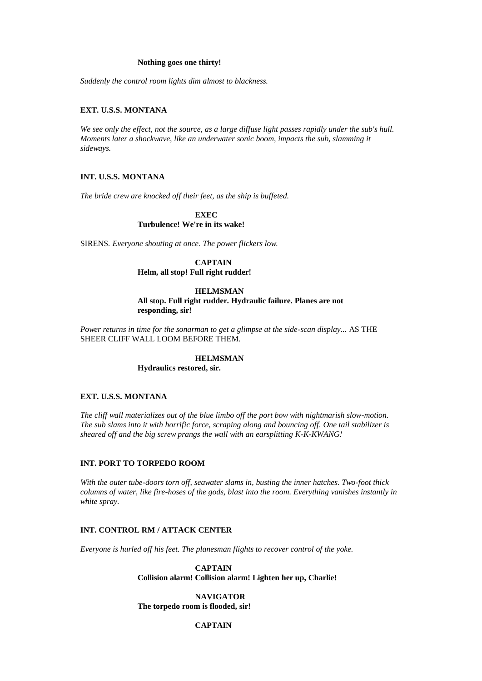### **Nothing goes one thirty!**

*Suddenly the control room lights dim almost to blackness.*

### **EXT. U.S.S. MONTANA**

*We see only the effect, not the source, as a large diffuse light passes rapidly under the sub's hull. Moments later a shockwave, like an underwater sonic boom, impacts the sub, slamming it sideways.*

### **INT. U.S.S. MONTANA**

*The bride crew are knocked off their feet, as the ship is buffeted.*

**EXEC Turbulence! We're in its wake!**

SIRENS*. Everyone shouting at once. The power flickers low.*

### **CAPTAIN**

**Helm, all stop! Full right rudder!**

### **HELMSMAN**

**All stop. Full right rudder. Hydraulic failure. Planes are not responding, sir!**

*Power returns in time for the sonarman to get a glimpse at the side-scan display...* AS THE SHEER CLIFF WALL LOOM BEFORE THEM*.*

#### **HELMSMAN**

**Hydraulics restored, sir.**

### **EXT. U.S.S. MONTANA**

*The cliff wall materializes out of the blue limbo off the port bow with nightmarish slow-motion. The sub slams into it with horrific force, scraping along and bouncing off. One tail stabilizer is sheared off and the big screw prangs the wall with an earsplitting K-K-KWANG!*

#### **INT. PORT TO TORPEDO ROOM**

*With the outer tube-doors torn off, seawater slams in, busting the inner hatches. Two-foot thick columns of water, like fire-hoses of the gods, blast into the room. Everything vanishes instantly in white spray.*

## **INT. CONTROL RM / ATTACK CENTER**

*Everyone is hurled off his feet. The planesman flights to recover control of the yoke.*

**CAPTAIN Collision alarm! Collision alarm! Lighten her up, Charlie!**

**NAVIGATOR The torpedo room is flooded, sir!**

## **CAPTAIN**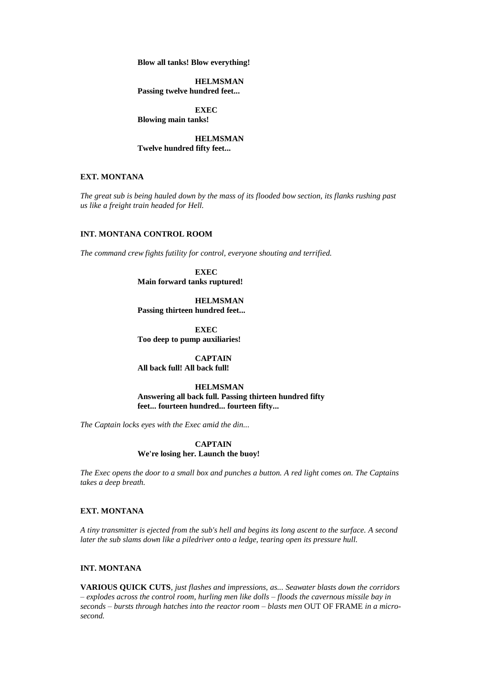**Blow all tanks! Blow everything!**

**HELMSMAN Passing twelve hundred feet...**

**EXEC Blowing main tanks!**

**HELMSMAN Twelve hundred fifty feet...**

## **EXT. MONTANA**

*The great sub is being hauled down by the mass of its flooded bow section, its flanks rushing past us like a freight train headed for Hell.*

## **INT. MONTANA CONTROL ROOM**

*The command crew fights futility for control, everyone shouting and terrified.*

**EXEC Main forward tanks ruptured!**

**HELMSMAN Passing thirteen hundred feet...**

**EXEC Too deep to pump auxiliaries!**

**CAPTAIN All back full! All back full!**

**HELMSMAN Answering all back full. Passing thirteen hundred fifty feet... fourteen hundred... fourteen fifty...**

*The Captain locks eyes with the Exec amid the din...*

**CAPTAIN We're losing her. Launch the buoy!**

*The Exec opens the door to a small box and punches a button. A red light comes on. The Captains takes a deep breath.*

### **EXT. MONTANA**

*A tiny transmitter is ejected from the sub's hell and begins its long ascent to the surface. A second later the sub slams down like a piledriver onto a ledge, tearing open its pressure hull.*

### **INT. MONTANA**

**VARIOUS QUICK CUTS***, just flashes and impressions, as... Seawater blasts down the corridors – explodes across the control room, hurling men like dolls – floods the cavernous missile bay in seconds – bursts through hatches into the reactor room – blasts men* OUT OF FRAME *in a microsecond.*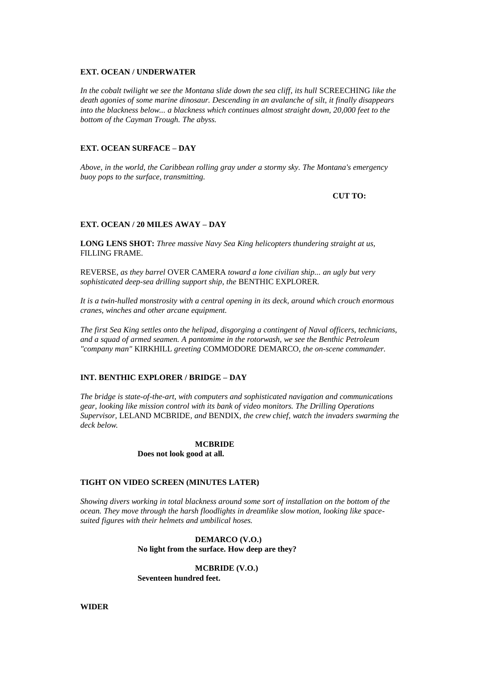### **EXT. OCEAN / UNDERWATER**

In the cobalt twilight we see the Montana slide down the sea cliff, its hull SCREECHING like the *death agonies of some marine dinosaur. Descending in an avalanche of silt, it finally disappears into the blackness below... a blackness which continues almost straight down, 20,000 feet to the bottom of the Cayman Trough. The abyss.*

### **EXT. OCEAN SURFACE – DAY**

*Above, in the world, the Caribbean rolling gray under a stormy sky. The Montana's emergency buoy pops to the surface, transmitting.*

**CUT TO:**

### **EXT. OCEAN / 20 MILES AWAY – DAY**

**LONG LENS SHOT:** *Three massive Navy Sea King helicopters thundering straight at us,*  FILLING FRAME*.*

REVERSE*, as they barrel* OVER CAMERA *toward a lone civilian ship... an ugly but very sophisticated deep-sea drilling support ship, the* BENTHIC EXPLORER*.*

*It is a twin-hulled monstrosity with a central opening in its deck, around which crouch enormous cranes, winches and other arcane equipment.*

*The first Sea King settles onto the helipad, disgorging a contingent of Naval officers, technicians, and a squad of armed seamen. A pantomime in the rotorwash, we see the Benthic Petroleum "company man"* KIRKHILL *greeting* COMMODORE DEMARCO*, the on-scene commander.*

### **INT. BENTHIC EXPLORER / BRIDGE – DAY**

*The bridge is state-of-the-art, with computers and sophisticated navigation and communications gear, looking like mission control with its bank of video monitors. The Drilling Operations Supervisor,* LELAND MCBRIDE*, and* BENDIX*, the crew chief, watch the invaders swarming the deck below.*

### **MCBRIDE Does not look good at all.**

### **TIGHT ON VIDEO SCREEN (MINUTES LATER)**

*Showing divers working in total blackness around some sort of installation on the bottom of the ocean. They move through the harsh floodlights in dreamlike slow motion, looking like spacesuited figures with their helmets and umbilical hoses.*

> **DEMARCO (V.O.) No light from the surface. How deep are they?**

**MCBRIDE (V.O.) Seventeen hundred feet.**

**WIDER**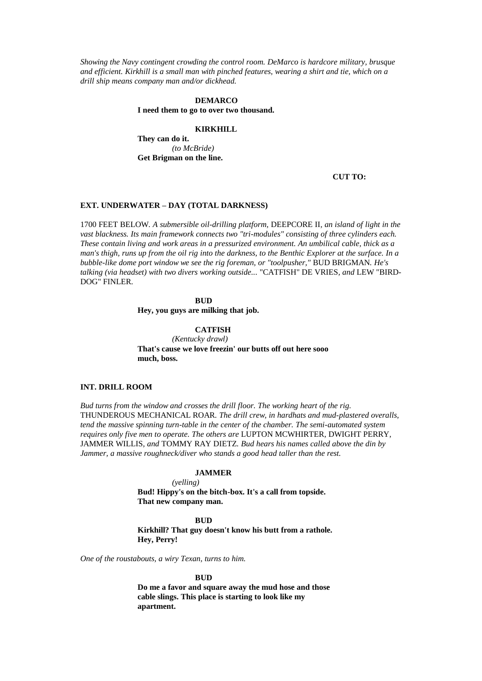*Showing the Navy contingent crowding the control room. DeMarco is hardcore military, brusque and efficient. Kirkhill is a small man with pinched features, wearing a shirt and tie, which on a drill ship means company man and/or dickhead.*

#### **DEMARCO**

**I need them to go to over two thousand.**

#### **KIRKHILL**

**They can do it.** *(to McBride)* **Get Brigman on the line.**

#### **CUT TO:**

#### **EXT. UNDERWATER – DAY (TOTAL DARKNESS)**

1700 FEET BELOW*. A submersible oil-drilling platform,* DEEPCORE II*, an island of light in the vast blackness. Its main framework connects two "tri-modules" consisting of three cylinders each. These contain living and work areas in a pressurized environment. An umbilical cable, thick as a man's thigh, runs up from the oil rig into the darkness, to the Benthic Explorer at the surface. In a bubble-like dome port window we see the rig foreman, or "toolpusher,"* BUD BRIGMAN*. He's talking (via headset) with two divers working outside...* "CATFISH" DE VRIES*, and* LEW "BIRD-DOG" FINLER*.*

> **BUD Hey, you guys are milking that job.**

## **CATFISH**

*(Kentucky drawl)* **That's cause we love freezin' our butts off out here sooo much, boss.**

### **INT. DRILL ROOM**

*Bud turns from the window and crosses the drill floor. The working heart of the rig.*  THUNDEROUS MECHANICAL ROAR*. The drill crew, in hardhats and mud-plastered overalls, tend the massive spinning turn-table in the center of the chamber. The semi-automated system requires only five men to operate. The others are* LUPTON MCWHIRTER*,* DWIGHT PERRY*,*  JAMMER WILLIS*, and* TOMMY RAY DIETZ*. Bud hears his names called above the din by Jammer, a massive roughneck/diver who stands a good head taller than the rest.*

### **JAMMER**

*(yelling)*

**Bud! Hippy's on the bitch-box. It's a call from topside. That new company man.**

### **BUD**

**Kirkhill? That guy doesn't know his butt from a rathole. Hey, Perry!**

*One of the roustabouts, a wiry Texan, turns to him.*

#### **BUD**

**Do me a favor and square away the mud hose and those cable slings. This place is starting to look like my apartment.**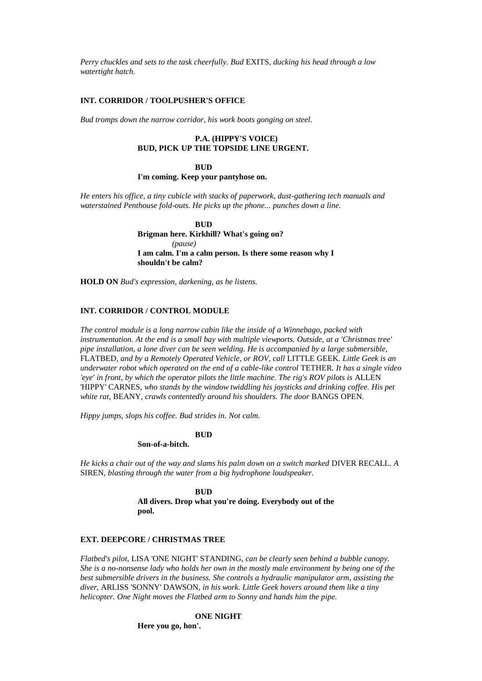*Perry chuckles and sets to the task cheerfully. Bud* EXITS*, ducking his head through a low watertight hatch.*

### **INT. CORRIDOR / TOOLPUSHER'S OFFICE**

*Bud tromps down the narrow corridor, his work boots gonging on steel.*

## **P.A. (HIPPY'S VOICE) BUD, PICK UP THE TOPSIDE LINE URGENT.**

#### **BUD**

### **I'm coming. Keep your pantyhose on.**

*He enters his office, a tiny cubicle with stacks of paperwork, dust-gathering tech manuals and waterstained Penthouse fold-outs. He picks up the phone... punches down a line.*

> **BUD Brigman here. Kirkhill? What's going on?** *(pause)* **I am calm. I'm a calm person. Is there some reason why I shouldn't be calm?**

**HOLD ON** *Bud's expression, darkening, as he listens.*

## **INT. CORRIDOR / CONTROL MODULE**

*The control module is a long narrow cabin like the inside of a Winnebago, packed with instrumentation. At the end is a small bay with multiple viewports. Outside, at a 'Christmas tree' pipe installation, a lone diver can be seen welding. He is accompanied by a large submersible,*  FLATBED*, and by a Remotely Operated Vehicle, or ROV, call* LITTLE GEEK*. Little Geek is an underwater robot which operated on the end of a cable-like control* TETHER*. It has a single video 'eye' in front, by which the operator pilots the little machine. The rig's ROV pilots is ALLEN* 'HIPPY' CARNES*, who stands by the window twiddling his joysticks and drinking coffee. His pet white rat,* BEANY*, crawls contentedly around his shoulders. The door* BANGS OPEN*.*

*Hippy jumps, slops his coffee. Bud strides in. Not calm.*

### **BUD**

### **Son-of-a-bitch.**

*He kicks a chair out of the way and slams his palm down on a switch marked* DIVER RECALL*. A*  SIREN*, blasting through the water from a big hydrophone loudspeaker.*

> **BUD All divers. Drop what you're doing. Everybody out of the pool.**

#### **EXT. DEEPCORE / CHRISTMAS TREE**

*Flatbed's pilot,* LISA 'ONE NIGHT' STANDING*, can be clearly seen behind a bubble canopy. She is a no-nonsense lady who holds her own in the mostly male environment by being one of the best submersible drivers in the business. She controls a hydraulic manipulator arm, assisting the diver,* ARLISS 'SONNY' DAWSON*, in his work. Little Geek hovers around them like a tiny helicopter. One Night moves the Flatbed arm to Sonny and hands him the pipe.*

**ONE NIGHT**

**Here you go, hon'.**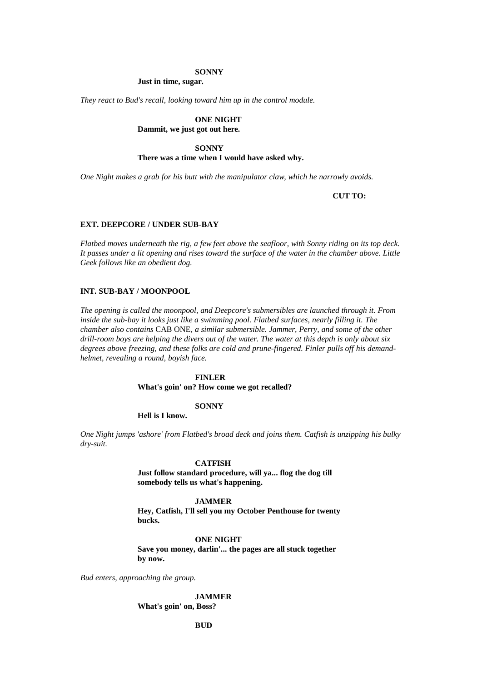#### **SONNY**

**Just in time, sugar.**

*They react to Bud's recall, looking toward him up in the control module.*

**ONE NIGHT Dammit, we just got out here.**

### **SONNY**

### **There was a time when I would have asked why.**

*One Night makes a grab for his butt with the manipulator claw, which he narrowly avoids.*

**CUT TO:**

### **EXT. DEEPCORE / UNDER SUB-BAY**

*Flatbed moves underneath the rig, a few feet above the seafloor, with Sonny riding on its top deck. It passes under a lit opening and rises toward the surface of the water in the chamber above. Little Geek follows like an obedient dog.*

### **INT. SUB-BAY / MOONPOOL**

*The opening is called the moonpool, and Deepcore's submersibles are launched through it. From inside the sub-bay it looks just like a swimming pool. Flatbed surfaces, nearly filling it. The chamber also contains* CAB ONE*, a similar submersible. Jammer, Perry, and some of the other drill-room boys are helping the divers out of the water. The water at this depth is only about six degrees above freezing, and these folks are cold and prune-fingered. Finler pulls off his demandhelmet, revealing a round, boyish face.*

### **FINLER**

**What's goin' on? How come we got recalled?**

### **SONNY**

**Hell is I know.**

*One Night jumps 'ashore' from Flatbed's broad deck and joins them. Catfish is unzipping his bulky dry-suit.*

### **CATFISH**

**Just follow standard procedure, will ya... flog the dog till somebody tells us what's happening.**

### **JAMMER**

**Hey, Catfish, I'll sell you my October Penthouse for twenty bucks.**

**ONE NIGHT Save you money, darlin'... the pages are all stuck together by now.**

*Bud enters, approaching the group.*

**JAMMER**

**What's goin' on, Boss?**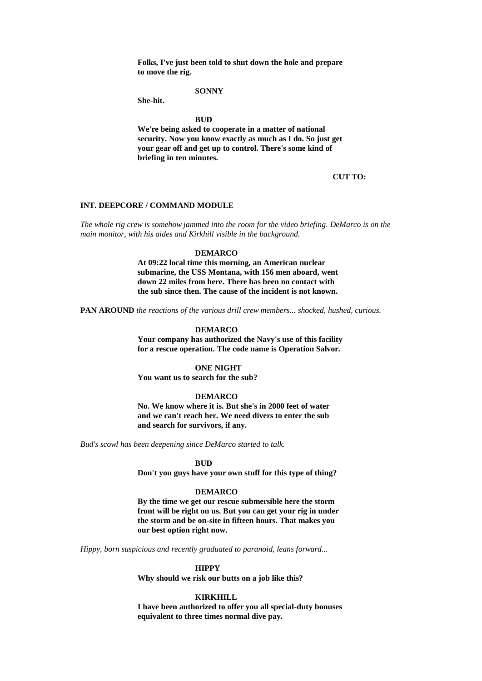**Folks, I've just been told to shut down the hole and prepare to move the rig.**

#### **SONNY**

**She-hit.**

**BUD**

**We're being asked to cooperate in a matter of national security. Now you know exactly as much as I do. So just get your gear off and get up to control. There's some kind of briefing in ten minutes.**

### **CUT TO:**

### **INT. DEEPCORE / COMMAND MODULE**

*The whole rig crew is somehow jammed into the room for the video briefing. DeMarco is on the main monitor, with his aides and Kirkhill visible in the background.*

### **DEMARCO**

**At 09:22 local time this morning, an American nuclear submarine, the USS Montana, with 156 men aboard, went down 22 miles from here. There has been no contact with the sub since then. The cause of the incident is not known.**

**PAN AROUND** *the reactions of the various drill crew members... shocked, hushed, curious.*

#### **DEMARCO**

**Your company has authorized the Navy's use of this facility for a rescue operation. The code name is Operation Salvor.**

### **ONE NIGHT**

**You want us to search for the sub?**

### **DEMARCO**

**No. We know where it is. But she's in 2000 feet of water and we can't reach her. We need divers to enter the sub and search for survivors, if any.**

*Bud's scowl has been deepening since DeMarco started to talk.*

### **BUD**

**Don't you guys have your own stuff for this type of thing?**

#### **DEMARCO**

**By the time we get our rescue submersible here the storm front will be right on us. But you can get your rig in under the storm and be on-site in fifteen hours. That makes you our best option right now.**

*Hippy, born suspicious and recently graduated to paranoid, leans forward...*

#### **HIPPY**

**Why should we risk our butts on a job like this?**

### **KIRKHILL**

**I have been authorized to offer you all special-duty bonuses equivalent to three times normal dive pay.**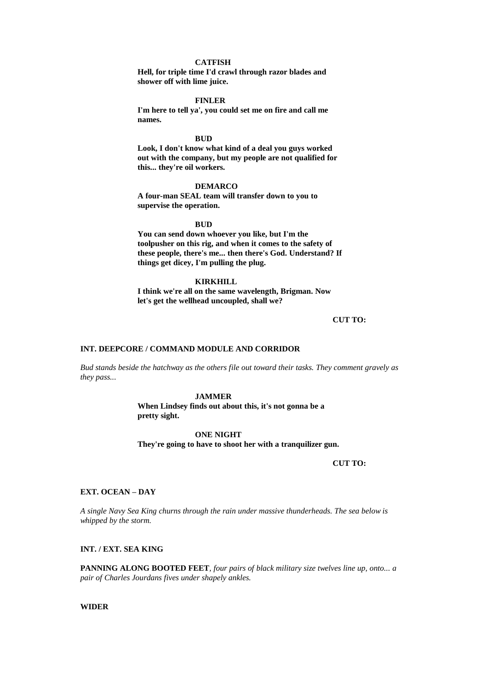### **CATFISH**

**Hell, for triple time I'd crawl through razor blades and shower off with lime juice.**

#### **FINLER**

**I'm here to tell ya', you could set me on fire and call me names.**

### **BUD**

**Look, I don't know what kind of a deal you guys worked out with the company, but my people are not qualified for this... they're oil workers.**

### **DEMARCO**

**A four-man SEAL team will transfer down to you to supervise the operation.**

### **BUD**

**You can send down whoever you like, but I'm the toolpusher on this rig, and when it comes to the safety of these people, there's me... then there's God. Understand? If things get dicey, I'm pulling the plug.**

### **KIRKHILL**

**I think we're all on the same wavelength, Brigman. Now let's get the wellhead uncoupled, shall we?**

#### **CUT TO:**

## **INT. DEEPCORE / COMMAND MODULE AND CORRIDOR**

*Bud stands beside the hatchway as the others file out toward their tasks. They comment gravely as they pass...*

#### **JAMMER**

**When Lindsey finds out about this, it's not gonna be a pretty sight.**

### **ONE NIGHT**

**They're going to have to shoot her with a tranquilizer gun.**

#### **CUT TO:**

### **EXT. OCEAN – DAY**

*A single Navy Sea King churns through the rain under massive thunderheads. The sea below is whipped by the storm.*

### **INT. / EXT. SEA KING**

**PANNING ALONG BOOTED FEET***, four pairs of black military size twelves line up, onto... a pair of Charles Jourdans fives under shapely ankles.*

### **WIDER**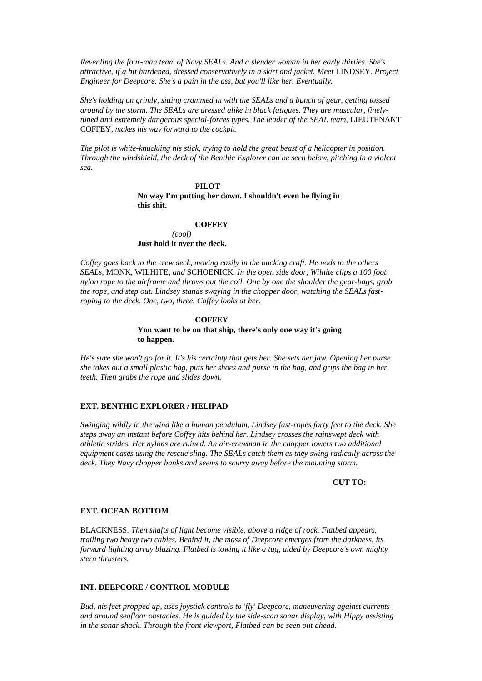*Revealing the four-man team of Navy SEALs. And a slender woman in her early thirties. She's attractive, if a bit hardened, dressed conservatively in a skirt and jacket. Meet* LINDSEY*. Project Engineer for Deepcore. She's a pain in the ass, but you'll like her. Eventually.*

*She's holding on grimly, sitting crammed in with the SEALs and a bunch of gear, getting tossed around by the storm. The SEALs are dressed alike in black fatigues. They are muscular, finely*tuned and extremely dangerous special-forces types. The leader of the SEAL team, LIEUTENANT COFFEY*, makes his way forward to the cockpit.*

*The pilot is white-knuckling his stick, trying to hold the great beast of a helicopter in position. Through the windshield, the deck of the Benthic Explorer can be seen below, pitching in a violent sea.*

### **PILOT No way I'm putting her down. I shouldn't even be flying in this shit.**

## **COFFEY**

*(cool)* **Just hold it over the deck.**

*Coffey goes back to the crew deck, moving easily in the bucking craft. He nods to the others SEALs,* MONK*,* WILHITE*, and* SCHOENICK*. In the open side door, Wilhite clips a 100 foot nylon rope to the airframe and throws out the coil. One by one the shoulder the gear-bags, grab the rope, and step out. Lindsey stands swaying in the chopper door, watching the SEALs fastroping to the deck. One, two, three. Coffey looks at her.*

### **COFFEY**

### **You want to be on that ship, there's only one way it's going to happen.**

*He's sure she won't go for it. It's his certainty that gets her. She sets her jaw. Opening her purse she takes out a small plastic bag, puts her shoes and purse in the bag, and grips the bag in her teeth. Then grabs the rope and slides down.*

### **EXT. BENTHIC EXPLORER / HELIPAD**

*Swinging wildly in the wind like a human pendulum, Lindsey fast-ropes forty feet to the deck. She steps away an instant before Coffey hits behind her. Lindsey crosses the rainswept deck with athletic strides. Her nylons are ruined. An air-crewman in the chopper lowers two additional equipment cases using the rescue sling. The SEALs catch them as they swing radically across the deck. They Navy chopper banks and seems to scurry away before the mounting storm.*

### **CUT TO:**

### **EXT. OCEAN BOTTOM**

BLACKNESS*. Then shafts of light become visible, above a ridge of rock. Flatbed appears, trailing two heavy two cables. Behind it, the mass of Deepcore emerges from the darkness, its forward lighting array blazing. Flatbed is towing it like a tug, aided by Deepcore's own mighty stern thrusters.*

### **INT. DEEPCORE / CONTROL MODULE**

*Bud, his feet propped up, uses joystick controls to 'fly' Deepcore, maneuvering against currents and around seafloor obstacles. He is guided by the side-scan sonar display, with Hippy assisting in the sonar shack. Through the front viewport, Flatbed can be seen out ahead.*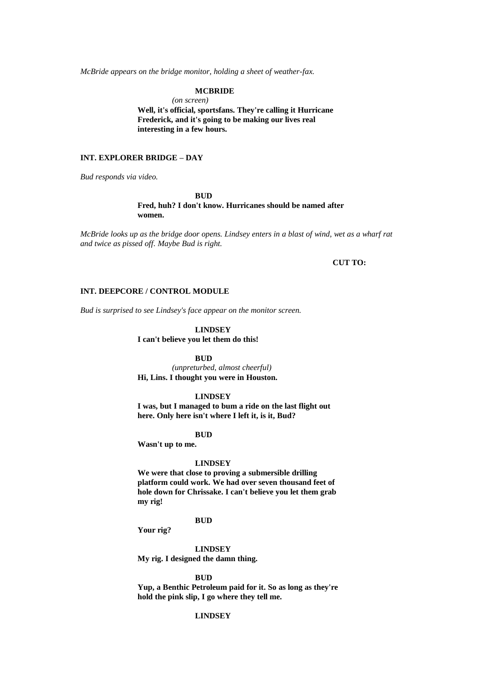*McBride appears on the bridge monitor, holding a sheet of weather-fax.*

### **MCBRIDE**

*(on screen)*

**Well, it's official, sportsfans. They're calling it Hurricane Frederick, and it's going to be making our lives real interesting in a few hours.**

### **INT. EXPLORER BRIDGE – DAY**

*Bud responds via video.*

**BUD Fred, huh? I don't know. Hurricanes should be named after women.**

*McBride looks up as the bridge door opens. Lindsey enters in a blast of wind, wet as a wharf rat and twice as pissed off. Maybe Bud is right.*

### **CUT TO:**

### **INT. DEEPCORE / CONTROL MODULE**

*Bud is surprised to see Lindsey's face appear on the monitor screen.*

### **LINDSEY**

**I can't believe you let them do this!**

### **BUD**

*(unpreturbed, almost cheerful)* **Hi, Lins. I thought you were in Houston.**

### **LINDSEY**

**I was, but I managed to bum a ride on the last flight out here. Only here isn't where I left it, is it, Bud?**

#### **BUD**

**Wasn't up to me.**

#### **LINDSEY**

**We were that close to proving a submersible drilling platform could work. We had over seven thousand feet of hole down for Chrissake. I can't believe you let them grab my rig!**

### **BUD**

**Your rig?**

**LINDSEY**

**My rig. I designed the damn thing.**

#### **BUD**

**Yup, a Benthic Petroleum paid for it. So as long as they're hold the pink slip, I go where they tell me.**

## **LINDSEY**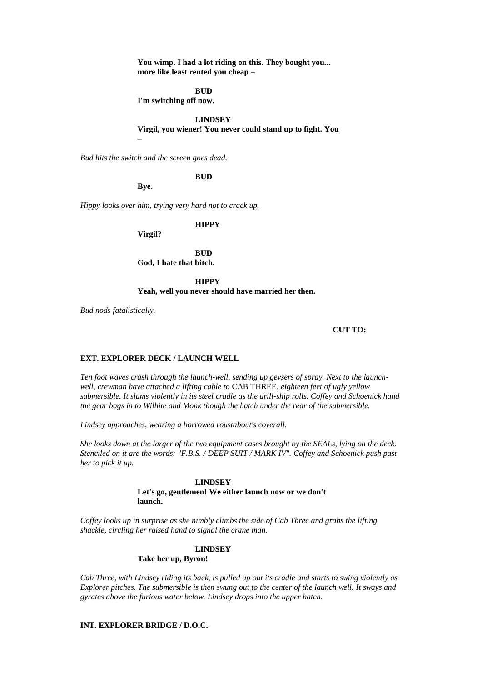**You wimp. I had a lot riding on this. They bought you... more like least rented you cheap –**

### **BUD**

**I'm switching off now.**

### **LINDSEY**

### **Virgil, you wiener! You never could stand up to fight. You**

*Bud hits the switch and the screen goes dead.*

#### **BUD**

**Bye.**

**–**

*Hippy looks over him, trying very hard not to crack up.*

**HIPPY**

**Virgil?**

**BUD God, I hate that bitch.**

**HIPPY Yeah, well you never should have married her then.**

*Bud nods fatalistically.*

### **CUT TO:**

### **EXT. EXPLORER DECK / LAUNCH WELL**

*Ten foot waves crash through the launch-well, sending up geysers of spray. Next to the launchwell, crewman have attached a lifting cable to* CAB THREE*, eighteen feet of ugly yellow submersible. It slams violently in its steel cradle as the drill-ship rolls. Coffey and Schoenick hand the gear bags in to Wilhite and Monk though the hatch under the rear of the submersible.*

*Lindsey approaches, wearing a borrowed roustabout's coverall.*

*She looks down at the larger of the two equipment cases brought by the SEALs, lying on the deck. Stenciled on it are the words: "F.B.S. / DEEP SUIT / MARK IV". Coffey and Schoenick push past her to pick it up.*

#### **LINDSEY**

**Let's go, gentlemen! We either launch now or we don't launch.**

*Coffey looks up in surprise as she nimbly climbs the side of Cab Three and grabs the lifting shackle, circling her raised hand to signal the crane man.*

#### **LINDSEY**

### **Take her up, Byron!**

*Cab Three, with Lindsey riding its back, is pulled up out its cradle and starts to swing violently as Explorer pitches. The submersible is then swung out to the center of the launch well. It sways and gyrates above the furious water below. Lindsey drops into the upper hatch.*

## **INT. EXPLORER BRIDGE / D.O.C.**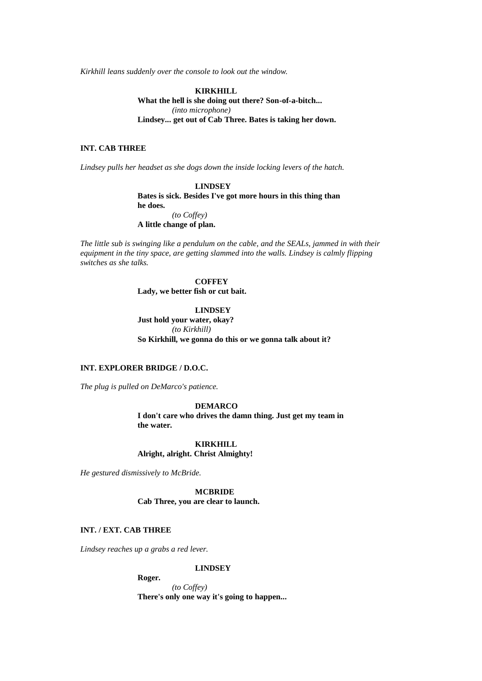*Kirkhill leans suddenly over the console to look out the window.*

**KIRKHILL What the hell is she doing out there? Son-of-a-bitch...** *(into microphone)* **Lindsey... get out of Cab Three. Bates is taking her down.**

## **INT. CAB THREE**

*Lindsey pulls her headset as she dogs down the inside locking levers of the hatch.*

**LINDSEY Bates is sick. Besides I've got more hours in this thing than he does.** *(to Coffey)* **A little change of plan.**

*The little sub is swinging like a pendulum on the cable, and the SEALs, jammed in with their equipment in the tiny space, are getting slammed into the walls. Lindsey is calmly flipping switches as she talks.*

### **COFFEY**

**Lady, we better fish or cut bait.**

**LINDSEY Just hold your water, okay?** *(to Kirkhill)* **So Kirkhill, we gonna do this or we gonna talk about it?**

## **INT. EXPLORER BRIDGE / D.O.C.**

*The plug is pulled on DeMarco's patience.*

### **DEMARCO**

**I don't care who drives the damn thing. Just get my team in the water.**

**KIRKHILL Alright, alright. Christ Almighty!**

*He gestured dismissively to McBride.*

**MCBRIDE Cab Three, you are clear to launch.**

## **INT. / EXT. CAB THREE**

*Lindsey reaches up a grabs a red lever.*

### **LINDSEY**

**Roger.**

*(to Coffey)* **There's only one way it's going to happen...**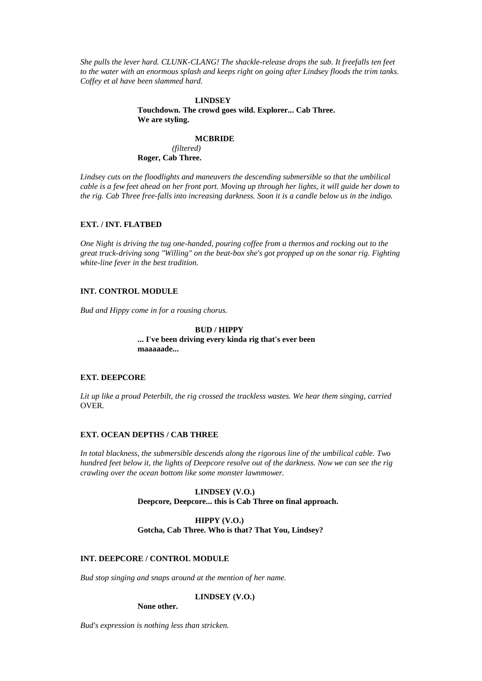*She pulls the lever hard. CLUNK-CLANG! The shackle-release drops the sub. It freefalls ten feet to the water with an enormous splash and keeps right on going after Lindsey floods the trim tanks. Coffey et al have been slammed hard.*

### **LINDSEY**

**Touchdown. The crowd goes wild. Explorer... Cab Three. We are styling.**

#### **MCBRIDE**

*(filtered)* **Roger, Cab Three.**

*Lindsey cuts on the floodlights and maneuvers the descending submersible so that the umbilical cable is a few feet ahead on her front port. Moving up through her lights, it will guide her down to the rig. Cab Three free-falls into increasing darkness. Soon it is a candle below us in the indigo.*

### **EXT. / INT. FLATBED**

*One Night is driving the tug one-handed, pouring coffee from a thermos and rocking out to the great truck-driving song "Willing" on the beat-box she's got propped up on the sonar rig. Fighting white-line fever in the best tradition.*

## **INT. CONTROL MODULE**

*Bud and Hippy come in for a rousing chorus.*

### **BUD / HIPPY ... I've been driving every kinda rig that's ever been maaaaade...**

### **EXT. DEEPCORE**

*Lit up like a proud Peterbilt, the rig crossed the trackless wastes. We hear them singing, carried*  OVER*.*

### **EXT. OCEAN DEPTHS / CAB THREE**

*In total blackness, the submersible descends along the rigorous line of the umbilical cable. Two hundred feet below it, the lights of Deepcore resolve out of the darkness. Now we can see the rig crawling over the ocean bottom like some monster lawnmower.*

### **LINDSEY (V.O.) Deepcore, Deepcore... this is Cab Three on final approach.**

### **HIPPY (V.O.) Gotcha, Cab Three. Who is that? That You, Lindsey?**

### **INT. DEEPCORE / CONTROL MODULE**

*Bud stop singing and snaps around at the mention of her name.*

## **LINDSEY (V.O.)**

**None other.**

*Bud's expression is nothing less than stricken.*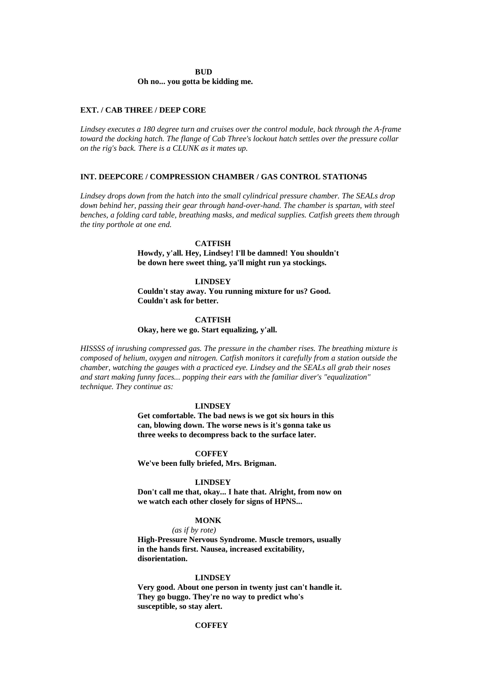#### **BUD**

### **Oh no... you gotta be kidding me.**

### **EXT. / CAB THREE / DEEP CORE**

*Lindsey executes a 180 degree turn and cruises over the control module, back through the A-frame toward the docking hatch. The flange of Cab Three's lockout hatch settles over the pressure collar on the rig's back. There is a CLUNK as it mates up.*

### **INT. DEEPCORE / COMPRESSION CHAMBER / GAS CONTROL STATION45**

*Lindsey drops down from the hatch into the small cylindrical pressure chamber. The SEALs drop down behind her, passing their gear through hand-over-hand. The chamber is spartan, with steel benches, a folding card table, breathing masks, and medical supplies. Catfish greets them through the tiny porthole at one end.*

### **CATFISH**

**Howdy, y'all. Hey, Lindsey! I'll be damned! You shouldn't be down here sweet thing, ya'll might run ya stockings.**

### **LINDSEY**

**Couldn't stay away. You running mixture for us? Good. Couldn't ask for better.**

### **CATFISH**

### **Okay, here we go. Start equalizing, y'all.**

*HISSSS of inrushing compressed gas. The pressure in the chamber rises. The breathing mixture is composed of helium, oxygen and nitrogen. Catfish monitors it carefully from a station outside the chamber, watching the gauges with a practiced eye. Lindsey and the SEALs all grab their noses and start making funny faces... popping their ears with the familiar diver's "equalization" technique. They continue as:*

#### **LINDSEY**

**Get comfortable. The bad news is we got six hours in this can, blowing down. The worse news is it's gonna take us three weeks to decompress back to the surface later.**

#### **COFFEY**

**We've been fully briefed, Mrs. Brigman.**

#### **LINDSEY**

**Don't call me that, okay... I hate that. Alright, from now on we watch each other closely for signs of HPNS...**

### **MONK**

### *(as if by rote)*

**High-Pressure Nervous Syndrome. Muscle tremors, usually in the hands first. Nausea, increased excitability, disorientation.**

#### **LINDSEY**

**Very good. About one person in twenty just can't handle it. They go buggo. They're no way to predict who's susceptible, so stay alert.**

### **COFFEY**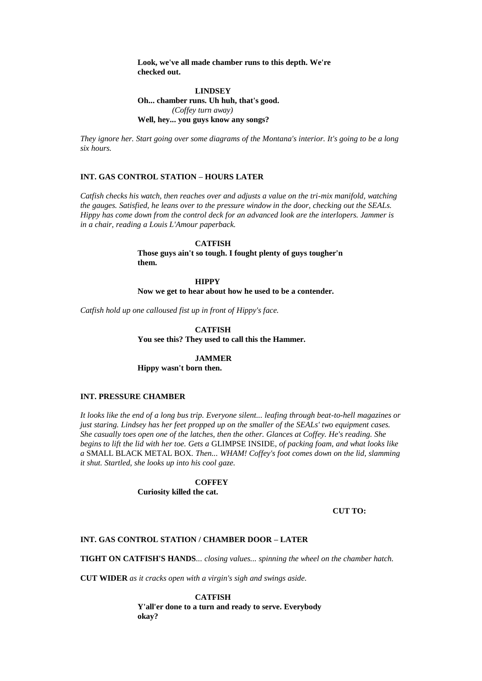**Look, we've all made chamber runs to this depth. We're checked out.**

## **LINDSEY Oh... chamber runs. Uh huh, that's good.** *(Coffey turn away)* **Well, hey... you guys know any songs?**

*They ignore her. Start going over some diagrams of the Montana's interior. It's going to be a long six hours.*

### **INT. GAS CONTROL STATION – HOURS LATER**

*Catfish checks his watch, then reaches over and adjusts a value on the tri-mix manifold, watching the gauges. Satisfied, he leans over to the pressure window in the door, checking out the SEALs. Hippy has come down from the control deck for an advanced look are the interlopers. Jammer is in a chair, reading a Louis L'Amour paperback.*

### **CATFISH**

**Those guys ain't so tough. I fought plenty of guys tougher'n them.**

**HIPPY Now we get to hear about how he used to be a contender.**

*Catfish hold up one calloused fist up in front of Hippy's face.*

**CATFISH You see this? They used to call this the Hammer.**

### **JAMMER**

**Hippy wasn't born then.**

## **INT. PRESSURE CHAMBER**

*It looks like the end of a long bus trip. Everyone silent... leafing through beat-to-hell magazines or just staring. Lindsey has her feet propped up on the smaller of the SEALs' two equipment cases. She casually toes open one of the latches, then the other. Glances at Coffey. He's reading. She begins to lift the lid with her toe. Gets a* GLIMPSE INSIDE*, of packing foam, and what looks like a* SMALL BLACK METAL BOX*. Then... WHAM! Coffey's foot comes down on the lid, slamming it shut. Startled, she looks up into his cool gaze.*

> **COFFEY Curiosity killed the cat.**

> > **CUT TO:**

### **INT. GAS CONTROL STATION / CHAMBER DOOR – LATER**

**TIGHT ON CATFISH'S HANDS***... closing values... spinning the wheel on the chamber hatch.*

**CUT WIDER** *as it cracks open with a virgin's sigh and swings aside.*

**CATFISH Y'all'er done to a turn and ready to serve. Everybody okay?**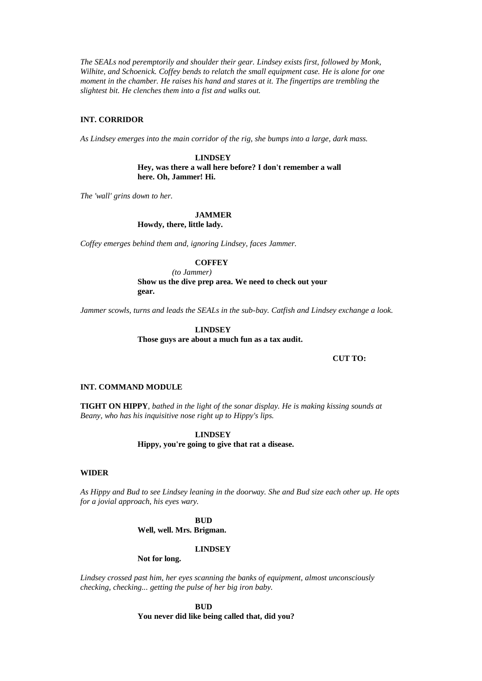*The SEALs nod peremptorily and shoulder their gear. Lindsey exists first, followed by Monk, Wilhite, and Schoenick. Coffey bends to relatch the small equipment case. He is alone for one moment in the chamber. He raises his hand and stares at it. The fingertips are trembling the slightest bit. He clenches them into a fist and walks out.*

### **INT. CORRIDOR**

*As Lindsey emerges into the main corridor of the rig, she bumps into a large, dark mass.*

**LINDSEY Hey, was there a wall here before? I don't remember a wall here. Oh, Jammer! Hi.**

*The 'wall' grins down to her.*

## **JAMMER**

**Howdy, there, little lady.**

*Coffey emerges behind them and, ignoring Lindsey, faces Jammer.*

### **COFFEY**

*(to Jammer)* **Show us the dive prep area. We need to check out your gear.**

*Jammer scowls, turns and leads the SEALs in the sub-bay. Catfish and Lindsey exchange a look.*

**LINDSEY Those guys are about a much fun as a tax audit.**

### **CUT TO:**

### **INT. COMMAND MODULE**

**TIGHT ON HIPPY***, bathed in the light of the sonar display. He is making kissing sounds at Beany, who has his inquisitive nose right up to Hippy's lips.*

> **LINDSEY Hippy, you're going to give that rat a disease.**

### **WIDER**

*As Hippy and Bud to see Lindsey leaning in the doorway. She and Bud size each other up. He opts for a jovial approach, his eyes wary.*

**BUD**

**Well, well. Mrs. Brigman.**

#### **LINDSEY**

### **Not for long.**

*Lindsey crossed past him, her eyes scanning the banks of equipment, almost unconsciously checking, checking... getting the pulse of her big iron baby.*

> **BUD You never did like being called that, did you?**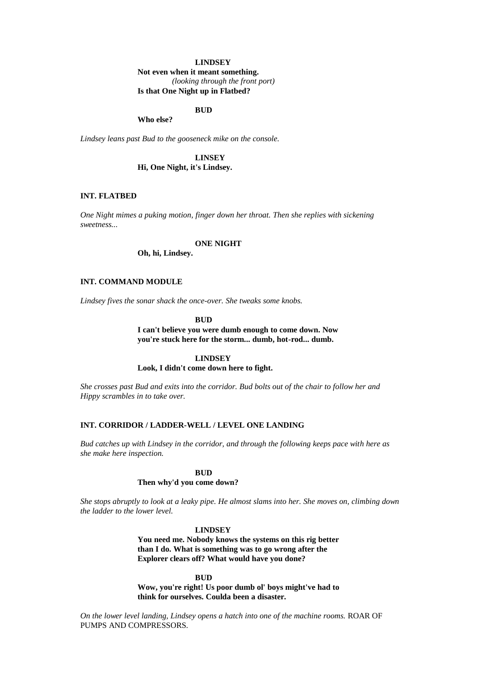### **LINDSEY**

**Not even when it meant something.** *(looking through the front port)* **Is that One Night up in Flatbed?**

### **BUD**

**Who else?**

*Lindsey leans past Bud to the gooseneck mike on the console.*

**LINSEY Hi, One Night, it's Lindsey.**

### **INT. FLATBED**

*One Night mimes a puking motion, finger down her throat. Then she replies with sickening sweetness...*

### **ONE NIGHT**

**Oh, hi, Lindsey.**

### **INT. COMMAND MODULE**

*Lindsey fives the sonar shack the once-over. She tweaks some knobs.*

**BUD**

**I can't believe you were dumb enough to come down. Now you're stuck here for the storm... dumb, hot-rod... dumb.**

#### **LINDSEY**

**Look, I didn't come down here to fight.**

*She crosses past Bud and exits into the corridor. Bud bolts out of the chair to follow her and Hippy scrambles in to take over.*

### **INT. CORRIDOR / LADDER-WELL / LEVEL ONE LANDING**

*Bud catches up with Lindsey in the corridor, and through the following keeps pace with here as she make here inspection.*

#### **BUD**

### **Then why'd you come down?**

*She stops abruptly to look at a leaky pipe. He almost slams into her. She moves on, climbing down the ladder to the lower level.*

### **LINDSEY**

**You need me. Nobody knows the systems on this rig better than I do. What is something was to go wrong after the Explorer clears off? What would have you done?**

**BUD**

**Wow, you're right! Us poor dumb ol' boys might've had to think for ourselves. Coulda been a disaster.**

*On the lower level landing, Lindsey opens a hatch into one of the machine rooms.* ROAR OF PUMPS AND COMPRESSORS*.*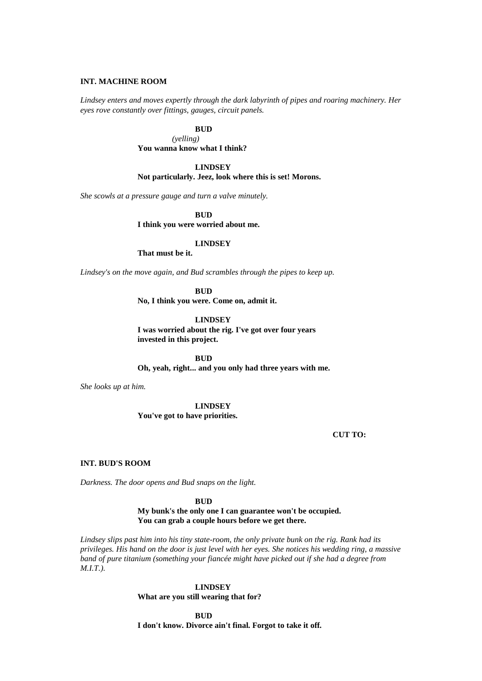### **INT. MACHINE ROOM**

*Lindsey enters and moves expertly through the dark labyrinth of pipes and roaring machinery. Her eyes rove constantly over fittings, gauges, circuit panels.*

**BUD**

*(yelling)* **You wanna know what I think?**

### **LINDSEY**

**Not particularly. Jeez, look where this is set! Morons.**

*She scowls at a pressure gauge and turn a valve minutely.*

**BUD**

**I think you were worried about me.**

### **LINDSEY**

**That must be it.**

*Lindsey's on the move again, and Bud scrambles through the pipes to keep up.*

**BUD**

**No, I think you were. Come on, admit it.**

**LINDSEY**

**I was worried about the rig. I've got over four years invested in this project.**

**BUD**

**Oh, yeah, right... and you only had three years with me.**

*She looks up at him.*

**LINDSEY You've got to have priorities.**

**CUT TO:**

### **INT. BUD'S ROOM**

*Darkness. The door opens and Bud snaps on the light.*

**BUD**

**My bunk's the only one I can guarantee won't be occupied. You can grab a couple hours before we get there.**

*Lindsey slips past him into his tiny state-room, the only private bunk on the rig. Rank had its privileges. His hand on the door is just level with her eyes. She notices his wedding ring, a massive band of pure titanium (something your fiancée might have picked out if she had a degree from M.I.T.).*

> **LINDSEY What are you still wearing that for?**

**BUD I don't know. Divorce ain't final. Forgot to take it off.**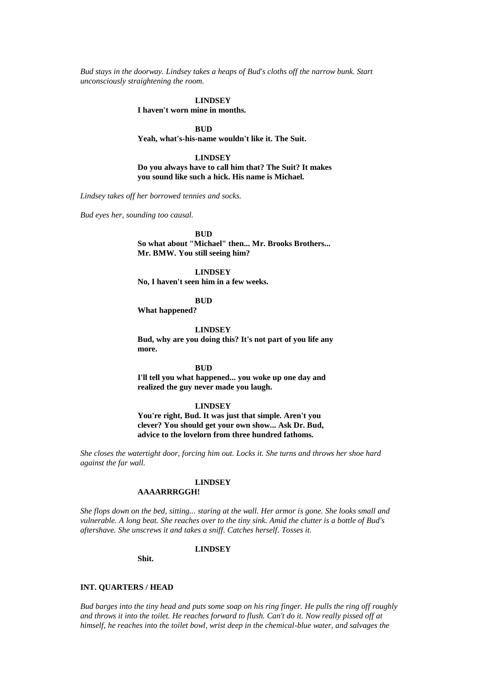*Bud stays in the doorway. Lindsey takes a heaps of Bud's cloths off the narrow bunk. Start unconsciously straightening the room.*

#### **LINDSEY**

**I haven't worn mine in months.**

**BUD**

**Yeah, what's-his-name wouldn't like it. The Suit.**

**LINDSEY Do you always have to call him that? The Suit? It makes you sound like such a hick. His name is Michael.**

*Lindsey takes off her borrowed tennies and socks.*

*Bud eyes her, sounding too causal.*

**BUD**

**So what about "Michael" then... Mr. Brooks Brothers... Mr. BMW. You still seeing him?**

**LINDSEY No, I haven't seen him in a few weeks.**

**BUD**

**What happened?**

**LINDSEY**

**Bud, why are you doing this? It's not part of you life any more.**

**BUD**

**I'll tell you what happened... you woke up one day and realized the guy never made you laugh.**

#### **LINDSEY**

**You're right, Bud. It was just that simple. Aren't you clever? You should get your own show... Ask Dr. Bud, advice to the lovelorn from three hundred fathoms.**

*She closes the watertight door, forcing him out. Locks it. She turns and throws her shoe hard against the far wall.*

#### **LINDSEY**

### **AAAARRRGGH!**

*She flops down on the bed, sitting... staring at the wall. Her armor is gone. She looks small and vulnerable. A long beat. She reaches over to the tiny sink. Amid the clutter is a bottle of Bud's aftershave. She unscrews it and takes a sniff. Catches herself. Tosses it.*

#### **LINDSEY**

**Shit.**

### **INT. QUARTERS / HEAD**

*Bud barges into the tiny head and puts some soap on his ring finger. He pulls the ring off roughly and throws it into the toilet. He reaches forward to flush. Can't do it. Now really pissed off at himself, he reaches into the toilet bowl, wrist deep in the chemical-blue water, and salvages the*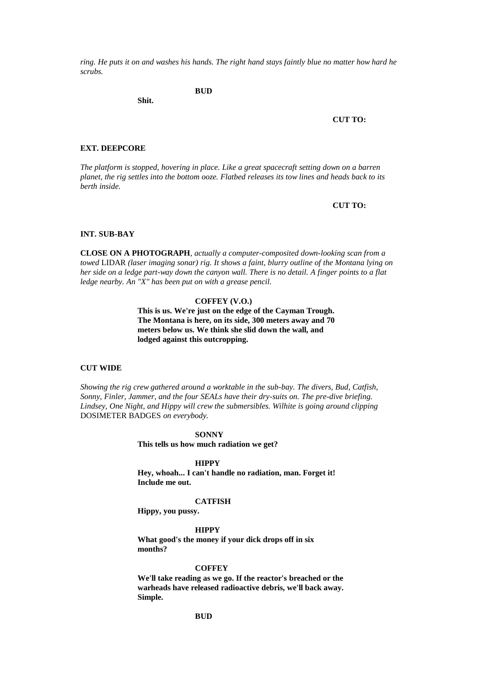*ring. He puts it on and washes his hands. The right hand stays faintly blue no matter how hard he scrubs.*

**BUD**

**Shit.**

#### **CUT TO:**

### **EXT. DEEPCORE**

*The platform is stopped, hovering in place. Like a great spacecraft setting down on a barren planet, the rig settles into the bottom ooze. Flatbed releases its tow lines and heads back to its berth inside.*

**CUT TO:**

### **INT. SUB-BAY**

**CLOSE ON A PHOTOGRAPH***, actually a computer-composited down-looking scan from a towed* LIDAR *(laser imaging sonar) rig. It shows a faint, blurry outline of the Montana lying on her side on a ledge part-way down the canyon wall. There is no detail. A finger points to a flat ledge nearby. An "X" has been put on with a grease pencil.*

### **COFFEY (V.O.)**

**This is us. We're just on the edge of the Cayman Trough. The Montana is here, on its side, 300 meters away and 70 meters below us. We think she slid down the wall, and lodged against this outcropping.**

### **CUT WIDE**

*Showing the rig crew gathered around a worktable in the sub-bay. The divers, Bud, Catfish, Sonny, Finler, Jammer, and the four SEALs have their dry-suits on. The pre-dive briefing. Lindsey, One Night, and Hippy will crew the submersibles. Wilhite is going around clipping*  DOSIMETER BADGES *on everybody.*

#### **SONNY**

**This tells us how much radiation we get?**

### **HIPPY**

**Hey, whoah... I can't handle no radiation, man. Forget it! Include me out.**

### **CATFISH**

**Hippy, you pussy.**

**HIPPY**

**What good's the money if your dick drops off in six months?**

#### **COFFEY**

**We'll take reading as we go. If the reactor's breached or the warheads have released radioactive debris, we'll back away. Simple.**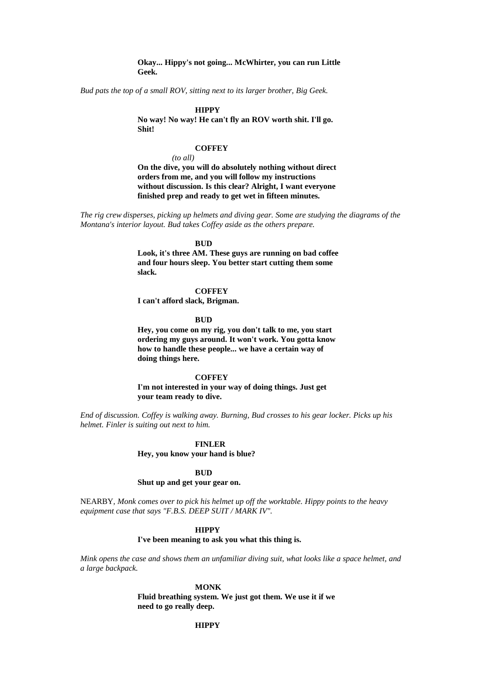### **Okay... Hippy's not going... McWhirter, you can run Little Geek.**

*Bud pats the top of a small ROV, sitting next to its larger brother, Big Geek.*

### **HIPPY**

**No way! No way! He can't fly an ROV worth shit. I'll go. Shit!**

### **COFFEY**

*(to all)*

**On the dive, you will do absolutely nothing without direct orders from me, and you will follow my instructions without discussion. Is this clear? Alright, I want everyone finished prep and ready to get wet in fifteen minutes.**

*The rig crew disperses, picking up helmets and diving gear. Some are studying the diagrams of the Montana's interior layout. Bud takes Coffey aside as the others prepare.*

### **BUD**

**Look, it's three AM. These guys are running on bad coffee and four hours sleep. You better start cutting them some slack.**

### **COFFEY**

**I can't afford slack, Brigman.**

**BUD**

**Hey, you come on my rig, you don't talk to me, you start ordering my guys around. It won't work. You gotta know how to handle these people... we have a certain way of doing things here.**

### **COFFEY**

**I'm not interested in your way of doing things. Just get your team ready to dive.**

*End of discussion. Coffey is walking away. Burning, Bud crosses to his gear locker. Picks up his helmet. Finler is suiting out next to him.*

#### **FINLER**

**Hey, you know your hand is blue?**

### **BUD**

### **Shut up and get your gear on.**

NEARBY*, Monk comes over to pick his helmet up off the worktable. Hippy points to the heavy equipment case that says "F.B.S. DEEP SUIT / MARK IV".*

#### **HIPPY**

**I've been meaning to ask you what this thing is.**

*Mink opens the case and shows them an unfamiliar diving suit, what looks like a space helmet, and a large backpack.*

#### **MONK**

**Fluid breathing system. We just got them. We use it if we need to go really deep.**

### **HIPPY**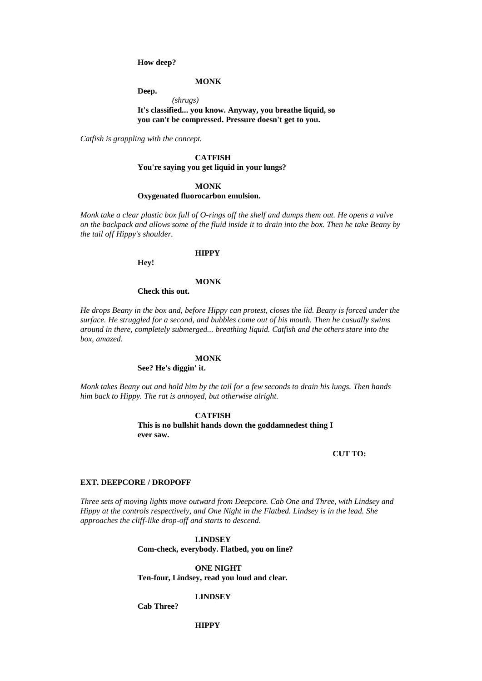**How deep?**

**MONK**

**Deep.**

*(shrugs)* **It's classified... you know. Anyway, you breathe liquid, so you can't be compressed. Pressure doesn't get to you.**

*Catfish is grappling with the concept.*

**CATFISH You're saying you get liquid in your lungs?**

### **MONK Oxygenated fluorocarbon emulsion.**

*Monk take a clear plastic box full of O-rings off the shelf and dumps them out. He opens a valve on the backpack and allows some of the fluid inside it to drain into the box. Then he take Beany by the tail off Hippy's shoulder.*

### **HIPPY**

**Hey!**

#### **MONK**

**Check this out.**

*He drops Beany in the box and, before Hippy can protest, closes the lid. Beany is forced under the surface. He struggled for a second, and bubbles come out of his mouth. Then he casually swims around in there, completely submerged... breathing liquid. Catfish and the others stare into the box, amazed.*

### **MONK**

**See? He's diggin' it.**

*Monk takes Beany out and hold him by the tail for a few seconds to drain his lungs. Then hands him back to Hippy. The rat is annoyed, but otherwise alright.*

> **CATFISH This is no bullshit hands down the goddamnedest thing I ever saw.**

> > **CUT TO:**

## **EXT. DEEPCORE / DROPOFF**

*Three sets of moving lights move outward from Deepcore. Cab One and Three, with Lindsey and Hippy at the controls respectively, and One Night in the Flatbed. Lindsey is in the lead. She approaches the cliff-like drop-off and starts to descend.*

## **LINDSEY**

**Com-check, everybody. Flatbed, you on line?**

**ONE NIGHT Ten-four, Lindsey, read you loud and clear.**

**LINDSEY**

**Cab Three?**

**HIPPY**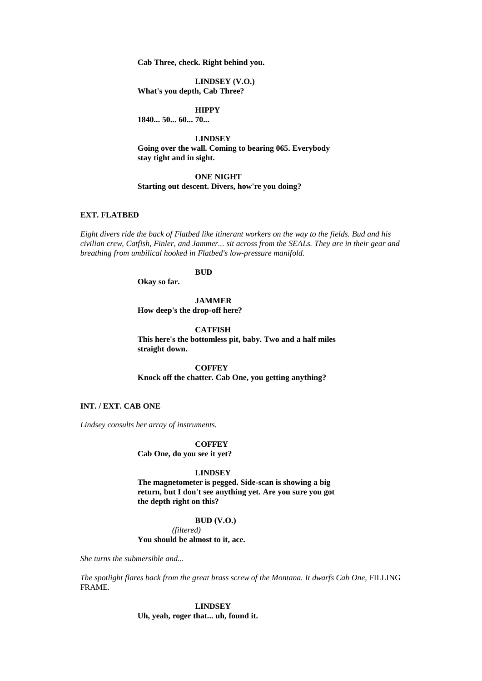**Cab Three, check. Right behind you.**

**LINDSEY (V.O.) What's you depth, Cab Three?**

**HIPPY**

**1840... 50... 60... 70...**

**LINDSEY Going over the wall. Coming to bearing 065. Everybody stay tight and in sight.**

### **ONE NIGHT**

## **Starting out descent. Divers, how're you doing?**

### **EXT. FLATBED**

*Eight divers ride the back of Flatbed like itinerant workers on the way to the fields. Bud and his civilian crew, Catfish, Finler, and Jammer... sit across from the SEALs. They are in their gear and breathing from umbilical hooked in Flatbed's low-pressure manifold.*

## **BUD**

**Okay so far.**

### **JAMMER How deep's the drop-off here?**

**CATFISH**

**This here's the bottomless pit, baby. Two and a half miles straight down.**

**COFFEY Knock off the chatter. Cab One, you getting anything?**

### **INT. / EXT. CAB ONE**

*Lindsey consults her array of instruments.*

## **COFFEY**

**Cab One, do you see it yet?**

### **LINDSEY**

**The magnetometer is pegged. Side-scan is showing a big return, but I don't see anything yet. Are you sure you got the depth right on this?**

### **BUD (V.O.)**

*(filtered)*

### **You should be almost to it, ace.**

*She turns the submersible and...*

*The spotlight flares back from the great brass screw of the Montana. It dwarfs Cab One,* FILLING FRAME*.*

### **LINDSEY**

**Uh, yeah, roger that... uh, found it.**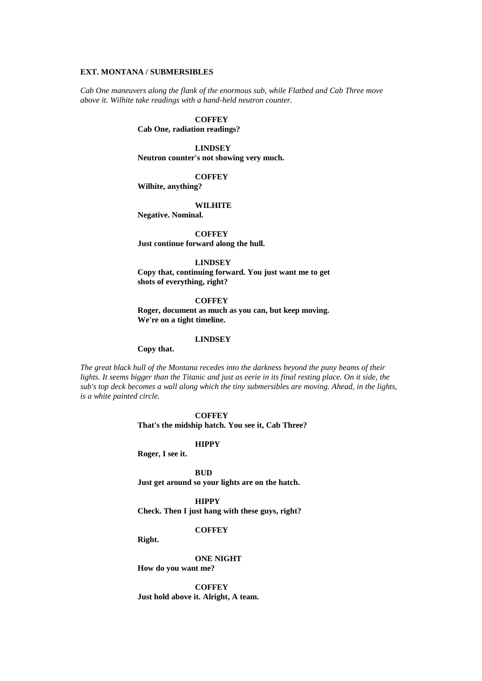### **EXT. MONTANA / SUBMERSIBLES**

*Cab One maneuvers along the flank of the enormous sub, while Flatbed and Cab Three move above it. Wilhite take readings with a hand-held neutron counter.*

### **COFFEY**

**Cab One, radiation readings?**

### **LINDSEY**

**Neutron counter's not showing very much.**

### **COFFEY**

**Wilhite, anything?**

#### **WILHITE**

**Negative. Nominal.**

**COFFEY Just continue forward along the hull.**

### **LINDSEY**

**Copy that, continuing forward. You just want me to get shots of everything, right?**

**COFFEY Roger, document as much as you can, but keep moving. We're on a tight timeline.**

### **LINDSEY**

**Copy that.**

*The great black hull of the Montana recedes into the darkness beyond the puny beams of their*  lights. It seems bigger than the Titanic and just as eerie in its final resting place. On it side, the *sub's top deck becomes a wall along which the tiny submersibles are moving. Ahead, in the lights, is a white painted circle.*

> **COFFEY That's the midship hatch. You see it, Cab Three?**

> > **HIPPY**

**Roger, I see it.**

**BUD**

**Just get around so your lights are on the hatch.**

### **HIPPY**

**Check. Then I just hang with these guys, right?**

**COFFEY**

**Right.**

**ONE NIGHT**

**How do you want me?**

**COFFEY Just hold above it. Alright, A team.**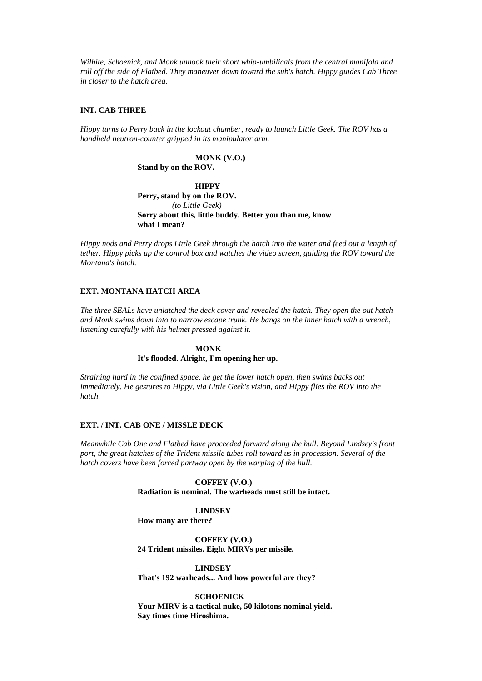*Wilhite, Schoenick, and Monk unhook their short whip-umbilicals from the central manifold and roll off the side of Flatbed. They maneuver down toward the sub's hatch. Hippy guides Cab Three in closer to the hatch area.*

### **INT. CAB THREE**

*Hippy turns to Perry back in the lockout chamber, ready to launch Little Geek. The ROV has a handheld neutron-counter gripped in its manipulator arm.*

> **MONK (V.O.) Stand by on the ROV.**

**HIPPY Perry, stand by on the ROV.** *(to Little Geek)* **Sorry about this, little buddy. Better you than me, know what I mean?**

*Hippy nods and Perry drops Little Geek through the hatch into the water and feed out a length of tether. Hippy picks up the control box and watches the video screen, guiding the ROV toward the Montana's hatch.*

### **EXT. MONTANA HATCH AREA**

*The three SEALs have unlatched the deck cover and revealed the hatch. They open the out hatch and Monk swims down into to narrow escape trunk. He bangs on the inner hatch with a wrench, listening carefully with his helmet pressed against it.*

> **MONK It's flooded. Alright, I'm opening her up.**

*Straining hard in the confined space, he get the lower hatch open, then swims backs out immediately. He gestures to Hippy, via Little Geek's vision, and Hippy flies the ROV into the hatch.*

### **EXT. / INT. CAB ONE / MISSLE DECK**

*Meanwhile Cab One and Flatbed have proceeded forward along the hull. Beyond Lindsey's front port, the great hatches of the Trident missile tubes roll toward us in procession. Several of the hatch covers have been forced partway open by the warping of the hull.*

> **COFFEY (V.O.) Radiation is nominal. The warheads must still be intact.**

## **LINDSEY**

**How many are there?**

**COFFEY (V.O.) 24 Trident missiles. Eight MIRVs per missile.**

**LINDSEY That's 192 warheads... And how powerful are they?**

**SCHOENICK Your MIRV is a tactical nuke, 50 kilotons nominal yield. Say times time Hiroshima.**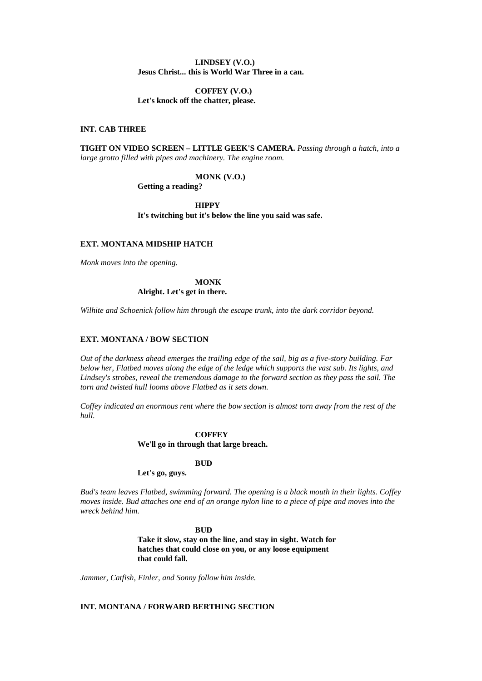### **LINDSEY (V.O.) Jesus Christ... this is World War Three in a can.**

### **COFFEY (V.O.) Let's knock off the chatter, please.**

### **INT. CAB THREE**

**TIGHT ON VIDEO SCREEN – LITTLE GEEK'S CAMERA.** *Passing through a hatch, into a large grotto filled with pipes and machinery. The engine room.*

### **MONK (V.O.)**

**Getting a reading?**

**HIPPY It's twitching but it's below the line you said was safe.**

## **EXT. MONTANA MIDSHIP HATCH**

*Monk moves into the opening.*

## **MONK Alright. Let's get in there.**

*Wilhite and Schoenick follow him through the escape trunk, into the dark corridor beyond.*

### **EXT. MONTANA / BOW SECTION**

*Out of the darkness ahead emerges the trailing edge of the sail, big as a five-story building. Far below her, Flatbed moves along the edge of the ledge which supports the vast sub. Its lights, and Lindsey's strobes, reveal the tremendous damage to the forward section as they pass the sail. The torn and twisted hull looms above Flatbed as it sets down.*

*Coffey indicated an enormous rent where the bow section is almost torn away from the rest of the hull.*

### **COFFEY**

#### **We'll go in through that large breach.**

#### **BUD**

### **Let's go, guys.**

*Bud's team leaves Flatbed, swimming forward. The opening is a black mouth in their lights. Coffey moves inside. Bud attaches one end of an orange nylon line to a piece of pipe and moves into the wreck behind him.*

> **BUD Take it slow, stay on the line, and stay in sight. Watch for hatches that could close on you, or any loose equipment that could fall.**

*Jammer, Catfish, Finler, and Sonny follow him inside.*

### **INT. MONTANA / FORWARD BERTHING SECTION**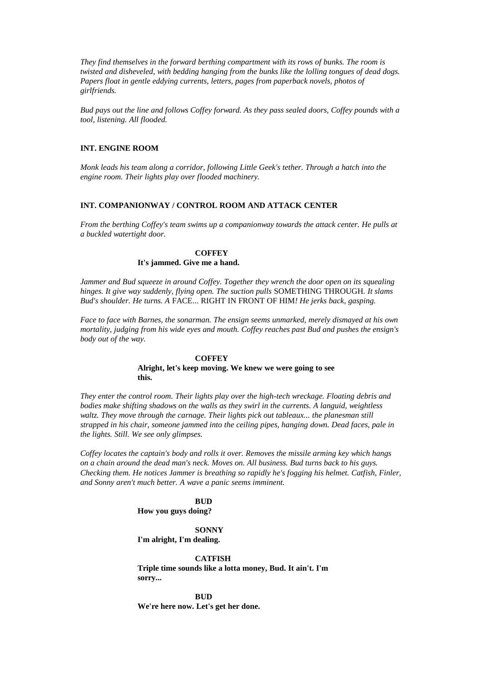*They find themselves in the forward berthing compartment with its rows of bunks. The room is twisted and disheveled, with bedding hanging from the bunks like the lolling tongues of dead dogs. Papers float in gentle eddying currents, letters, pages from paperback novels, photos of girlfriends.*

*Bud pays out the line and follows Coffey forward. As they pass sealed doors, Coffey pounds with a tool, listening. All flooded.*

### **INT. ENGINE ROOM**

*Monk leads his team along a corridor, following Little Geek's tether. Through a hatch into the engine room. Their lights play over flooded machinery.*

### **INT. COMPANIONWAY / CONTROL ROOM AND ATTACK CENTER**

*From the berthing Coffey's team swims up a companionway towards the attack center. He pulls at a buckled watertight door.*

## **COFFEY**

### **It's jammed. Give me a hand.**

*Jammer and Bud squeeze in around Coffey. Together they wrench the door open on its squealing hinges. It give way suddenly, flying open. The suction pulls* SOMETHING THROUGH*. It slams Bud's shoulder. He turns. A* FACE... RIGHT IN FRONT OF HIM*! He jerks back, gasping.*

*Face to face with Barnes, the sonarman. The ensign seems unmarked, merely dismayed at his own mortality, judging from his wide eyes and mouth. Coffey reaches past Bud and pushes the ensign's body out of the way.*

#### **COFFEY**

### **Alright, let's keep moving. We knew we were going to see this.**

*They enter the control room. Their lights play over the high-tech wreckage. Floating debris and bodies make shifting shadows on the walls as they swirl in the currents. A languid, weightless*  waltz. They move through the carnage. Their lights pick out tableaux... the planesman still *strapped in his chair, someone jammed into the ceiling pipes, hanging down. Dead faces, pale in the lights. Still. We see only glimpses.*

*Coffey locates the captain's body and rolls it over. Removes the missile arming key which hangs on a chain around the dead man's neck. Moves on. All business. Bud turns back to his guys. Checking them. He notices Jammer is breathing so rapidly he's fogging his helmet. Catfish, Finler, and Sonny aren't much better. A wave a panic seems imminent.*

### **BUD**

**How you guys doing?**

**SONNY I'm alright, I'm dealing.**

**CATFISH**

**Triple time sounds like a lotta money, Bud. It ain't. I'm sorry...**

**BUD We're here now. Let's get her done.**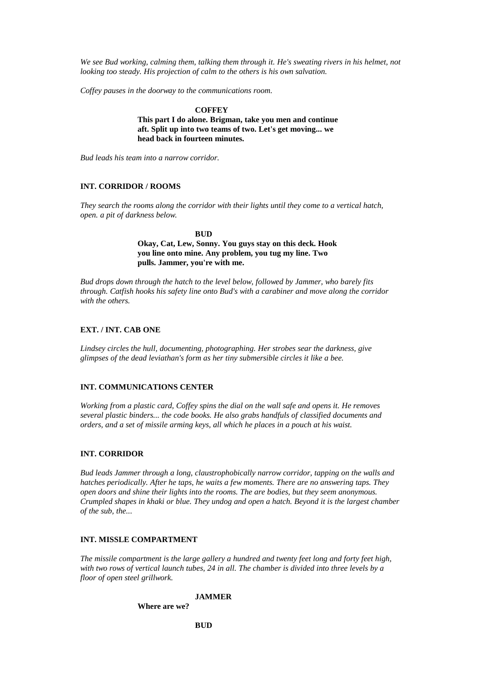*We see Bud working, calming them, talking them through it. He's sweating rivers in his helmet, not looking too steady. His projection of calm to the others is his own salvation.*

*Coffey pauses in the doorway to the communications room.*

### **COFFEY**

**This part I do alone. Brigman, take you men and continue aft. Split up into two teams of two. Let's get moving... we head back in fourteen minutes.**

*Bud leads his team into a narrow corridor.*

### **INT. CORRIDOR / ROOMS**

*They search the rooms along the corridor with their lights until they come to a vertical hatch, open. a pit of darkness below.*

> **BUD Okay, Cat, Lew, Sonny. You guys stay on this deck. Hook you line onto mine. Any problem, you tug my line. Two pulls. Jammer, you're with me.**

*Bud drops down through the hatch to the level below, followed by Jammer, who barely fits through. Catfish hooks his safety line onto Bud's with a carabiner and move along the corridor with the others.*

### **EXT. / INT. CAB ONE**

*Lindsey circles the hull, documenting, photographing. Her strobes sear the darkness, give glimpses of the dead leviathan's form as her tiny submersible circles it like a bee.*

### **INT. COMMUNICATIONS CENTER**

*Working from a plastic card, Coffey spins the dial on the wall safe and opens it. He removes several plastic binders... the code books. He also grabs handfuls of classified documents and orders, and a set of missile arming keys, all which he places in a pouch at his waist.*

#### **INT. CORRIDOR**

*Bud leads Jammer through a long, claustrophobically narrow corridor, tapping on the walls and hatches periodically. After he taps, he waits a few moments. There are no answering taps. They open doors and shine their lights into the rooms. The are bodies, but they seem anonymous. Crumpled shapes in khaki or blue. They undog and open a hatch. Beyond it is the largest chamber of the sub, the...*

### **INT. MISSLE COMPARTMENT**

*The missile compartment is the large gallery a hundred and twenty feet long and forty feet high, with two rows of vertical launch tubes, 24 in all. The chamber is divided into three levels by a floor of open steel grillwork.*

### **JAMMER**

**Where are we?**

**BUD**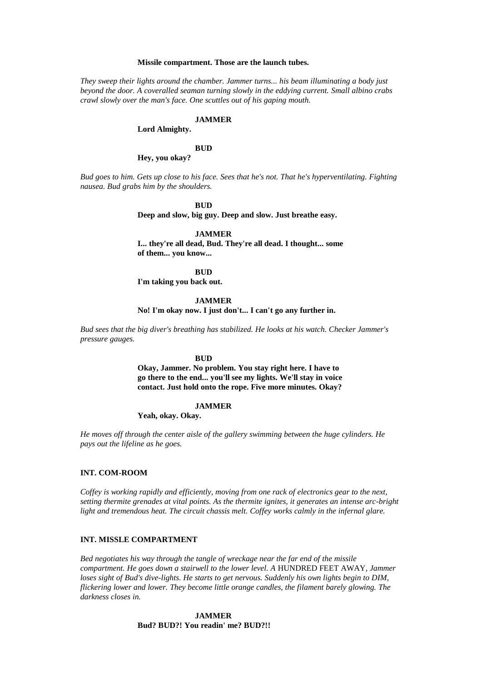#### **Missile compartment. Those are the launch tubes.**

*They sweep their lights around the chamber. Jammer turns... his beam illuminating a body just beyond the door. A coveralled seaman turning slowly in the eddying current. Small albino crabs crawl slowly over the man's face. One scuttles out of his gaping mouth.*

#### **JAMMER**

**Lord Almighty.**

### **BUD**

**Hey, you okay?**

*Bud goes to him. Gets up close to his face. Sees that he's not. That he's hyperventilating. Fighting nausea. Bud grabs him by the shoulders.*

### **BUD**

**Deep and slow, big guy. Deep and slow. Just breathe easy.**

### **JAMMER**

**I... they're all dead, Bud. They're all dead. I thought... some of them... you know...**

**BUD**

**I'm taking you back out.**

### **JAMMER**

**No! I'm okay now. I just don't... I can't go any further in.**

*Bud sees that the big diver's breathing has stabilized. He looks at his watch. Checker Jammer's pressure gauges.*

#### **BUD**

**Okay, Jammer. No problem. You stay right here. I have to go there to the end... you'll see my lights. We'll stay in voice contact. Just hold onto the rope. Five more minutes. Okay?**

#### **JAMMER**

**Yeah, okay. Okay.**

*He moves off through the center aisle of the gallery swimming between the huge cylinders. He pays out the lifeline as he goes.*

### **INT. COM-ROOM**

*Coffey is working rapidly and efficiently, moving from one rack of electronics gear to the next, setting thermite grenades at vital points. As the thermite ignites, it generates an intense arc-bright light and tremendous heat. The circuit chassis melt. Coffey works calmly in the infernal glare.*

## **INT. MISSLE COMPARTMENT**

*Bed negotiates his way through the tangle of wreckage near the far end of the missile compartment. He goes down a stairwell to the lower level. A HUNDRED FEET AWAY, Jammer loses sight of Bud's dive-lights. He starts to get nervous. Suddenly his own lights begin to DIM, flickering lower and lower. They become little orange candles, the filament barely glowing. The darkness closes in.*

> **JAMMER Bud? BUD?! You readin' me? BUD?!!**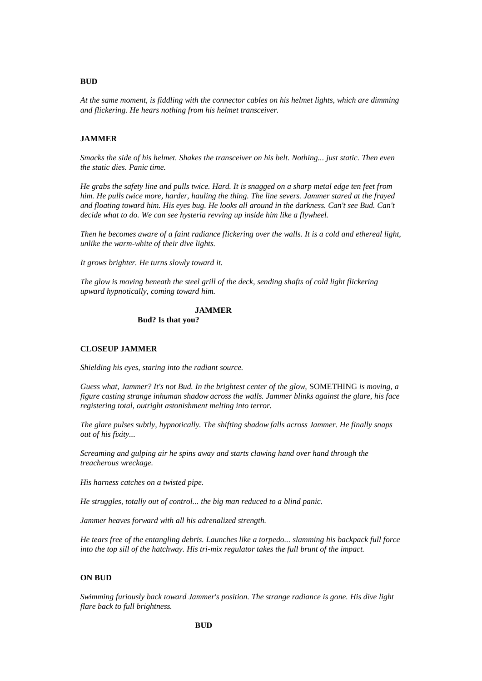### **BUD**

*At the same moment, is fiddling with the connector cables on his helmet lights, which are dimming and flickering. He hears nothing from his helmet transceiver.*

### **JAMMER**

*Smacks the side of his helmet. Shakes the transceiver on his belt. Nothing... just static. Then even the static dies. Panic time.*

*He grabs the safety line and pulls twice. Hard. It is snagged on a sharp metal edge ten feet from him. He pulls twice more, harder, hauling the thing. The line severs. Jammer stared at the frayed*  and floating toward him. His eyes bug. He looks all around in the darkness. Can't see Bud. Can't *decide what to do. We can see hysteria revving up inside him like a flywheel.*

*Then he becomes aware of a faint radiance flickering over the walls. It is a cold and ethereal light, unlike the warm-white of their dive lights.*

*It grows brighter. He turns slowly toward it.*

*The glow is moving beneath the steel grill of the deck, sending shafts of cold light flickering upward hypnotically, coming toward him.*

#### **JAMMER Bud? Is that you?**

# **CLOSEUP JAMMER**

*Shielding his eyes, staring into the radiant source.*

*Guess what, Jammer? It's not Bud. In the brightest center of the glow,* SOMETHING *is moving, a figure casting strange inhuman shadow across the walls. Jammer blinks against the glare, his face registering total, outright astonishment melting into terror.*

*The glare pulses subtly, hypnotically. The shifting shadow falls across Jammer. He finally snaps out of his fixity...*

*Screaming and gulping air he spins away and starts clawing hand over hand through the treacherous wreckage.*

*His harness catches on a twisted pipe.*

*He struggles, totally out of control... the big man reduced to a blind panic.*

*Jammer heaves forward with all his adrenalized strength.*

*He tears free of the entangling debris. Launches like a torpedo... slamming his backpack full force into the top sill of the hatchway. His tri-mix regulator takes the full brunt of the impact.*

### **ON BUD**

*Swimming furiously back toward Jammer's position. The strange radiance is gone. His dive light flare back to full brightness.*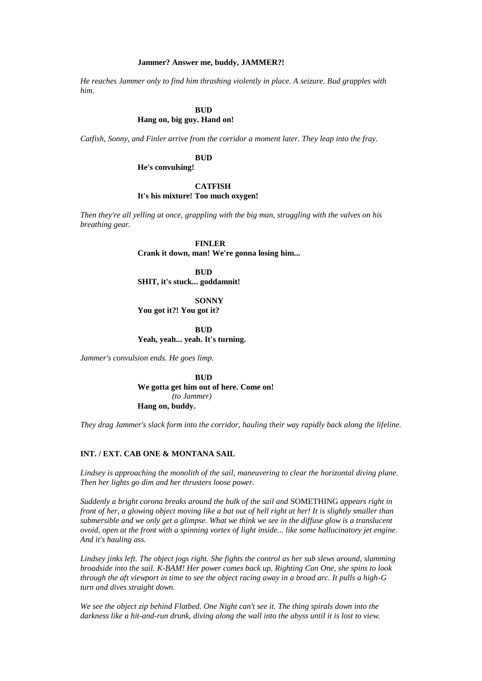#### **Jammer? Answer me, buddy, JAMMER?!**

*He reaches Jammer only to find him thrashing violently in place. A seizure. Bud grapples with him.*

## **BUD**

## **Hang on, big guy. Hand on!**

*Catfish, Sonny, and Finler arrive from the corridor a moment later. They leap into the fray.*

**BUD**

**He's convulsing!**

### **CATFISH It's his mixture! Too much oxygen!**

*Then they're all yelling at once, grappling with the big man, struggling with the valves on his breathing gear.*

> **FINLER Crank it down, man! We're gonna losing him...**

**BUD SHIT, it's stuck... goddamnit!**

**SONNY You got it?! You got it?**

**BUD Yeah, yeah... yeah. It's turning.**

*Jammer's convulsion ends. He goes limp.*

**BUD We gotta get him out of here. Come on!** *(to Jammer)* **Hang on, buddy.**

*They drag Jammer's slack form into the corridor, hauling their way rapidly back along the lifeline.*

### **INT. / EXT. CAB ONE & MONTANA SAIL**

*Lindsey is approaching the monolith of the sail, maneuvering to clear the horizontal diving plane. Then her lights go dim and her thrusters loose power.*

*Suddenly a bright corona breaks around the bulk of the sail and* SOMETHING *appears right in front of her, a glowing object moving like a bat out of hell right at her! It is slightly smaller than submersible and we only get a glimpse. What we think we see in the diffuse glow is a translucent ovoid, open at the front with a spinning vortex of light inside... like some hallucinatory jet engine. And it's hauling ass.*

*Lindsey jinks left. The object jogs right. She fights the control as her sub slews around, slamming broadside into the sail. K-BAM! Her power comes back up. Righting Can One, she spins to look through the aft viewport in time to see the object racing away in a broad arc. It pulls a high-G turn and dives straight down.*

*We see the object zip behind Flatbed. One Night can't see it. The thing spirals down into the darkness like a hit-and-run drunk, diving along the wall into the abyss until it is lost to view.*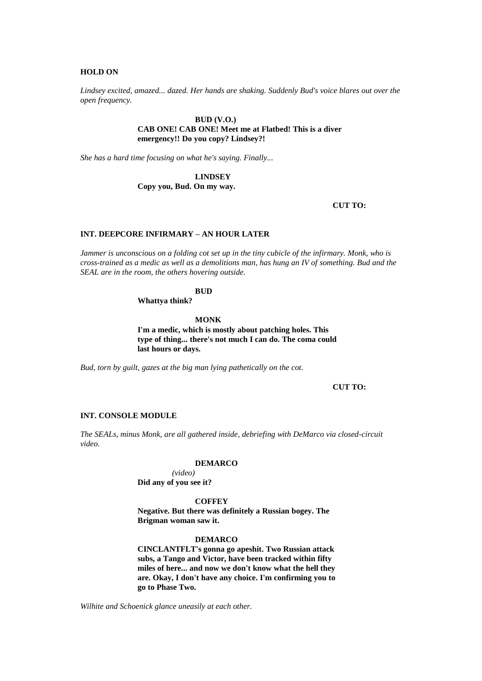### **HOLD ON**

*Lindsey excited, amazed... dazed. Her hands are shaking. Suddenly Bud's voice blares out over the open frequency.*

### **BUD (V.O.) CAB ONE! CAB ONE! Meet me at Flatbed! This is a diver emergency!! Do you copy? Lindsey?!**

*She has a hard time focusing on what he's saying. Finally...*

**LINDSEY**

**Copy you, Bud. On my way.**

**CUT TO:**

### **INT. DEEPCORE INFIRMARY – AN HOUR LATER**

*Jammer is unconscious on a folding cot set up in the tiny cubicle of the infirmary. Monk, who is cross-trained as a medic as well as a demolitions man, has hung an IV of something. Bud and the SEAL are in the room, the others hovering outside.*

### **BUD**

**Whattya think?**

**MONK**

**I'm a medic, which is mostly about patching holes. This type of thing... there's not much I can do. The coma could last hours or days.**

*Bud, torn by guilt, gazes at the big man lying pathetically on the cot.*

**CUT TO:**

### **INT. CONSOLE MODULE**

*The SEALs, minus Monk, are all gathered inside, debriefing with DeMarco via closed-circuit video.*

#### **DEMARCO**

*(video)* **Did any of you see it?**

**COFFEY**

**Negative. But there was definitely a Russian bogey. The Brigman woman saw it.**

#### **DEMARCO**

**CINCLANTFLT's gonna go apeshit. Two Russian attack subs, a Tango and Victor, have been tracked within fifty miles of here... and now we don't know what the hell they are. Okay, I don't have any choice. I'm confirming you to go to Phase Two.**

*Wilhite and Schoenick glance uneasily at each other.*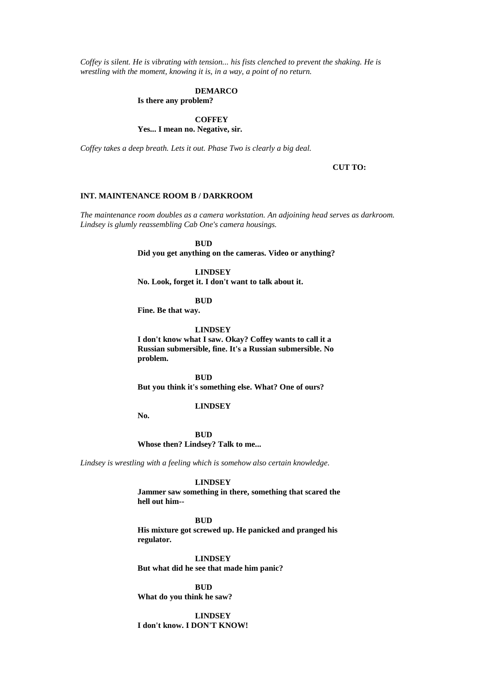*Coffey is silent. He is vibrating with tension... his fists clenched to prevent the shaking. He is wrestling with the moment, knowing it is, in a way, a point of no return.*

### **DEMARCO**

**Is there any problem?**

## **COFFEY**

**Yes... I mean no. Negative, sir.**

*Coffey takes a deep breath. Lets it out. Phase Two is clearly a big deal.*

### **CUT TO:**

### **INT. MAINTENANCE ROOM B / DARKROOM**

*The maintenance room doubles as a camera workstation. An adjoining head serves as darkroom. Lindsey is glumly reassembling Cab One's camera housings.*

## **BUD**

**Did you get anything on the cameras. Video or anything?**

### **LINDSEY**

**No. Look, forget it. I don't want to talk about it.**

### **BUD**

**Fine. Be that way.**

#### **LINDSEY**

**I don't know what I saw. Okay? Coffey wants to call it a Russian submersible, fine. It's a Russian submersible. No problem.**

**BUD But you think it's something else. What? One of ours?**

#### **LINDSEY**

**No.**

**BUD Whose then? Lindsey? Talk to me...**

*Lindsey is wrestling with a feeling which is somehow also certain knowledge.*

#### **LINDSEY**

**Jammer saw something in there, something that scared the hell out him--**

### **BUD**

**His mixture got screwed up. He panicked and pranged his regulator.**

**LINDSEY But what did he see that made him panic?**

**BUD What do you think he saw?**

**LINDSEY I don't know. I DON'T KNOW!**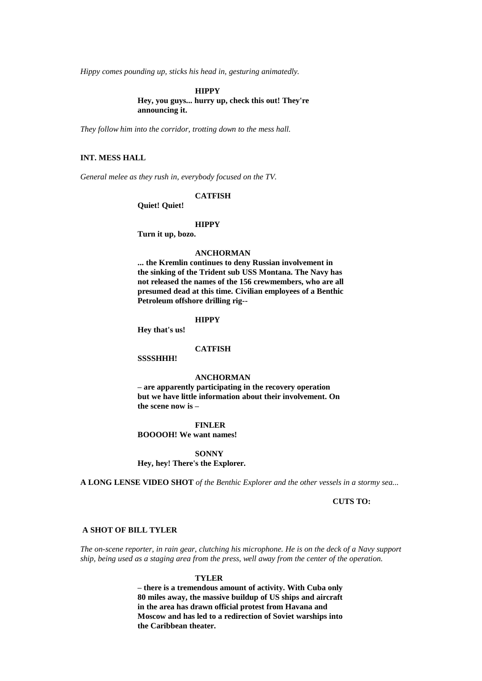*Hippy comes pounding up, sticks his head in, gesturing animatedly.*

**HIPPY Hey, you guys... hurry up, check this out! They're announcing it.**

*They follow him into the corridor, trotting down to the mess hall.*

## **INT. MESS HALL**

*General melee as they rush in, everybody focused on the TV.*

### **CATFISH**

**Quiet! Quiet!**

### **HIPPY**

**Turn it up, bozo.**

### **ANCHORMAN**

**... the Kremlin continues to deny Russian involvement in the sinking of the Trident sub USS Montana. The Navy has not released the names of the 156 crewmembers, who are all presumed dead at this time. Civilian employees of a Benthic Petroleum offshore drilling rig--**

### **HIPPY**

**Hey that's us!**

### **CATFISH**

**SSSSHHH!**

### **ANCHORMAN**

**– are apparently participating in the recovery operation but we have little information about their involvement. On the scene now is –**

## **FINLER**

**BOOOOH! We want names!**

**SONNY Hey, hey! There's the Explorer.**

**A LONG LENSE VIDEO SHOT** *of the Benthic Explorer and the other vessels in a stormy sea...*

### **CUTS TO:**

### **A SHOT OF BILL TYLER**

*The on-scene reporter, in rain gear, clutching his microphone. He is on the deck of a Navy support ship, being used as a staging area from the press, well away from the center of the operation.*

#### **TYLER**

**– there is a tremendous amount of activity. With Cuba only 80 miles away, the massive buildup of US ships and aircraft in the area has drawn official protest from Havana and Moscow and has led to a redirection of Soviet warships into the Caribbean theater.**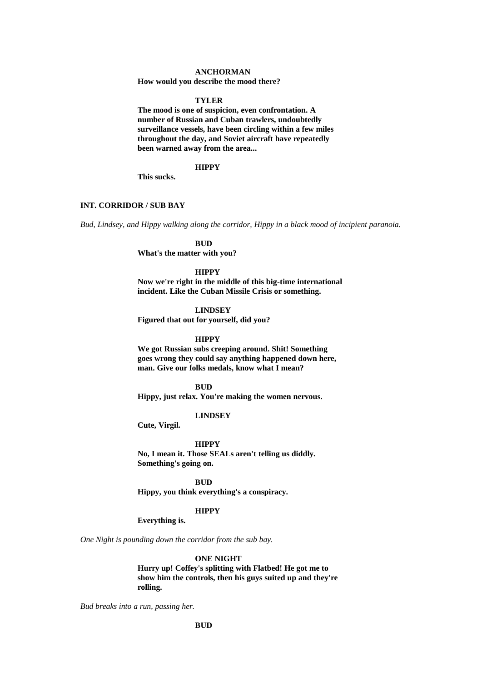#### **ANCHORMAN**

**How would you describe the mood there?**

#### **TYLER**

**The mood is one of suspicion, even confrontation. A number of Russian and Cuban trawlers, undoubtedly surveillance vessels, have been circling within a few miles throughout the day, and Soviet aircraft have repeatedly been warned away from the area...**

### **HIPPY**

**This sucks.**

## **INT. CORRIDOR / SUB BAY**

*Bud, Lindsey, and Hippy walking along the corridor, Hippy in a black mood of incipient paranoia.*

**BUD**

**What's the matter with you?**

#### **HIPPY**

**Now we're right in the middle of this big-time international incident. Like the Cuban Missile Crisis or something.**

#### **LINDSEY**

**Figured that out for yourself, did you?**

#### **HIPPY**

**We got Russian subs creeping around. Shit! Something goes wrong they could say anything happened down here, man. Give our folks medals, know what I mean?**

## **BUD**

**Hippy, just relax. You're making the women nervous.**

### **LINDSEY**

**Cute, Virgil.**

#### **HIPPY**

**No, I mean it. Those SEALs aren't telling us diddly. Something's going on.**

#### **BUD**

**Hippy, you think everything's a conspiracy.**

#### **HIPPY**

## **Everything is.**

*One Night is pounding down the corridor from the sub bay.*

#### **ONE NIGHT**

**Hurry up! Coffey's splitting with Flatbed! He got me to show him the controls, then his guys suited up and they're rolling.**

*Bud breaks into a run, passing her.*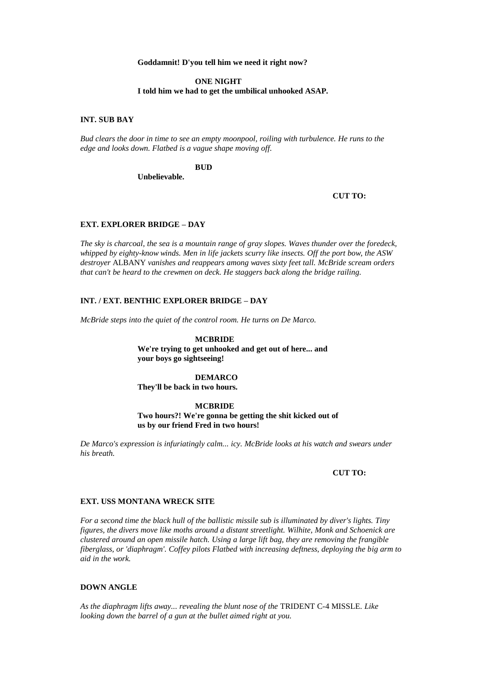### **Goddamnit! D'you tell him we need it right now?**

#### **ONE NIGHT I told him we had to get the umbilical unhooked ASAP.**

### **INT. SUB BAY**

*Bud clears the door in time to see an empty moonpool, roiling with turbulence. He runs to the edge and looks down. Flatbed is a vague shape moving off.*

## **BUD**

**Unbelievable.**

### **CUT TO:**

### **EXT. EXPLORER BRIDGE – DAY**

*The sky is charcoal, the sea is a mountain range of gray slopes. Waves thunder over the foredeck, whipped by eighty-know winds. Men in life jackets scurry like insects. Off the port bow, the ASW destroyer* ALBANY *vanishes and reappears among waves sixty feet tall. McBride scream orders that can't be heard to the crewmen on deck. He staggers back along the bridge railing.*

### **INT. / EXT. BENTHIC EXPLORER BRIDGE – DAY**

*McBride steps into the quiet of the control room. He turns on De Marco.*

#### **MCBRIDE**

**We're trying to get unhooked and get out of here... and your boys go sightseeing!**

## **DEMARCO**

**They'll be back in two hours.**

### **MCBRIDE**

**Two hours?! We're gonna be getting the shit kicked out of us by our friend Fred in two hours!**

*De Marco's expression is infuriatingly calm... icy. McBride looks at his watch and swears under his breath.*

### **CUT TO:**

#### **EXT. USS MONTANA WRECK SITE**

*For a second time the black hull of the ballistic missile sub is illuminated by diver's lights. Tiny figures, the divers move like moths around a distant streetlight. Wilhite, Monk and Schoenick are clustered around an open missile hatch. Using a large lift bag, they are removing the frangible fiberglass, or 'diaphragm'. Coffey pilots Flatbed with increasing deftness, deploying the big arm to aid in the work.*

### **DOWN ANGLE**

*As the diaphragm lifts away... revealing the blunt nose of the* TRIDENT C-4 MISSLE*. Like looking down the barrel of a gun at the bullet aimed right at you.*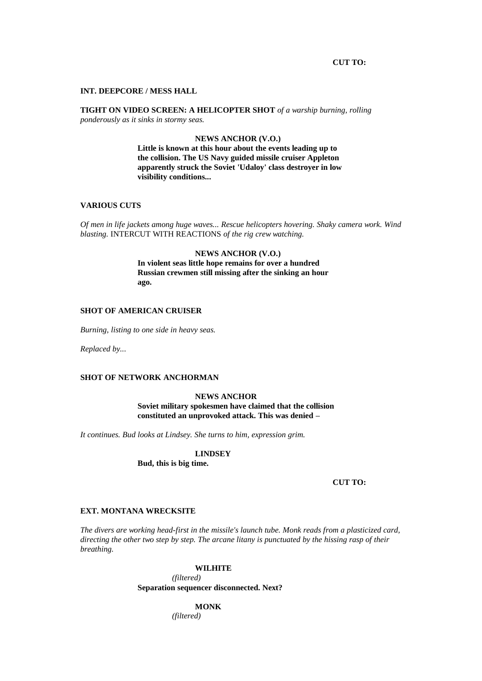#### **CUT TO:**

#### **INT. DEEPCORE / MESS HALL**

**TIGHT ON VIDEO SCREEN: A HELICOPTER SHOT** *of a warship burning, rolling ponderously as it sinks in stormy seas.*

#### **NEWS ANCHOR (V.O.)**

**Little is known at this hour about the events leading up to the collision. The US Navy guided missile cruiser Appleton apparently struck the Soviet 'Udaloy' class destroyer in low visibility conditions...**

#### **VARIOUS CUTS**

*Of men in life jackets among huge waves... Rescue helicopters hovering. Shaky camera work. Wind blasting.* INTERCUT WITH REACTIONS *of the rig crew watching.*

## **NEWS ANCHOR (V.O.) In violent seas little hope remains for over a hundred Russian crewmen still missing after the sinking an hour ago.**

### **SHOT OF AMERICAN CRUISER**

*Burning, listing to one side in heavy seas.*

*Replaced by...*

## **SHOT OF NETWORK ANCHORMAN**

# **NEWS ANCHOR**

**Soviet military spokesmen have claimed that the collision constituted an unprovoked attack. This was denied –**

*It continues. Bud looks at Lindsey. She turns to him, expression grim.*

**LINDSEY**

**Bud, this is big time.**

**CUT TO:**

### **EXT. MONTANA WRECKSITE**

*The divers are working head-first in the missile's launch tube. Monk reads from a plasticized card, directing the other two step by step. The arcane litany is punctuated by the hissing rasp of their breathing.*

### **WILHITE**

*(filtered)* **Separation sequencer disconnected. Next?**

**MONK**

*(filtered)*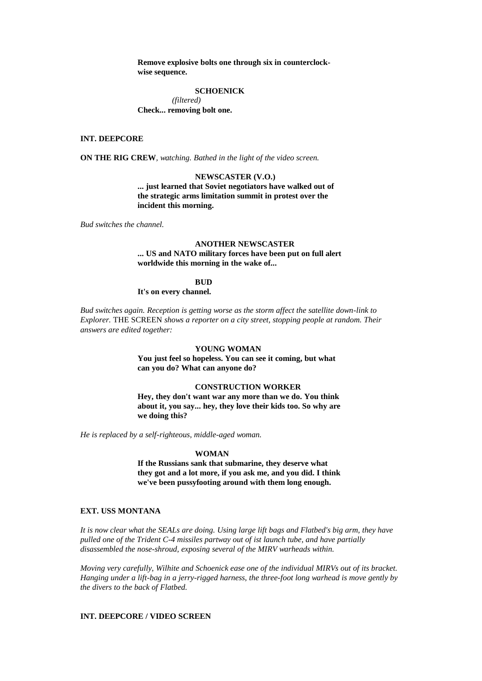**Remove explosive bolts one through six in counterclockwise sequence.**

#### **SCHOENICK**

*(filtered)* **Check... removing bolt one.**

### **INT. DEEPCORE**

**ON THE RIG CREW***, watching. Bathed in the light of the video screen.*

#### **NEWSCASTER (V.O.)**

**... just learned that Soviet negotiators have walked out of the strategic arms limitation summit in protest over the incident this morning.**

*Bud switches the channel.*

## **ANOTHER NEWSCASTER ... US and NATO military forces have been put on full alert worldwide this morning in the wake of...**

# **BUD**

**It's on every channel.**

*Bud switches again. Reception is getting worse as the storm affect the satellite down-link to Explorer.* THE SCREEN *shows a reporter on a city street, stopping people at random. Their answers are edited together:*

#### **YOUNG WOMAN**

**You just feel so hopeless. You can see it coming, but what can you do? What can anyone do?**

## **CONSTRUCTION WORKER**

**Hey, they don't want war any more than we do. You think about it, you say... hey, they love their kids too. So why are we doing this?**

*He is replaced by a self-righteous, middle-aged woman.*

#### **WOMAN**

**If the Russians sank that submarine, they deserve what they got and a lot more, if you ask me, and you did. I think we've been pussyfooting around with them long enough.**

### **EXT. USS MONTANA**

*It is now clear what the SEALs are doing. Using large lift bags and Flatbed's big arm, they have pulled one of the Trident C-4 missiles partway out of ist launch tube, and have partially disassembled the nose-shroud, exposing several of the MIRV warheads within.*

*Moving very carefully, Wilhite and Schoenick ease one of the individual MIRVs out of its bracket. Hanging under a lift-bag in a jerry-rigged harness, the three-foot long warhead is move gently by the divers to the back of Flatbed.*

## **INT. DEEPCORE / VIDEO SCREEN**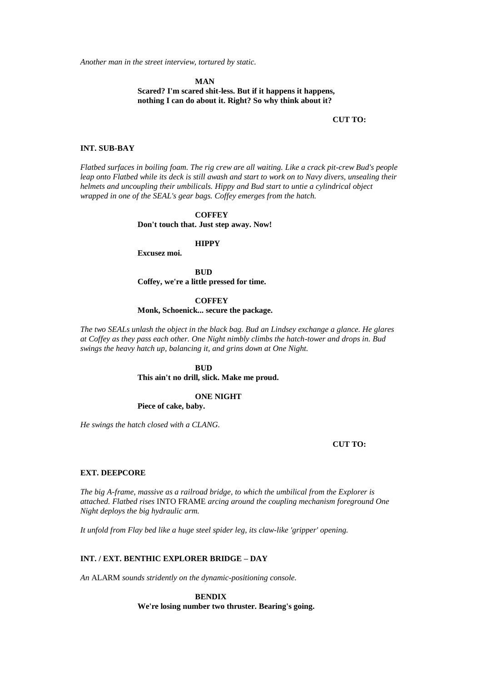*Another man in the street interview, tortured by static.*

**MAN Scared? I'm scared shit-less. But if it happens it happens, nothing I can do about it. Right? So why think about it?**

#### **CUT TO:**

## **INT. SUB-BAY**

*Flatbed surfaces in boiling foam. The rig crew are all waiting. Like a crack pit-crew Bud's people leap onto Flatbed while its deck is still awash and start to work on to Navy divers, unsealing their helmets and uncoupling their umbilicals. Hippy and Bud start to untie a cylindrical object wrapped in one of the SEAL's gear bags. Coffey emerges from the hatch.*

## **COFFEY Don't touch that. Just step away. Now!**

### **HIPPY**

**Excusez moi.**

**BUD Coffey, we're a little pressed for time.**

#### **COFFEY**

**Monk, Schoenick... secure the package.**

*The two SEALs unlash the object in the black bag. Bud an Lindsey exchange a glance. He glares at Coffey as they pass each other. One Night nimbly climbs the hatch-tower and drops in. Bud swings the heavy hatch up, balancing it, and grins down at One Night.*

## **BUD**

**This ain't no drill, slick. Make me proud.**

# **ONE NIGHT**

**Piece of cake, baby.**

*He swings the hatch closed with a CLANG.*

#### **CUT TO:**

### **EXT. DEEPCORE**

*The big A-frame, massive as a railroad bridge, to which the umbilical from the Explorer is attached. Flatbed rises* INTO FRAME *arcing around the coupling mechanism foreground One Night deploys the big hydraulic arm.*

*It unfold from Flay bed like a huge steel spider leg, its claw-like 'gripper' opening.*

#### **INT. / EXT. BENTHIC EXPLORER BRIDGE – DAY**

*An* ALARM *sounds stridently on the dynamic-positioning console.*

**BENDIX We're losing number two thruster. Bearing's going.**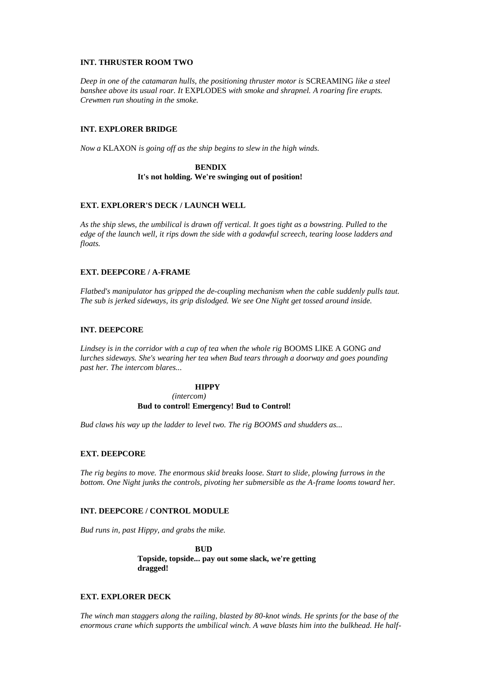### **INT. THRUSTER ROOM TWO**

*Deep in one of the catamaran hulls, the positioning thruster motor is* SCREAMING *like a steel banshee above its usual roar. It* EXPLODES *with smoke and shrapnel. A roaring fire erupts. Crewmen run shouting in the smoke.*

## **INT. EXPLORER BRIDGE**

*Now a* KLAXON *is going off as the ship begins to slew in the high winds.*

## **BENDIX It's not holding. We're swinging out of position!**

## **EXT. EXPLORER'S DECK / LAUNCH WELL**

*As the ship slews, the umbilical is drawn off vertical. It goes tight as a bowstring. Pulled to the edge of the launch well, it rips down the side with a godawful screech, tearing loose ladders and floats.*

## **EXT. DEEPCORE / A-FRAME**

*Flatbed's manipulator has gripped the de-coupling mechanism when the cable suddenly pulls taut. The sub is jerked sideways, its grip dislodged. We see One Night get tossed around inside.*

## **INT. DEEPCORE**

*Lindsey is in the corridor with a cup of tea when the whole rig* BOOMS LIKE A GONG *and lurches sideways. She's wearing her tea when Bud tears through a doorway and goes pounding past her. The intercom blares...*

## **HIPPY**

*(intercom)*

#### **Bud to control! Emergency! Bud to Control!**

*Bud claws his way up the ladder to level two. The rig BOOMS and shudders as...*

## **EXT. DEEPCORE**

*The rig begins to move. The enormous skid breaks loose. Start to slide, plowing furrows in the bottom. One Night junks the controls, pivoting her submersible as the A-frame looms toward her.*

## **INT. DEEPCORE / CONTROL MODULE**

*Bud runs in, past Hippy, and grabs the mike.*

**BUD Topside, topside... pay out some slack, we're getting dragged!**

## **EXT. EXPLORER DECK**

*The winch man staggers along the railing, blasted by 80-knot winds. He sprints for the base of the enormous crane which supports the umbilical winch. A wave blasts him into the bulkhead. He half-*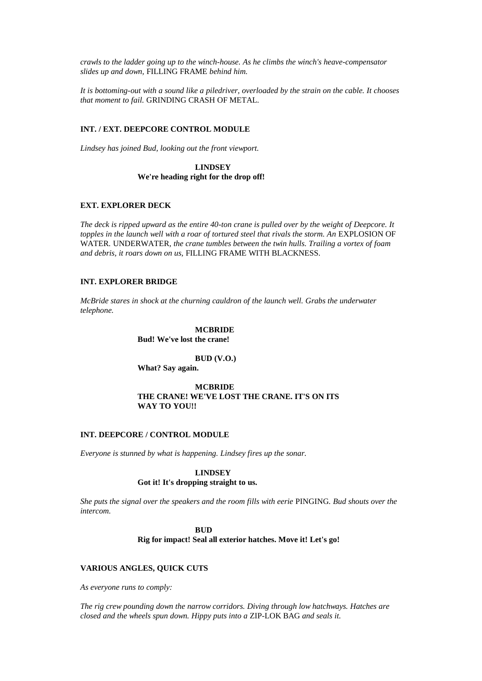*crawls to the ladder going up to the winch-house. As he climbs the winch's heave-compensator slides up and down,* FILLING FRAME *behind him.*

*It is bottoming-out with a sound like a piledriver, overloaded by the strain on the cable. It chooses that moment to fail.* GRINDING CRASH OF METAL*.*

## **INT. / EXT. DEEPCORE CONTROL MODULE**

*Lindsey has joined Bud, looking out the front viewport.*

**LINDSEY We're heading right for the drop off!**

## **EXT. EXPLORER DECK**

*The deck is ripped upward as the entire 40-ton crane is pulled over by the weight of Deepcore. It*  topples in the launch well with a roar of tortured steel that rivals the storm. An EXPLOSION OF WATER*.* UNDERWATER*, the crane tumbles between the twin hulls. Trailing a vortex of foam and debris, it roars down on us,* FILLING FRAME WITH BLACKNESS*.*

### **INT. EXPLORER BRIDGE**

*McBride stares in shock at the churning cauldron of the launch well. Grabs the underwater telephone.*

> **MCBRIDE Bud! We've lost the crane!**

## **BUD (V.O.)**

**What? Say again.**

## **MCBRIDE THE CRANE! WE'VE LOST THE CRANE. IT'S ON ITS WAY TO YOU!!**

#### **INT. DEEPCORE / CONTROL MODULE**

*Everyone is stunned by what is happening. Lindsey fires up the sonar.*

#### **LINDSEY**

## **Got it! It's dropping straight to us.**

*She puts the signal over the speakers and the room fills with eerie* PINGING*. Bud shouts over the intercom.*

> **BUD Rig for impact! Seal all exterior hatches. Move it! Let's go!**

### **VARIOUS ANGLES, QUICK CUTS**

*As everyone runs to comply:*

*The rig crew pounding down the narrow corridors. Diving through low hatchways. Hatches are closed and the wheels spun down. Hippy puts into a* ZIP-LOK BAG *and seals it.*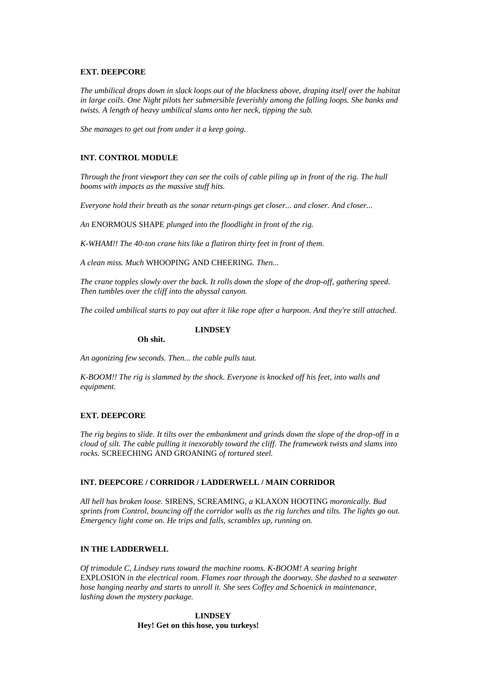### **EXT. DEEPCORE**

*The umbilical drops down in slack loops out of the blackness above, draping itself over the habitat in large coils. One Night pilots her submersible feverishly among the falling loops. She banks and twists. A length of heavy umbilical slams onto her neck, tipping the sub.*

*She manages to get out from under it a keep going.*

#### **INT. CONTROL MODULE**

*Through the front viewport they can see the coils of cable piling up in front of the rig. The hull booms with impacts as the massive stuff hits.*

*Everyone hold their breath as the sonar return-pings get closer... and closer. And closer...*

*An* ENORMOUS SHAPE *plunged into the floodlight in front of the rig.*

*K-WHAM!! The 40-ton crane hits like a flatiron thirty feet in front of them.*

**LINDSEY**

*A clean miss. Much* WHOOPING AND CHEERING*. Then...*

*The crane topples slowly over the back. It rolls down the slope of the drop-off, gathering speed. Then tumbles over the cliff into the abyssal canyon.*

*The coiled umbilical starts to pay out after it like rope after a harpoon. And they're still attached.*

# **Oh shit.**

*An agonizing few seconds. Then... the cable pulls taut.*

*K-BOOM!! The rig is slammed by the shock. Everyone is knocked off his feet, into walls and equipment.*

#### **EXT. DEEPCORE**

*The rig begins to slide. It tilts over the embankment and grinds down the slope of the drop-off in a cloud of silt. The cable pulling it inexorably toward the cliff. The framework twists and slams into rocks.* SCREECHING AND GROANING *of tortured steel.*

### **INT. DEEPCORE / CORRIDOR / LADDERWELL / MAIN CORRIDOR**

*All hell has broken loose.* SIRENS*,* SCREAMING*, a* KLAXON HOOTING *moronically. Bud sprints from Control, bouncing off the corridor walls as the rig lurches and tilts. The lights go out. Emergency light come on. He trips and falls, scrambles up, running on.*

#### **IN THE LADDERWELL**

*Of trimodule C, Lindsey runs toward the machine rooms. K-BOOM! A searing bright*  EXPLOSION *in the electrical room. Flames roar through the doorway. She dashed to a seawater hose hanging nearby and starts to unroll it. She sees Coffey and Schoenick in maintenance, lashing down the mystery package.*

> **LINDSEY Hey! Get on this hose, you turkeys!**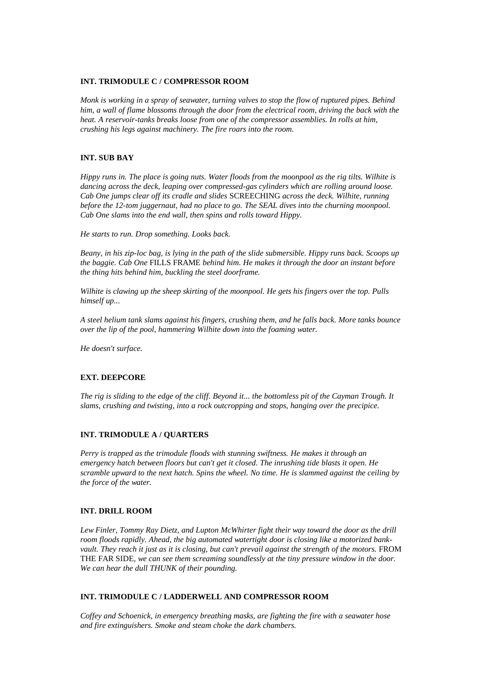### **INT. TRIMODULE C / COMPRESSOR ROOM**

*Monk is working in a spray of seawater, turning valves to stop the flow of ruptured pipes. Behind him, a wall of flame blossoms through the door from the electrical room, driving the back with the heat. A reservoir-tanks breaks loose from one of the compressor assemblies. In rolls at him, crushing his legs against machinery. The fire roars into the room.*

## **INT. SUB BAY**

*Hippy runs in. The place is going nuts. Water floods from the moonpool as the rig tilts. Wilhite is dancing across the deck, leaping over compressed-gas cylinders which are rolling around loose. Cab One jumps clear off its cradle and slides* SCREECHING *across the deck. Wilhite, running before the 12-tom juggernaut, had no place to go. The SEAL dives into the churning moonpool. Cab One slams into the end wall, then spins and rolls toward Hippy.*

*He starts to run. Drop something. Looks back.*

*Beany, in his zip-loc bag, is lying in the path of the slide submersible. Hippy runs back. Scoops up the baggie. Cab One* FILLS FRAME *behind him. He makes it through the door an instant before the thing hits behind him, buckling the steel doorframe.*

*Wilhite is clawing up the sheep skirting of the moonpool. He gets his fingers over the top. Pulls himself up...*

*A steel helium tank slams against his fingers, crushing them, and he falls back. More tanks bounce over the lip of the pool, hammering Wilhite down into the foaming water.*

*He doesn't surface.*

## **EXT. DEEPCORE**

*The rig is sliding to the edge of the cliff. Beyond it... the bottomless pit of the Cayman Trough. It slams, crushing and twisting, into a rock outcropping and stops, hanging over the precipice.*

## **INT. TRIMODULE A / QUARTERS**

*Perry is trapped as the trimodule floods with stunning swiftness. He makes it through an emergency hatch between floors but can't get it closed. The inrushing tide blasts it open. He scramble upward to the next hatch. Spins the wheel. No time. He is slammed against the ceiling by the force of the water.*

## **INT. DRILL ROOM**

*Lew Finler, Tommy Ray Dietz, and Lupton McWhirter fight their way toward the door as the drill room floods rapidly. Ahead, the big automated watertight door is closing like a motorized bankvault. They reach it just as it is closing, but can't prevail against the strength of the motors.* FROM THE FAR SIDE*, we can see them screaming soundlessly at the tiny pressure window in the door. We can hear the dull THUNK of their pounding.*

## **INT. TRIMODULE C / LADDERWELL AND COMPRESSOR ROOM**

*Coffey and Schoenick, in emergency breathing masks, are fighting the fire with a seawater hose and fire extinguishers. Smoke and steam choke the dark chambers.*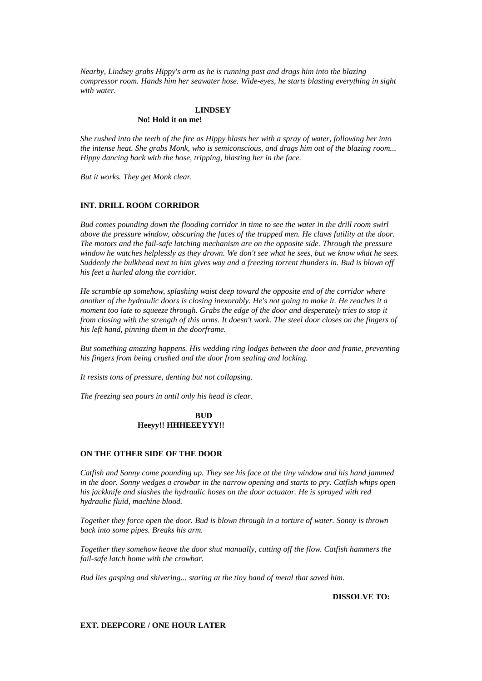*Nearby, Lindsey grabs Hippy's arm as he is running past and drags him into the blazing compressor room. Hands him her seawater hose. Wide-eyes, he starts blasting everything in sight with water.*

## **LINDSEY**

### **No! Hold it on me!**

*She rushed into the teeth of the fire as Hippy blasts her with a spray of water, following her into the intense heat. She grabs Monk, who is semiconscious, and drags him out of the blazing room... Hippy dancing back with the hose, tripping, blasting her in the face.*

*But it works. They get Monk clear.*

### **INT. DRILL ROOM CORRIDOR**

*Bud comes pounding down the flooding corridor in time to see the water in the drill room swirl above the pressure window, obscuring the faces of the trapped men. He claws futility at the door. The motors and the fail-safe latching mechanism are on the opposite side. Through the pressure window he watches helplessly as they drown. We don't see what he sees, but we know what he sees. Suddenly the bulkhead next to him gives way and a freezing torrent thunders in. Bud is blown off his feet a hurled along the corridor.*

*He scramble up somehow, splashing waist deep toward the opposite end of the corridor where another of the hydraulic doors is closing inexorably. He's not going to make it. He reaches it a moment too late to squeeze through. Grabs the edge of the door and desperately tries to stop it from closing with the strength of this arms. It doesn't work. The steel door closes on the fingers of his left hand, pinning them in the doorframe.*

*But something amazing happens. His wedding ring lodges between the door and frame, preventing his fingers from being crushed and the door from sealing and locking.*

*It resists tons of pressure, denting but not collapsing.*

*The freezing sea pours in until only his head is clear.*

#### **BUD Heeyy!! HHHEEEYYY!!**

#### **ON THE OTHER SIDE OF THE DOOR**

*Catfish and Sonny come pounding up. They see his face at the tiny window and his hand jammed in the door. Sonny wedges a crowbar in the narrow opening and starts to pry. Catfish whips open his jackknife and slashes the hydraulic hoses on the door actuator. He is sprayed with red hydraulic fluid, machine blood.*

*Together they force open the door. Bud is blown through in a torture of water. Sonny is thrown back into some pipes. Breaks his arm.*

*Together they somehow heave the door shut manually, cutting off the flow. Catfish hammers the fail-safe latch home with the crowbar.*

*Bud lies gasping and shivering... staring at the tiny band of metal that saved him.*

**DISSOLVE TO:**

### **EXT. DEEPCORE / ONE HOUR LATER**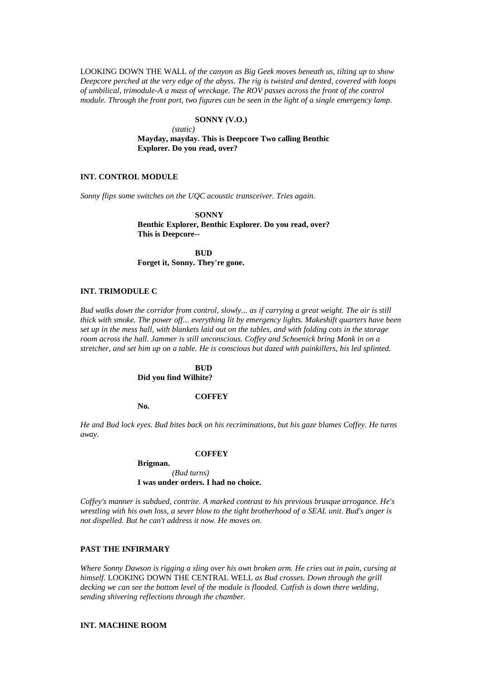LOOKING DOWN THE WALL *of the canyon as Big Geek moves beneath us, tilting up to show Deepcore perched at the very edge of the abyss. The rig is twisted and dented, covered with loops of umbilical, trimodule-A a mass of wreckage. The ROV passes across the front of the control module. Through the front port, two figures can be seen in the light of a single emergency lamp.*

## **SONNY (V.O.)**

*(static)* **Mayday, mayday. This is Deepcore Two calling Benthic Explorer. Do you read, over?**

### **INT. CONTROL MODULE**

*Sonny flips some switches on the UQC acoustic transceiver. Tries again.*

**SONNY Benthic Explorer, Benthic Explorer. Do you read, over? This is Deepcore--**

**BUD Forget it, Sonny. They're gone.**

## **INT. TRIMODULE C**

*Bud walks down the corridor from control, slowly... as if carrying a great weight. The air is still thick with smoke. The power off... everything lit by emergency lights. Makeshift quarters have been set up in the mess hall, with blankets laid out on the tables, and with folding cots in the storage room across the hall. Jammer is still unconscious. Coffey and Schoenick bring Monk in on a stretcher, and set him up on a table. He is conscious but dazed with painkillers, his led splinted.*

> **BUD Did you find Wilhite?**

## **COFFEY**

**No.**

*He and Bud lock eyes. Bud bites back on his recriminations, but his gaze blames Coffey. He turns away.*

#### **COFFEY**

**Brigman.** *(Bud turns)* **I was under orders. I had no choice.**

*Coffey's manner is subdued, contrite. A marked contrast to his previous brusque arrogance. He's wrestling with his own loss, a sever blow to the tight brotherhood of a SEAL unit. Bud's anger is not dispelled. But he can't address it now. He moves on.*

#### **PAST THE INFIRMARY**

*Where Sonny Dawson is rigging a sling over his own broken arm. He cries out in pain, cursing at himself.* LOOKING DOWN THE CENTRAL WELL *as Bud crosses. Down through the grill decking we can see the bottom level of the module is flooded. Catfish is down there welding, sending shivering reflections through the chamber.*

### **INT. MACHINE ROOM**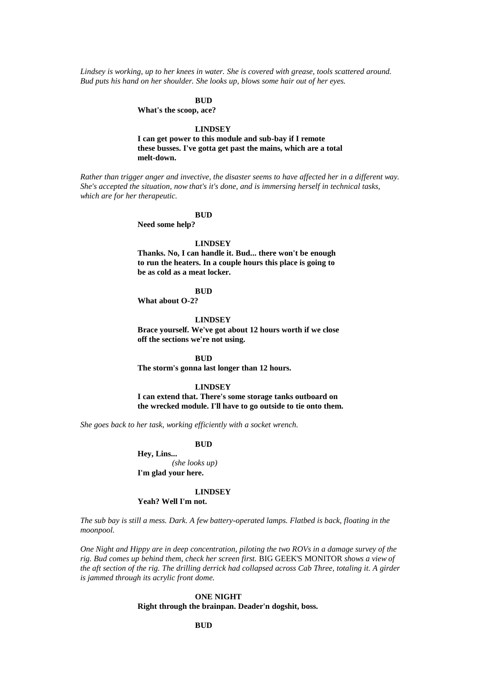*Lindsey is working, up to her knees in water. She is covered with grease, tools scattered around. Bud puts his hand on her shoulder. She looks up, blows some hair out of her eyes.*

## **BUD**

**What's the scoop, ace?**

#### **LINDSEY**

**I can get power to this module and sub-bay if I remote these busses. I've gotta get past the mains, which are a total melt-down.**

*Rather than trigger anger and invective, the disaster seems to have affected her in a different way. She's accepted the situation, now that's it's done, and is immersing herself in technical tasks, which are for her therapeutic.*

#### **BUD**

**Need some help?**

#### **LINDSEY**

**Thanks. No, I can handle it. Bud... there won't be enough to run the heaters. In a couple hours this place is going to be as cold as a meat locker.**

#### **BUD**

**What about O-2?**

#### **LINDSEY**

**Brace yourself. We've got about 12 hours worth if we close off the sections we're not using.**

### **BUD**

**The storm's gonna last longer than 12 hours.**

#### **LINDSEY**

**I can extend that. There's some storage tanks outboard on the wrecked module. I'll have to go outside to tie onto them.**

*She goes back to her task, working efficiently with a socket wrench.*

#### **BUD**

**Hey, Lins...** *(she looks up)* **I'm glad your here.**

#### **LINDSEY**

### **Yeah? Well I'm not.**

*The sub bay is still a mess. Dark. A few battery-operated lamps. Flatbed is back, floating in the moonpool.*

*One Night and Hippy are in deep concentration, piloting the two ROVs in a damage survey of the rig. Bud comes up behind them, check her screen first.* BIG GEEK'S MONITOR *shows a view of the aft section of the rig. The drilling derrick had collapsed across Cab Three, totaling it. A girder is jammed through its acrylic front dome.*

## **ONE NIGHT Right through the brainpan. Deader'n dogshit, boss.**

### **BUD**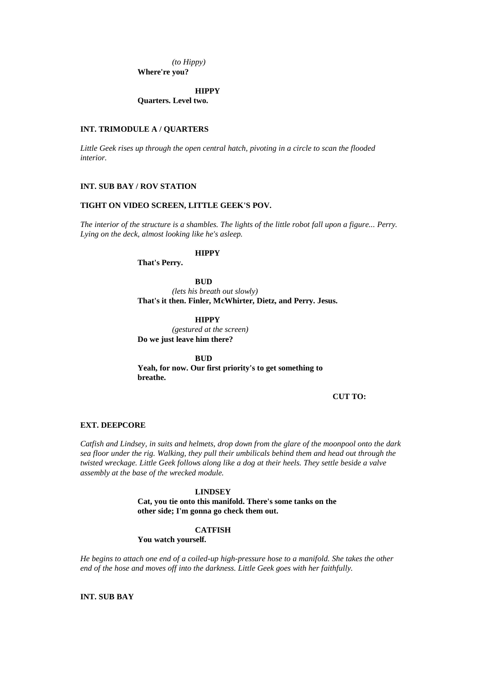*(to Hippy)* **Where're you?**

**HIPPY Quarters. Level two.**

### **INT. TRIMODULE A / QUARTERS**

*Little Geek rises up through the open central hatch, pivoting in a circle to scan the flooded interior.*

### **INT. SUB BAY / ROV STATION**

### **TIGHT ON VIDEO SCREEN, LITTLE GEEK'S POV.**

*The interior of the structure is a shambles. The lights of the little robot fall upon a figure... Perry. Lying on the deck, almost looking like he's asleep.*

## **HIPPY**

**That's Perry.**

### **BUD**

*(lets his breath out slowly)* **That's it then. Finler, McWhirter, Dietz, and Perry. Jesus.**

**HIPPY**

*(gestured at the screen)* **Do we just leave him there?**

**BUD Yeah, for now. Our first priority's to get something to breathe.**

**CUT TO:**

### **EXT. DEEPCORE**

*Catfish and Lindsey, in suits and helmets, drop down from the glare of the moonpool onto the dark sea floor under the rig. Walking, they pull their umbilicals behind them and head out through the twisted wreckage. Little Geek follows along like a dog at their heels. They settle beside a valve assembly at the base of the wrecked module.*

### **LINDSEY**

**Cat, you tie onto this manifold. There's some tanks on the other side; I'm gonna go check them out.**

#### **CATFISH**

**You watch yourself.**

*He begins to attach one end of a coiled-up high-pressure hose to a manifold. She takes the other end of the hose and moves off into the darkness. Little Geek goes with her faithfully.*

**INT. SUB BAY**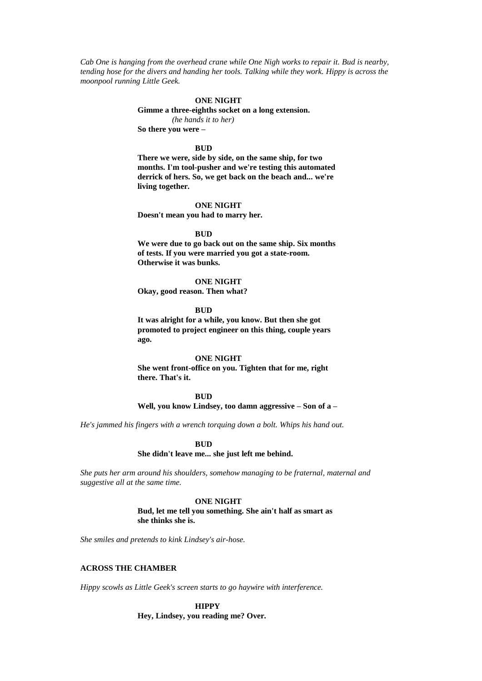*Cab One is hanging from the overhead crane while One Nigh works to repair it. Bud is nearby, tending hose for the divers and handing her tools. Talking while they work. Hippy is across the moonpool running Little Geek.*

#### **ONE NIGHT**

**Gimme a three-eighths socket on a long extension.**

*(he hands it to her)* **So there you were –**

#### **BUD**

**There we were, side by side, on the same ship, for two months. I'm tool-pusher and we're testing this automated derrick of hers. So, we get back on the beach and... we're living together.**

#### **ONE NIGHT**

**Doesn't mean you had to marry her.**

#### **BUD**

**We were due to go back out on the same ship. Six months of tests. If you were married you got a state-room. Otherwise it was bunks.**

#### **ONE NIGHT**

**Okay, good reason. Then what?**

**BUD**

**It was alright for a while, you know. But then she got promoted to project engineer on this thing, couple years ago.**

#### **ONE NIGHT**

**She went front-office on you. Tighten that for me, right there. That's it.**

## **BUD**

#### **Well, you know Lindsey, too damn aggressive – Son of a –**

*He's jammed his fingers with a wrench torquing down a bolt. Whips his hand out.*

#### **BUD**

#### **She didn't leave me... she just left me behind.**

*She puts her arm around his shoulders, somehow managing to be fraternal, maternal and suggestive all at the same time.*

### **ONE NIGHT**

**Bud, let me tell you something. She ain't half as smart as she thinks she is.**

*She smiles and pretends to kink Lindsey's air-hose.*

#### **ACROSS THE CHAMBER**

*Hippy scowls as Little Geek's screen starts to go haywire with interference.*

## **HIPPY Hey, Lindsey, you reading me? Over.**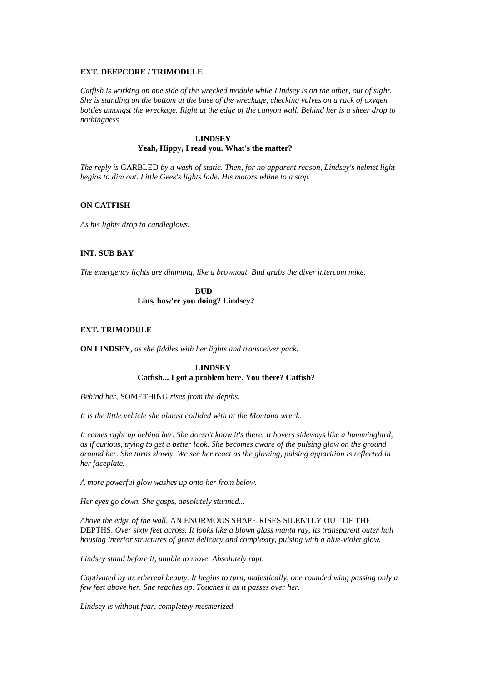#### **EXT. DEEPCORE / TRIMODULE**

*Catfish is working on one side of the wrecked module while Lindsey is on the other, out of sight. She is standing on the bottom at the base of the wreckage, checking valves on a rack of oxygen bottles amongst the wreckage. Right at the edge of the canyon wall. Behind her is a sheer drop to nothingness*

### **LINDSEY**

### **Yeah, Hippy, I read you. What's the matter?**

*The reply is* GARBLED *by a wash of static. Then, for no apparent reason, Lindsey's helmet light begins to dim out. Little Geek's lights fade. His motors whine to a stop.*

### **ON CATFISH**

*As his lights drop to candleglows.*

## **INT. SUB BAY**

*The emergency lights are dimming, like a brownout. Bud grabs the diver intercom mike.*

**BUD Lins, how're you doing? Lindsey?**

### **EXT. TRIMODULE**

**ON LINDSEY***, as she fiddles with her lights and transceiver pack.*

## **LINDSEY Catfish... I got a problem here. You there? Catfish?**

*Behind her,* SOMETHING *rises from the depths.*

*It is the little vehicle she almost collided with at the Montana wreck.*

*It comes right up behind her. She doesn't know it's there. It hovers sideways like a hummingbird, as if curious, trying to get a better look. She becomes aware of the pulsing glow on the ground around her. She turns slowly. We see her react as the glowing, pulsing apparition is reflected in her faceplate.*

*A more powerful glow washes up onto her from below.*

*Her eyes go down. She gasps, absolutely stunned...*

*Above the edge of the wall,* AN ENORMOUS SHAPE RISES SILENTLY OUT OF THE DEPTHS*. Over sixty feet across. It looks like a blown glass manta ray, its transparent outer hull housing interior structures of great delicacy and complexity, pulsing with a blue-violet glow.*

*Lindsey stand before it, unable to move. Absolutely rapt.*

*Captivated by its ethereal beauty. It begins to turn, majestically, one rounded wing passing only a few feet above her. She reaches up. Touches it as it passes over her.*

*Lindsey is without fear, completely mesmerized.*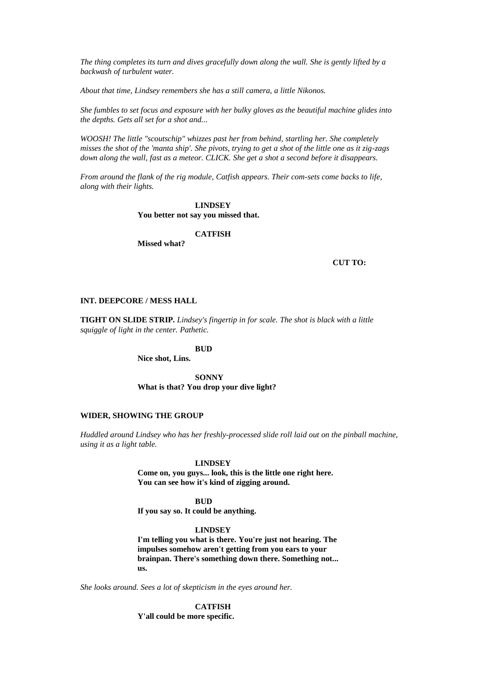*The thing completes its turn and dives gracefully down along the wall. She is gently lifted by a backwash of turbulent water.*

*About that time, Lindsey remembers she has a still camera, a little Nikonos.*

*She fumbles to set focus and exposure with her bulky gloves as the beautiful machine glides into the depths. Gets all set for a shot and...*

*WOOSH! The little "scoutschip" whizzes past her from behind, startling her. She completely misses the shot of the 'manta ship'. She pivots, trying to get a shot of the little one as it zig-zags down along the wall, fast as a meteor. CLICK. She get a shot a second before it disappears.*

*From around the flank of the rig module, Catfish appears. Their com-sets come backs to life, along with their lights.*

> **LINDSEY You better not say you missed that.**

#### **CATFISH**

**Missed what?**

**CUT TO:**

### **INT. DEEPCORE / MESS HALL**

**TIGHT ON SLIDE STRIP.** *Lindsey's fingertip in for scale. The shot is black with a little squiggle of light in the center. Pathetic.*

### **BUD**

**Nice shot, Lins.**

**SONNY What is that? You drop your dive light?**

#### **WIDER, SHOWING THE GROUP**

*Huddled around Lindsey who has her freshly-processed slide roll laid out on the pinball machine, using it as a light table.*

#### **LINDSEY**

**Come on, you guys... look, this is the little one right here. You can see how it's kind of zigging around.**

## **BUD**

**If you say so. It could be anything.**

### **LINDSEY**

**I'm telling you what is there. You're just not hearing. The impulses somehow aren't getting from you ears to your brainpan. There's something down there. Something not... us.**

*She looks around. Sees a lot of skepticism in the eyes around her.*

**CATFISH**

**Y'all could be more specific.**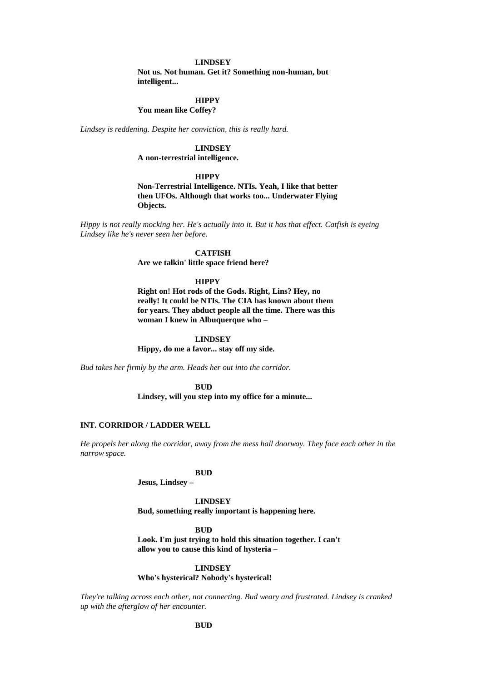#### **LINDSEY**

**Not us. Not human. Get it? Something non-human, but intelligent...**

# **HIPPY**

**You mean like Coffey?**

*Lindsey is reddening. Despite her conviction, this is really hard.*

## **LINDSEY**

**A non-terrestrial intelligence.**

### **HIPPY**

**Non-Terrestrial Intelligence. NTIs. Yeah, I like that better then UFOs. Although that works too... Underwater Flying Objects.**

*Hippy is not really mocking her. He's actually into it. But it has that effect. Catfish is eyeing Lindsey like he's never seen her before.*

#### **CATFISH**

**Are we talkin' little space friend here?**

#### **HIPPY**

**Right on! Hot rods of the Gods. Right, Lins? Hey, no really! It could be NTIs. The CIA has known about them for years. They abduct people all the time. There was this woman I knew in Albuquerque who –**

#### **LINDSEY**

**Hippy, do me a favor... stay off my side.**

*Bud takes her firmly by the arm. Heads her out into the corridor.*

**BUD**

**Lindsey, will you step into my office for a minute...**

### **INT. CORRIDOR / LADDER WELL**

*He propels her along the corridor, away from the mess hall doorway. They face each other in the narrow space.*

#### **BUD**

**Jesus, Lindsey –**

**LINDSEY Bud, something really important is happening here.**

**BUD**

**Look. I'm just trying to hold this situation together. I can't allow you to cause this kind of hysteria –**

#### **LINDSEY**

**Who's hysterical? Nobody's hysterical!**

*They're talking across each other, not connecting. Bud weary and frustrated. Lindsey is cranked up with the afterglow of her encounter.*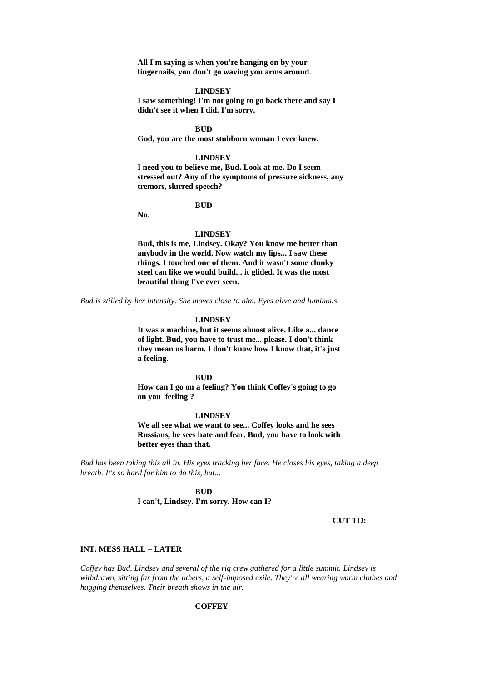**All I'm saying is when you're hanging on by your fingernails, you don't go waving you arms around.**

#### **LINDSEY**

**I saw something! I'm not going to go back there and say I didn't see it when I did. I'm sorry.**

**BUD**

**God, you are the most stubborn woman I ever knew.**

#### **LINDSEY**

**I need you to believe me, Bud. Look at me. Do I seem stressed out? Any of the symptoms of pressure sickness, any tremors, slurred speech?**

#### **BUD**

**No.**

#### **LINDSEY**

**Bud, this is me, Lindsey. Okay? You know me better than anybody in the world. Now watch my lips... I saw these things. I touched one of them. And it wasn't some clunky steel can like we would build... it glided. It was the most beautiful thing I've ever seen.**

*Bud is stilled by her intensity. She moves close to him. Eyes alive and luminous.*

#### **LINDSEY**

**It was a machine, but it seems almost alive. Like a... dance of light. Bud, you have to trust me... please. I don't think they mean us harm. I don't know how I know that, it's just a feeling.**

### **BUD**

**How can I go on a feeling? You think Coffey's going to go on you 'feeling'?**

#### **LINDSEY**

**We all see what we want to see... Coffey looks and he sees Russians, he sees hate and fear. Bud, you have to look with better eyes than that.**

*Bud has been taking this all in. His eyes tracking her face. He closes his eyes, taking a deep breath. It's so hard for him to do this, but...*

> **BUD I can't, Lindsey. I'm sorry. How can I?**

#### **CUT TO:**

#### **INT. MESS HALL – LATER**

*Coffey has Bud, Lindsey and several of the rig crew gathered for a little summit. Lindsey is withdrawn, sitting far from the others, a self-imposed exile. They're all wearing warm clothes and hugging themselves. Their breath shows in the air.*

#### **COFFEY**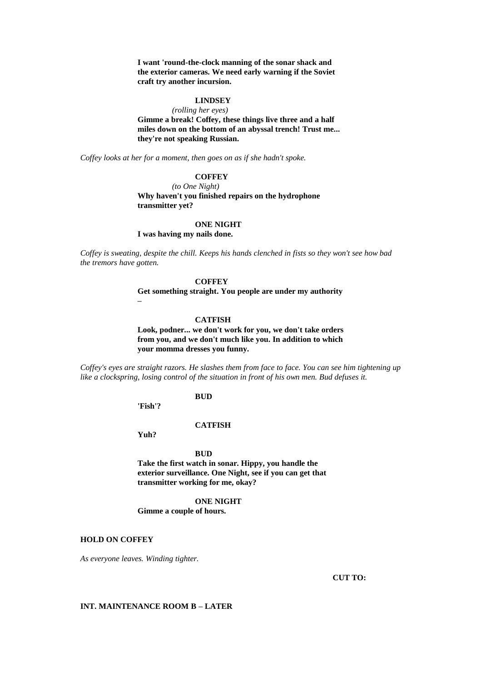**I want 'round-the-clock manning of the sonar shack and the exterior cameras. We need early warning if the Soviet craft try another incursion.**

## **LINDSEY**

*(rolling her eyes)* **Gimme a break! Coffey, these things live three and a half miles down on the bottom of an abyssal trench! Trust me... they're not speaking Russian.**

*Coffey looks at her for a moment, then goes on as if she hadn't spoke.*

## **COFFEY**

*(to One Night)* **Why haven't you finished repairs on the hydrophone transmitter yet?**

#### **ONE NIGHT**

**I was having my nails done.**

*Coffey is sweating, despite the chill. Keeps his hands clenched in fists so they won't see how bad the tremors have gotten.*

#### **COFFEY**

**Get something straight. You people are under my authority –**

## **CATFISH**

**Look, podner... we don't work for you, we don't take orders from you, and we don't much like you. In addition to which your momma dresses you funny.**

*Coffey's eyes are straight razors. He slashes them from face to face. You can see him tightening up like a clockspring, losing control of the situation in front of his own men. Bud defuses it.*

## **BUD**

**'Fish'?**

**CATFISH**

**Yuh?**

#### **BUD**

**Take the first watch in sonar. Hippy, you handle the exterior surveillance. One Night, see if you can get that transmitter working for me, okay?**

#### **ONE NIGHT**

**Gimme a couple of hours.**

## **HOLD ON COFFEY**

*As everyone leaves. Winding tighter.*

**CUT TO:**

### **INT. MAINTENANCE ROOM B – LATER**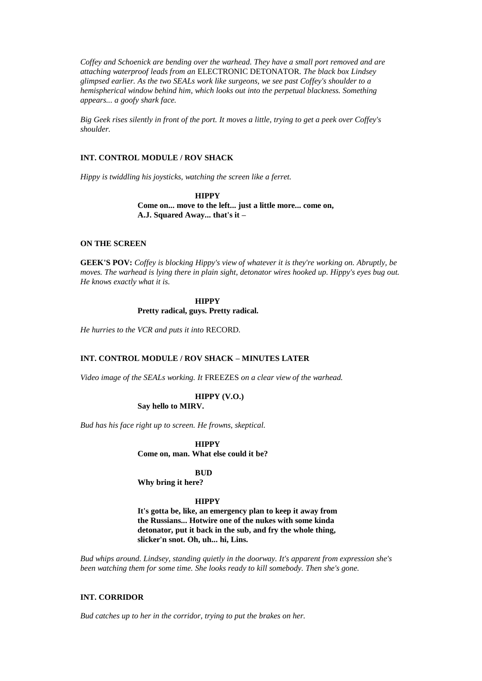*Coffey and Schoenick are bending over the warhead. They have a small port removed and are attaching waterproof leads from an* ELECTRONIC DETONATOR*. The black box Lindsey glimpsed earlier. As the two SEALs work like surgeons, we see past Coffey's shoulder to a hemispherical window behind him, which looks out into the perpetual blackness. Something appears... a goofy shark face.*

*Big Geek rises silently in front of the port. It moves a little, trying to get a peek over Coffey's shoulder.*

## **INT. CONTROL MODULE / ROV SHACK**

*Hippy is twiddling his joysticks, watching the screen like a ferret.*

**HIPPY Come on... move to the left... just a little more... come on, A.J. Squared Away... that's it –**

### **ON THE SCREEN**

**GEEK'S POV:** *Coffey is blocking Hippy's view of whatever it is they're working on. Abruptly, be moves. The warhead is lying there in plain sight, detonator wires hooked up. Hippy's eyes bug out. He knows exactly what it is.*

## **HIPPY Pretty radical, guys. Pretty radical.**

*He hurries to the VCR and puts it into* RECORD*.*

### **INT. CONTROL MODULE / ROV SHACK – MINUTES LATER**

*Video image of the SEALs working. It* FREEZES *on a clear view of the warhead.*

**HIPPY (V.O.) Say hello to MIRV.**

*Bud has his face right up to screen. He frowns, skeptical.*

**HIPPY Come on, man. What else could it be?**

#### **BUD**

**Why bring it here?**

#### **HIPPY**

**It's gotta be, like, an emergency plan to keep it away from the Russians... Hotwire one of the nukes with some kinda detonator, put it back in the sub, and fry the whole thing, slicker'n snot. Oh, uh... hi, Lins.**

*Bud whips around. Lindsey, standing quietly in the doorway. It's apparent from expression she's been watching them for some time. She looks ready to kill somebody. Then she's gone.*

### **INT. CORRIDOR**

*Bud catches up to her in the corridor, trying to put the brakes on her.*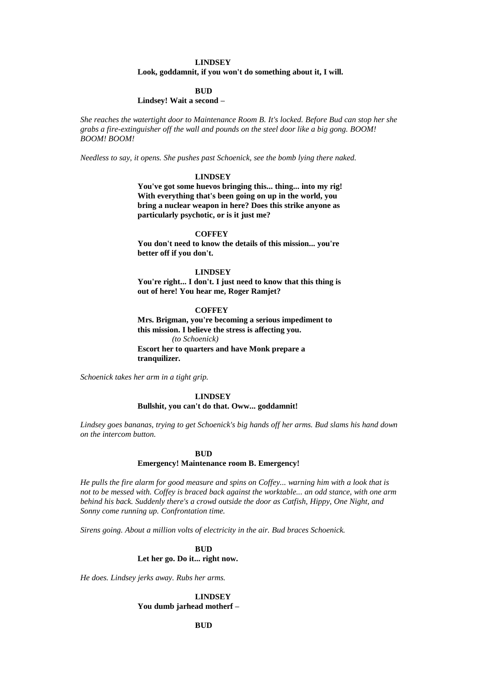### **LINDSEY**

#### **Look, goddamnit, if you won't do something about it, I will.**

### **BUD**

## **Lindsey! Wait a second –**

*She reaches the watertight door to Maintenance Room B. It's locked. Before Bud can stop her she grabs a fire-extinguisher off the wall and pounds on the steel door like a big gong. BOOM! BOOM! BOOM!*

*Needless to say, it opens. She pushes past Schoenick, see the bomb lying there naked.*

#### **LINDSEY**

**You've got some huevos bringing this... thing... into my rig! With everything that's been going on up in the world, you bring a nuclear weapon in here? Does this strike anyone as particularly psychotic, or is it just me?**

#### **COFFEY**

**You don't need to know the details of this mission... you're better off if you don't.**

### **LINDSEY**

You're right... I don't. I just need to know that this thing is **out of here! You hear me, Roger Ramjet?**

#### **COFFEY**

**Mrs. Brigman, you're becoming a serious impediment to this mission. I believe the stress is affecting you.** *(to Schoenick)* **Escort her to quarters and have Monk prepare a tranquilizer.**

*Schoenick takes her arm in a tight grip.*

## **LINDSEY**

#### **Bullshit, you can't do that. Oww... goddamnit!**

*Lindsey goes bananas, trying to get Schoenick's big hands off her arms. Bud slams his hand down on the intercom button.*

#### **BUD**

#### **Emergency! Maintenance room B. Emergency!**

*He pulls the fire alarm for good measure and spins on Coffey... warning him with a look that is not to be messed with. Coffey is braced back against the worktable... an odd stance, with one arm behind his back. Suddenly there's a crowd outside the door as Catfish, Hippy, One Night, and Sonny come running up. Confrontation time.*

*Sirens going. About a million volts of electricity in the air. Bud braces Schoenick.*

## **BUD Let her go. Do it... right now.**

*He does. Lindsey jerks away. Rubs her arms.*

## **LINDSEY You dumb jarhead motherf –**

**BUD**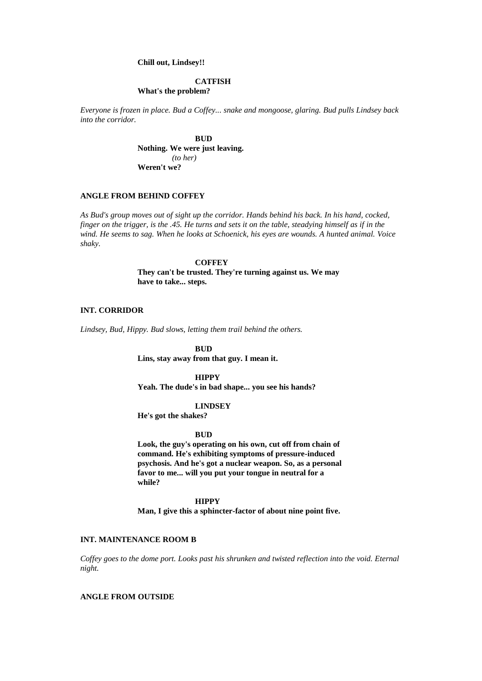### **Chill out, Lindsey!!**

## **CATFISH**

## **What's the problem?**

*Everyone is frozen in place. Bud a Coffey... snake and mongoose, glaring. Bud pulls Lindsey back into the corridor.*

> **BUD Nothing. We were just leaving.** *(to her)* **Weren't we?**

### **ANGLE FROM BEHIND COFFEY**

*As Bud's group moves out of sight up the corridor. Hands behind his back. In his hand, cocked, finger on the trigger, is the .45. He turns and sets it on the table, steadying himself as if in the wind. He seems to sag. When he looks at Schoenick, his eyes are wounds. A hunted animal. Voice shaky.*

> **COFFEY They can't be trusted. They're turning against us. We may have to take... steps.**

#### **INT. CORRIDOR**

*Lindsey, Bud, Hippy. Bud slows, letting them trail behind the others.*

**BUD Lins, stay away from that guy. I mean it.**

### **HIPPY**

**Yeah. The dude's in bad shape... you see his hands?**

#### **LINDSEY**

**He's got the shakes?**

#### **BUD**

**Look, the guy's operating on his own, cut off from chain of command. He's exhibiting symptoms of pressure-induced psychosis. And he's got a nuclear weapon. So, as a personal favor to me... will you put your tongue in neutral for a while?**

### **HIPPY**

**Man, I give this a sphincter-factor of about nine point five.**

## **INT. MAINTENANCE ROOM B**

*Coffey goes to the dome port. Looks past his shrunken and twisted reflection into the void. Eternal night.*

### **ANGLE FROM OUTSIDE**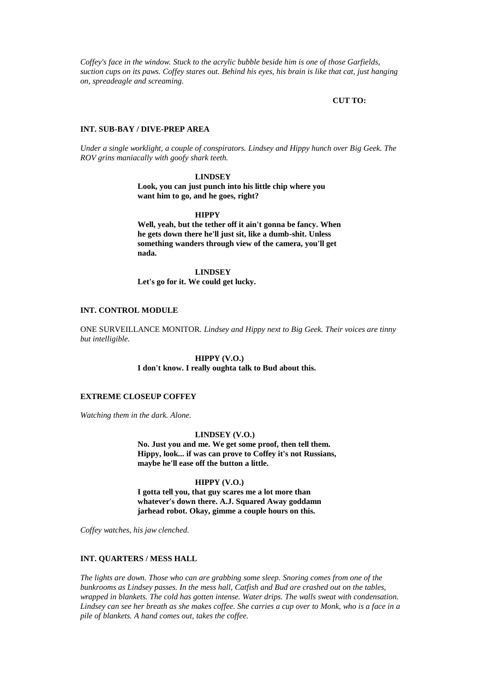*Coffey's face in the window. Stuck to the acrylic bubble beside him is one of those Garfields, suction cups on its paws. Coffey stares out. Behind his eyes, his brain is like that cat, just hanging on, spreadeagle and screaming.*

#### **CUT TO:**

#### **INT. SUB-BAY / DIVE-PREP AREA**

*Under a single worklight, a couple of conspirators. Lindsey and Hippy hunch over Big Geek. The ROV grins maniacally with goofy shark teeth.*

#### **LINDSEY**

**Look, you can just punch into his little chip where you want him to go, and he goes, right?**

#### **HIPPY**

**Well, yeah, but the tether off it ain't gonna be fancy. When he gets down there he'll just sit, like a dumb-shit. Unless something wanders through view of the camera, you'll get nada.**

**LINDSEY Let's go for it. We could get lucky.**

#### **INT. CONTROL MODULE**

ONE SURVEILLANCE MONITOR*. Lindsey and Hippy next to Big Geek. Their voices are tinny but intelligible.*

#### **HIPPY (V.O.) I don't know. I really oughta talk to Bud about this.**

## **EXTREME CLOSEUP COFFEY**

*Watching them in the dark. Alone.*

#### **LINDSEY (V.O.)**

**No. Just you and me. We get some proof, then tell them. Hippy, look... if was can prove to Coffey it's not Russians, maybe he'll ease off the button a little.**

#### **HIPPY (V.O.)**

**I gotta tell you, that guy scares me a lot more than whatever's down there. A.J. Squared Away goddamn jarhead robot. Okay, gimme a couple hours on this.**

*Coffey watches, his jaw clenched.*

#### **INT. QUARTERS / MESS HALL**

*The lights are down. Those who can are grabbing some sleep. Snoring comes from one of the bunkrooms as Lindsey passes. In the mess hall, Catfish and Bud are crashed out on the tables, wrapped in blankets. The cold has gotten intense. Water drips. The walls sweat with condensation. Lindsey can see her breath as she makes coffee. She carries a cup over to Monk, who is a face in a pile of blankets. A hand comes out, takes the coffee.*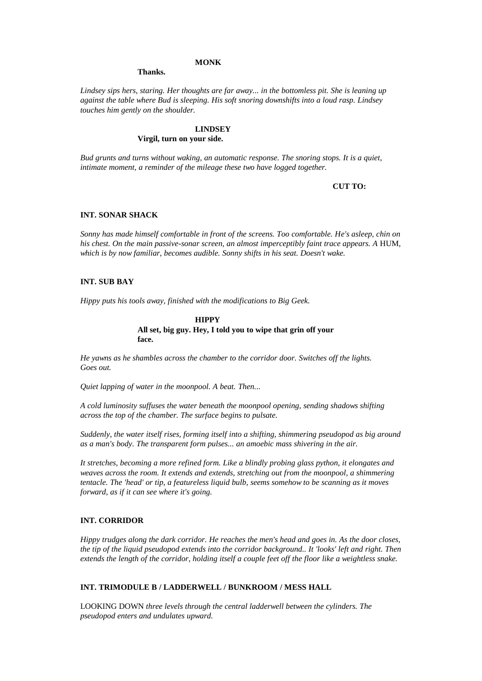### **MONK**

#### **Thanks.**

*Lindsey sips hers, staring. Her thoughts are far away... in the bottomless pit. She is leaning up against the table where Bud is sleeping. His soft snoring downshifts into a loud rasp. Lindsey touches him gently on the shoulder.*

## **LINDSEY Virgil, turn on your side.**

*Bud grunts and turns without waking, an automatic response. The snoring stops. It is a quiet, intimate moment, a reminder of the mileage these two have logged together.*

#### **CUT TO:**

#### **INT. SONAR SHACK**

*Sonny has made himself comfortable in front of the screens. Too comfortable. He's asleep, chin on his chest. On the main passive-sonar screen, an almost imperceptibly faint trace appears. A HUM, which is by now familiar, becomes audible. Sonny shifts in his seat. Doesn't wake.*

### **INT. SUB BAY**

*Hippy puts his tools away, finished with the modifications to Big Geek.*

### **HIPPY All set, big guy. Hey, I told you to wipe that grin off your face.**

*He yawns as he shambles across the chamber to the corridor door. Switches off the lights. Goes out.*

*Quiet lapping of water in the moonpool. A beat. Then...*

*A cold luminosity suffuses the water beneath the moonpool opening, sending shadows shifting across the top of the chamber. The surface begins to pulsate.*

*Suddenly, the water itself rises, forming itself into a shifting, shimmering pseudopod as big around as a man's body. The transparent form pulses... an amoebic mass shivering in the air.*

*It stretches, becoming a more refined form. Like a blindly probing glass python, it elongates and weaves across the room. It extends and extends, stretching out from the moonpool, a shimmering tentacle. The 'head' or tip, a featureless liquid bulb, seems somehow to be scanning as it moves forward, as if it can see where it's going.*

#### **INT. CORRIDOR**

*Hippy trudges along the dark corridor. He reaches the men's head and goes in. As the door closes, the tip of the liquid pseudopod extends into the corridor background.. It 'looks' left and right. Then extends the length of the corridor, holding itself a couple feet off the floor like a weightless snake.*

### **INT. TRIMODULE B / LADDERWELL / BUNKROOM / MESS HALL**

LOOKING DOWN *three levels through the central ladderwell between the cylinders. The pseudopod enters and undulates upward.*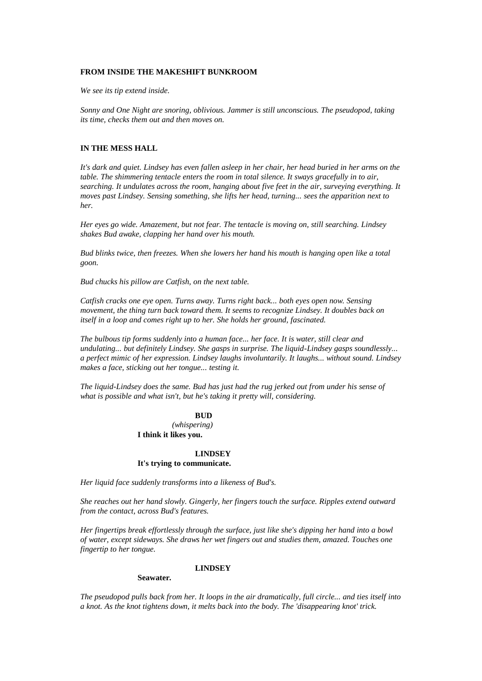#### **FROM INSIDE THE MAKESHIFT BUNKROOM**

*We see its tip extend inside.*

*Sonny and One Night are snoring, oblivious. Jammer is still unconscious. The pseudopod, taking its time, checks them out and then moves on.*

### **IN THE MESS HALL**

*It's dark and quiet. Lindsey has even fallen asleep in her chair, her head buried in her arms on the table. The shimmering tentacle enters the room in total silence. It sways gracefully in to air, searching. It undulates across the room, hanging about five feet in the air, surveying everything. It moves past Lindsey. Sensing something, she lifts her head, turning... sees the apparition next to her.*

*Her eyes go wide. Amazement, but not fear. The tentacle is moving on, still searching. Lindsey shakes Bud awake, clapping her hand over his mouth.*

*Bud blinks twice, then freezes. When she lowers her hand his mouth is hanging open like a total goon.*

*Bud chucks his pillow are Catfish, on the next table.*

*Catfish cracks one eye open. Turns away. Turns right back... both eyes open now. Sensing movement, the thing turn back toward them. It seems to recognize Lindsey. It doubles back on itself in a loop and comes right up to her. She holds her ground, fascinated.*

*The bulbous tip forms suddenly into a human face... her face. It is water, still clear and undulating... but definitely Lindsey. She gasps in surprise. The liquid-Lindsey gasps soundlessly... a perfect mimic of her expression. Lindsey laughs involuntarily. It laughs... without sound. Lindsey makes a face, sticking out her tongue... testing it.*

*The liquid-Lindsey does the same. Bud has just had the rug jerked out from under his sense of what is possible and what isn't, but he's taking it pretty will, considering.*

## **BUD** *(whispering)* **I think it likes you.**

### **LINDSEY It's trying to communicate.**

*Her liquid face suddenly transforms into a likeness of Bud's.*

*She reaches out her hand slowly. Gingerly, her fingers touch the surface. Ripples extend outward from the contact, across Bud's features.*

*Her fingertips break effortlessly through the surface, just like she's dipping her hand into a bowl of water, except sideways. She draws her wet fingers out and studies them, amazed. Touches one fingertip to her tongue.*

#### **LINDSEY**

#### **Seawater.**

*The pseudopod pulls back from her. It loops in the air dramatically, full circle... and ties itself into a knot. As the knot tightens down, it melts back into the body. The 'disappearing knot' trick.*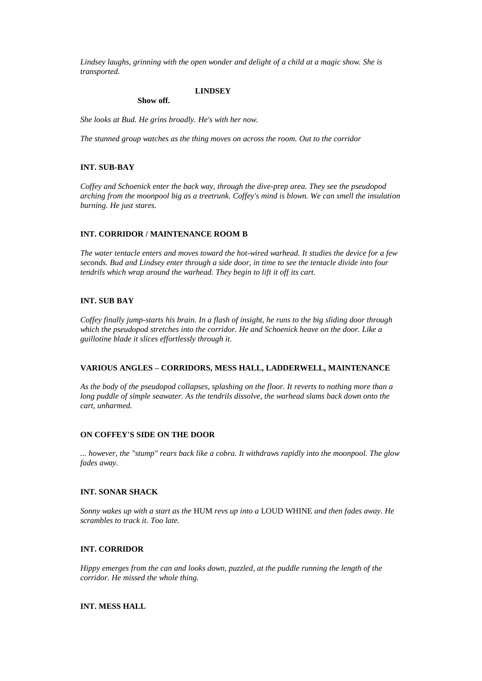*Lindsey laughs, grinning with the open wonder and delight of a child at a magic show. She is transported.*

#### **LINDSEY**

#### **Show off.**

*She looks at Bud. He grins broadly. He's with her now.*

*The stunned group watches as the thing moves on across the room. Out to the corridor*

## **INT. SUB-BAY**

*Coffey and Schoenick enter the back way, through the dive-prep area. They see the pseudopod arching from the moonpool big as a treetrunk. Coffey's mind is blown. We can smell the insulation burning. He just stares.*

## **INT. CORRIDOR / MAINTENANCE ROOM B**

*The water tentacle enters and moves toward the hot-wired warhead. It studies the device for a few seconds. Bud and Lindsey enter through a side door, in time to see the tentacle divide into four tendrils which wrap around the warhead. They begin to lift it off its cart.*

## **INT. SUB BAY**

*Coffey finally jump-starts his brain. In a flash of insight, he runs to the big sliding door through which the pseudopod stretches into the corridor. He and Schoenick heave on the door. Like a guillotine blade it slices effortlessly through it.*

## **VARIOUS ANGLES – CORRIDORS, MESS HALL, LADDERWELL, MAINTENANCE**

*As the body of the pseudopod collapses, splashing on the floor. It reverts to nothing more than a long puddle of simple seawater. As the tendrils dissolve, the warhead slams back down onto the cart, unharmed.*

## **ON COFFEY'S SIDE ON THE DOOR**

*... however, the "stump" rears back like a cobra. It withdraws rapidly into the moonpool. The glow fades away.*

## **INT. SONAR SHACK**

*Sonny wakes up with a start as the* HUM *revs up into a* LOUD WHINE *and then fades away. He scrambles to track it. Too late.*

## **INT. CORRIDOR**

*Hippy emerges from the can and looks down, puzzled, at the puddle running the length of the corridor. He missed the whole thing.*

## **INT. MESS HALL**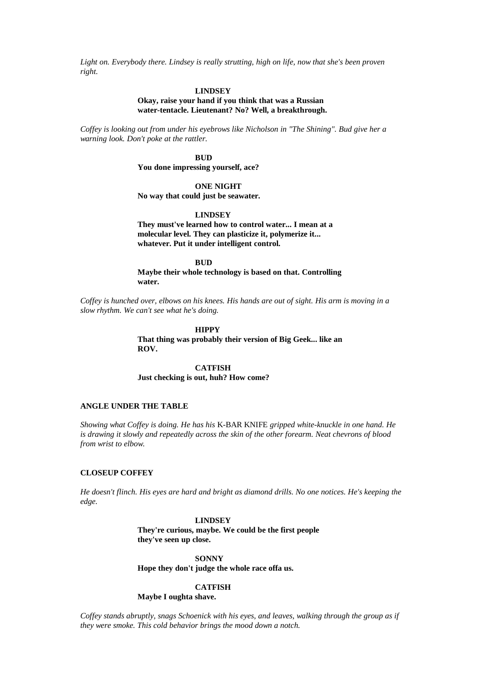Light on. Everybody there. Lindsey is really strutting, high on life, now that she's been proven *right.*

#### **LINDSEY**

### **Okay, raise your hand if you think that was a Russian water-tentacle. Lieutenant? No? Well, a breakthrough.**

*Coffey is looking out from under his eyebrows like Nicholson in "The Shining". Bud give her a warning look. Don't poke at the rattler.*

> **BUD You done impressing yourself, ace?**

> > **ONE NIGHT**

**No way that could just be seawater.**

**LINDSEY**

**They must've learned how to control water... I mean at a molecular level. They can plasticize it, polymerize it... whatever. Put it under intelligent control.**

**BUD**

**Maybe their whole technology is based on that. Controlling water.**

*Coffey is hunched over, elbows on his knees. His hands are out of sight. His arm is moving in a slow rhythm. We can't see what he's doing.*

**HIPPY**

**That thing was probably their version of Big Geek... like an ROV.**

**CATFISH Just checking is out, huh? How come?**

## **ANGLE UNDER THE TABLE**

*Showing what Coffey is doing. He has his* K-BAR KNIFE *gripped white-knuckle in one hand. He is drawing it slowly and repeatedly across the skin of the other forearm. Neat chevrons of blood from wrist to elbow.*

## **CLOSEUP COFFEY**

*He doesn't flinch. His eyes are hard and bright as diamond drills. No one notices. He's keeping the edge.*

### **LINDSEY**

**They're curious, maybe. We could be the first people they've seen up close.**

**SONNY Hope they don't judge the whole race offa us.**

### **CATFISH**

**Maybe I oughta shave.**

*Coffey stands abruptly, snags Schoenick with his eyes, and leaves, walking through the group as if they were smoke. This cold behavior brings the mood down a notch.*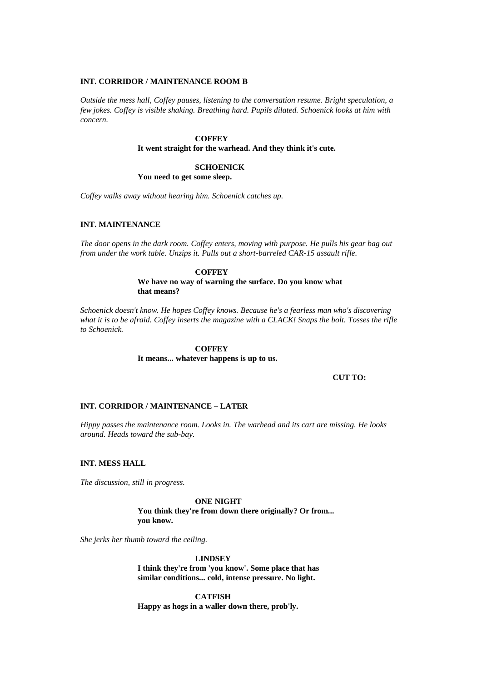#### **INT. CORRIDOR / MAINTENANCE ROOM B**

*Outside the mess hall, Coffey pauses, listening to the conversation resume. Bright speculation, a few jokes. Coffey is visible shaking. Breathing hard. Pupils dilated. Schoenick looks at him with concern.*

## **COFFEY**

### **It went straight for the warhead. And they think it's cute.**

## **SCHOENICK**

**You need to get some sleep.**

*Coffey walks away without hearing him. Schoenick catches up.*

### **INT. MAINTENANCE**

*The door opens in the dark room. Coffey enters, moving with purpose. He pulls his gear bag out from under the work table. Unzips it. Pulls out a short-barreled CAR-15 assault rifle.*

> **COFFEY We have no way of warning the surface. Do you know what that means?**

*Schoenick doesn't know. He hopes Coffey knows. Because he's a fearless man who's discovering what it is to be afraid. Coffey inserts the magazine with a CLACK! Snaps the bolt. Tosses the rifle to Schoenick.*

> **COFFEY It means... whatever happens is up to us.**

> > **CUT TO:**

### **INT. CORRIDOR / MAINTENANCE – LATER**

*Hippy passes the maintenance room. Looks in. The warhead and its cart are missing. He looks around. Heads toward the sub-bay.*

#### **INT. MESS HALL**

*The discussion, still in progress.*

**ONE NIGHT You think they're from down there originally? Or from... you know.**

*She jerks her thumb toward the ceiling.*

**LINDSEY**

**I think they're from 'you know'. Some place that has similar conditions... cold, intense pressure. No light.**

**CATFISH Happy as hogs in a waller down there, prob'ly.**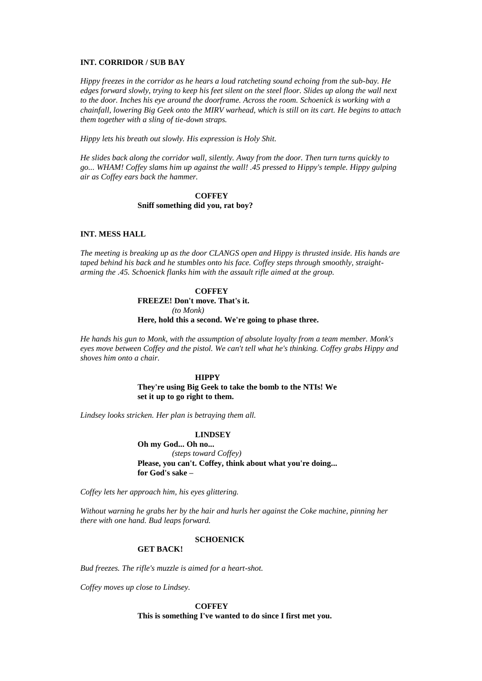#### **INT. CORRIDOR / SUB BAY**

*Hippy freezes in the corridor as he hears a loud ratcheting sound echoing from the sub-bay. He edges forward slowly, trying to keep his feet silent on the steel floor. Slides up along the wall next to the door. Inches his eye around the doorframe. Across the room. Schoenick is working with a chainfall, lowering Big Geek onto the MIRV warhead, which is still on its cart. He begins to attach them together with a sling of tie-down straps.*

*Hippy lets his breath out slowly. His expression is Holy Shit.*

*He slides back along the corridor wall, silently. Away from the door. Then turn turns quickly to go... WHAM! Coffey slams him up against the wall! .45 pressed to Hippy's temple. Hippy gulping air as Coffey ears back the hammer.*

### **COFFEY Sniff something did you, rat boy?**

### **INT. MESS HALL**

*The meeting is breaking up as the door CLANGS open and Hippy is thrusted inside. His hands are taped behind his back and he stumbles onto his face. Coffey steps through smoothly, straightarming the .45. Schoenick flanks him with the assault rifle aimed at the group.*

#### **COFFEY**

**FREEZE! Don't move. That's it.** *(to Monk)* **Here, hold this a second. We're going to phase three.**

*He hands his gun to Monk, with the assumption of absolute loyalty from a team member. Monk's eyes move between Coffey and the pistol. We can't tell what he's thinking. Coffey grabs Hippy and shoves him onto a chair.*

### **HIPPY**

**They're using Big Geek to take the bomb to the NTIs! We set it up to go right to them.**

*Lindsey looks stricken. Her plan is betraying them all.*

#### **LINDSEY**

**Oh my God... Oh no...** *(steps toward Coffey)* **Please, you can't. Coffey, think about what you're doing... for God's sake –**

*Coffey lets her approach him, his eyes glittering.*

*Without warning he grabs her by the hair and hurls her against the Coke machine, pinning her there with one hand. Bud leaps forward.*

### **SCHOENICK**

### **GET BACK!**

*Bud freezes. The rifle's muzzle is aimed for a heart-shot.*

*Coffey moves up close to Lindsey.*

**COFFEY This is something I've wanted to do since I first met you.**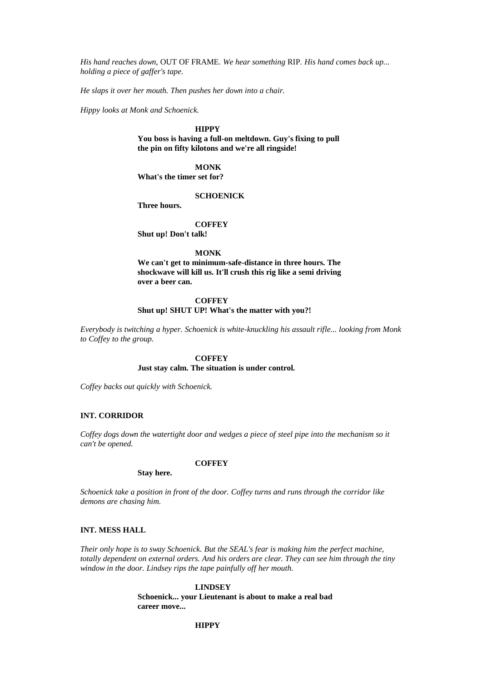*His hand reaches down,* OUT OF FRAME*. We hear something* RIP*. His hand comes back up... holding a piece of gaffer's tape.*

*He slaps it over her mouth. Then pushes her down into a chair.*

*Hippy looks at Monk and Schoenick.*

#### **HIPPY**

**You boss is having a full-on meltdown. Guy's fixing to pull the pin on fifty kilotons and we're all ringside!**

### **MONK**

**What's the timer set for?**

### **SCHOENICK**

**Three hours.**

### **COFFEY**

**Shut up! Don't talk!**

**MONK**

**We can't get to minimum-safe-distance in three hours. The shockwave will kill us. It'll crush this rig like a semi driving over a beer can.**

### **COFFEY Shut up! SHUT UP! What's the matter with you?!**

*Everybody is twitching a hyper. Schoenick is white-knuckling his assault rifle... looking from Monk to Coffey to the group.*

#### **COFFEY**

**Just stay calm. The situation is under control.**

*Coffey backs out quickly with Schoenick.*

**Stay here.**

### **INT. CORRIDOR**

*Coffey dogs down the watertight door and wedges a piece of steel pipe into the mechanism so it can't be opened.*

#### **COFFEY**

*Schoenick take a position in front of the door. Coffey turns and runs through the corridor like demons are chasing him.*

## **INT. MESS HALL**

*Their only hope is to sway Schoenick. But the SEAL's fear is making him the perfect machine, totally dependent on external orders. And his orders are clear. They can see him through the tiny window in the door. Lindsey rips the tape painfully off her mouth.*

### **LINDSEY**

**Schoenick... your Lieutenant is about to make a real bad career move...**

## **HIPPY**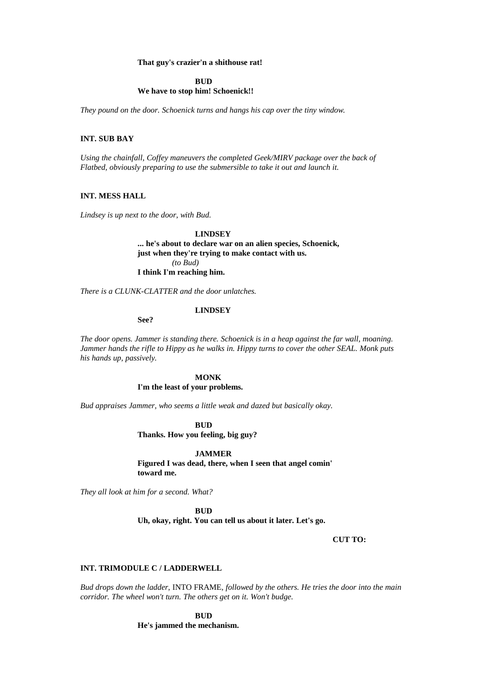#### **That guy's crazier'n a shithouse rat!**

### **BUD We have to stop him! Schoenick!!**

*They pound on the door. Schoenick turns and hangs his cap over the tiny window.*

### **INT. SUB BAY**

*Using the chainfall, Coffey maneuvers the completed Geek/MIRV package over the back of Flatbed, obviously preparing to use the submersible to take it out and launch it.*

### **INT. MESS HALL**

*Lindsey is up next to the door, with Bud.*

## **LINDSEY ... he's about to declare war on an alien species, Schoenick, just when they're trying to make contact with us.** *(to Bud)* **I think I'm reaching him.**

*There is a CLUNK-CLATTER and the door unlatches.*

#### **LINDSEY**

**See?**

*The door opens. Jammer is standing there. Schoenick is in a heap against the far wall, moaning. Jammer hands the rifle to Hippy as he walks in. Hippy turns to cover the other SEAL. Monk puts his hands up, passively.*

### **MONK**

#### **I'm the least of your problems.**

*Bud appraises Jammer, who seems a little weak and dazed but basically okay.*

**BUD**

#### **Thanks. How you feeling, big guy?**

**JAMMER Figured I was dead, there, when I seen that angel comin' toward me.**

*They all look at him for a second. What?*

# **BUD**

**Uh, okay, right. You can tell us about it later. Let's go.**

**CUT TO:**

### **INT. TRIMODULE C / LADDERWELL**

*Bud drops down the ladder,* INTO FRAME*, followed by the others. He tries the door into the main corridor. The wheel won't turn. The others get on it. Won't budge.*

> **BUD He's jammed the mechanism.**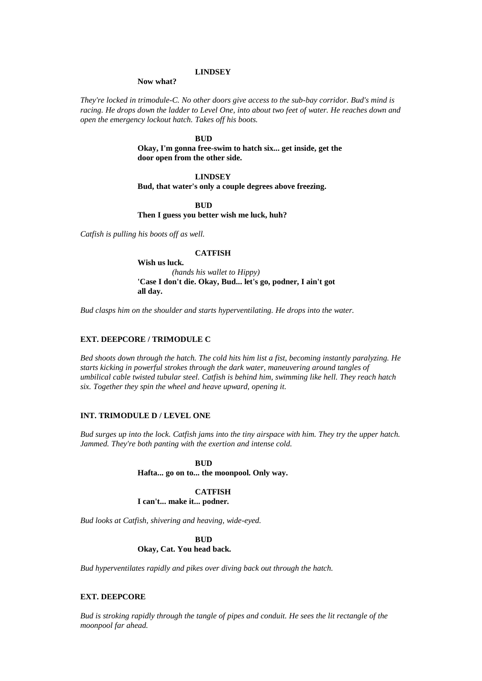#### **LINDSEY**

#### **Now what?**

*They're locked in trimodule-C. No other doors give access to the sub-bay corridor. Bud's mind is racing. He drops down the ladder to Level One, into about two feet of water. He reaches down and open the emergency lockout hatch. Takes off his boots.*

#### **BUD**

**Okay, I'm gonna free-swim to hatch six... get inside, get the door open from the other side.**

## **LINDSEY**

**Bud, that water's only a couple degrees above freezing.**

## **BUD**

#### **Then I guess you better wish me luck, huh?**

*Catfish is pulling his boots off as well.*

### **CATFISH**

**Wish us luck.** *(hands his wallet to Hippy)* **'Case I don't die. Okay, Bud... let's go, podner, I ain't got all day.**

*Bud clasps him on the shoulder and starts hyperventilating. He drops into the water.*

## **EXT. DEEPCORE / TRIMODULE C**

*Bed shoots down through the hatch. The cold hits him list a fist, becoming instantly paralyzing. He starts kicking in powerful strokes through the dark water, maneuvering around tangles of umbilical cable twisted tubular steel. Catfish is behind him, swimming like hell. They reach hatch six. Together they spin the wheel and heave upward, opening it.*

#### **INT. TRIMODULE D / LEVEL ONE**

*Bud surges up into the lock. Catfish jams into the tiny airspace with him. They try the upper hatch. Jammed. They're both panting with the exertion and intense cold.*

#### **BUD**

**Hafta... go on to... the moonpool. Only way.**

### **CATFISH I can't... make it... podner.**

*Bud looks at Catfish, shivering and heaving, wide-eyed.*

#### **BUD**

### **Okay, Cat. You head back.**

*Bud hyperventilates rapidly and pikes over diving back out through the hatch.*

#### **EXT. DEEPCORE**

*Bud is stroking rapidly through the tangle of pipes and conduit. He sees the lit rectangle of the moonpool far ahead.*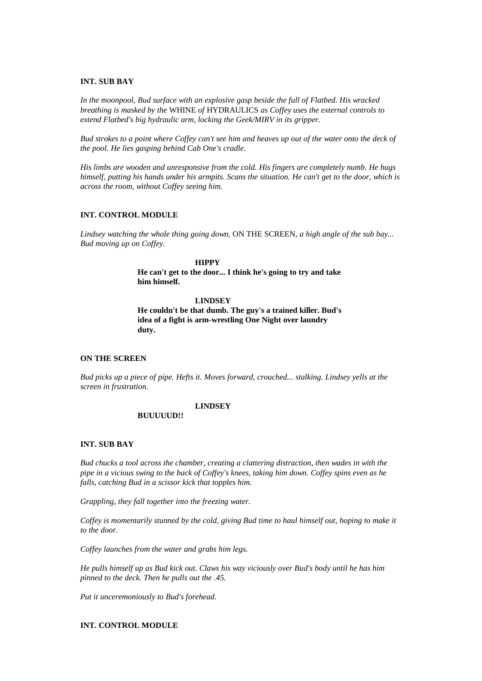#### **INT. SUB BAY**

*In the moonpool, Bud surface with an explosive gasp beside the full of Flatbed. His wracked breathing is masked by the* WHINE *of* HYDRAULICS *as Coffey uses the external controls to extend Flatbed's big hydraulic arm, locking the Geek/MIRV in its gripper.*

*Bud strokes to a point where Coffey can't see him and heaves up out of the water onto the deck of the pool. He lies gasping behind Cab One's cradle.*

*His limbs are wooden and unresponsive from the cold. His fingers are completely numb. He hugs himself, putting his hands under his armpits. Scans the situation. He can't get to the door, which is across the room, without Coffey seeing him.*

#### **INT. CONTROL MODULE**

*Lindsey watching the whole thing going down,* ON THE SCREEN*, a high angle of the sub bay... Bud moving up on Coffey.*

#### **HIPPY**

**He can't get to the door... I think he's going to try and take him himself.**

#### **LINDSEY**

**He couldn't be that dumb. The guy's a trained killer. Bud's idea of a fight is arm-wrestling One Night over laundry duty.**

### **ON THE SCREEN**

*Bud picks up a piece of pipe. Hefts it. Moves forward, crouched... stalking. Lindsey yells at the screen in frustration.*

#### **LINDSEY**

### **BUUUUUD!!**

### **INT. SUB BAY**

*Bud chucks a tool across the chamber, creating a clattering distraction, then wades in with the pipe in a vicious swing to the back of Coffey's knees, taking him down. Coffey spins even as he falls, catching Bud in a scissor kick that topples him.*

*Grappling, they fall together into the freezing water.*

*Coffey is momentarily stunned by the cold, giving Bud time to haul himself out, hoping to make it to the door.*

*Coffey launches from the water and grabs him legs.*

*He pulls himself up as Bud kick out. Claws his way viciously over Bud's body until he has him pinned to the deck. Then he pulls out the .45.*

*Put it unceremoniously to Bud's forehead.*

## **INT. CONTROL MODULE**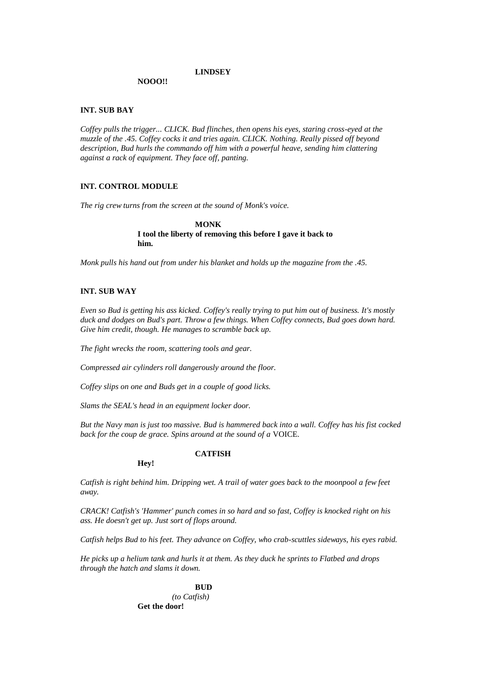### **LINDSEY**

### **NOOO!!**

### **INT. SUB BAY**

*Coffey pulls the trigger... CLICK. Bud flinches, then opens his eyes, staring cross-eyed at the muzzle of the .45. Coffey cocks it and tries again. CLICK. Nothing. Really pissed off beyond description, Bud hurls the commando off him with a powerful heave, sending him clattering against a rack of equipment. They face off, panting.*

### **INT. CONTROL MODULE**

*The rig crew turns from the screen at the sound of Monk's voice.*

**MONK I tool the liberty of removing this before I gave it back to him.**

*Monk pulls his hand out from under his blanket and holds up the magazine from the .45.*

## **INT. SUB WAY**

*Even so Bud is getting his ass kicked. Coffey's really trying to put him out of business. It's mostly duck and dodges on Bud's part. Throw a few things. When Coffey connects, Bud goes down hard. Give him credit, though. He manages to scramble back up.*

*The fight wrecks the room, scattering tools and gear.*

*Compressed air cylinders roll dangerously around the floor.*

*Coffey slips on one and Buds get in a couple of good licks.*

*Slams the SEAL's head in an equipment locker door.*

*But the Navy man is just too massive. Bud is hammered back into a wall. Coffey has his fist cocked back for the coup de grace. Spins around at the sound of a* VOICE*.*

# **Hey!**

## **CATFISH**

*Catfish is right behind him. Dripping wet. A trail of water goes back to the moonpool a few feet away.*

*CRACK! Catfish's 'Hammer' punch comes in so hard and so fast, Coffey is knocked right on his ass. He doesn't get up. Just sort of flops around.*

*Catfish helps Bud to his feet. They advance on Coffey, who crab-scuttles sideways, his eyes rabid.*

*He picks up a helium tank and hurls it at them. As they duck he sprints to Flatbed and drops through the hatch and slams it down.*

# **BUD**

*(to Catfish)* **Get the door!**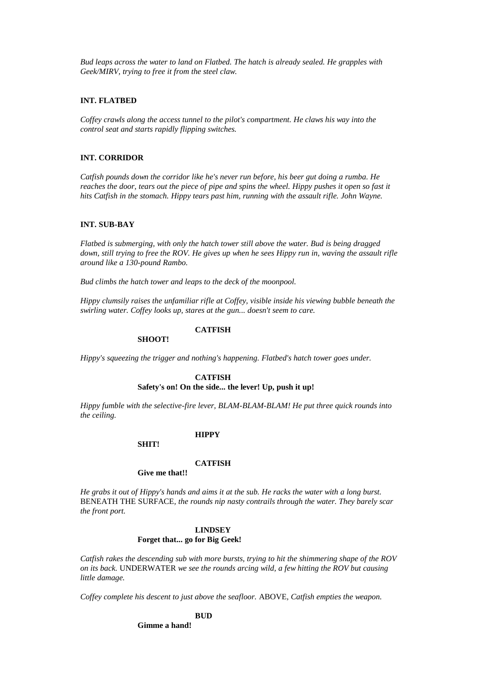*Bud leaps across the water to land on Flatbed. The hatch is already sealed. He grapples with Geek/MIRV, trying to free it from the steel claw.*

### **INT. FLATBED**

*Coffey crawls along the access tunnel to the pilot's compartment. He claws his way into the control seat and starts rapidly flipping switches.*

#### **INT. CORRIDOR**

*Catfish pounds down the corridor like he's never run before, his beer gut doing a rumba. He reaches the door, tears out the piece of pipe and spins the wheel. Hippy pushes it open so fast it hits Catfish in the stomach. Hippy tears past him, running with the assault rifle. John Wayne.*

### **INT. SUB-BAY**

*Flatbed is submerging, with only the hatch tower still above the water. Bud is being dragged down, still trying to free the ROV. He gives up when he sees Hippy run in, waving the assault rifle around like a 130-pound Rambo.*

*Bud climbs the hatch tower and leaps to the deck of the moonpool.*

*Hippy clumsily raises the unfamiliar rifle at Coffey, visible inside his viewing bubble beneath the swirling water. Coffey looks up, stares at the gun... doesn't seem to care.*

# **SHOOT!**

### **CATFISH**

*Hippy's squeezing the trigger and nothing's happening. Flatbed's hatch tower goes under.*

#### **CATFISH**

## **Safety's on! On the side... the lever! Up, push it up!**

*Hippy fumble with the selective-fire lever, BLAM-BLAM-BLAM! He put three quick rounds into the ceiling.*

#### **HIPPY**

**SHIT!**

#### **CATFISH**

### **Give me that!!**

*He grabs it out of Hippy's hands and aims it at the sub. He racks the water with a long burst.*  BENEATH THE SURFACE*, the rounds nip nasty contrails through the water. They barely scar the front port.*

### **LINDSEY Forget that... go for Big Geek!**

*Catfish rakes the descending sub with more bursts, trying to hit the shimmering shape of the ROV on its back.* UNDERWATER *we see the rounds arcing wild, a few hitting the ROV but causing little damage.*

*Coffey complete his descent to just above the seafloor.* ABOVE*, Catfish empties the weapon.*

# **BUD**

**Gimme a hand!**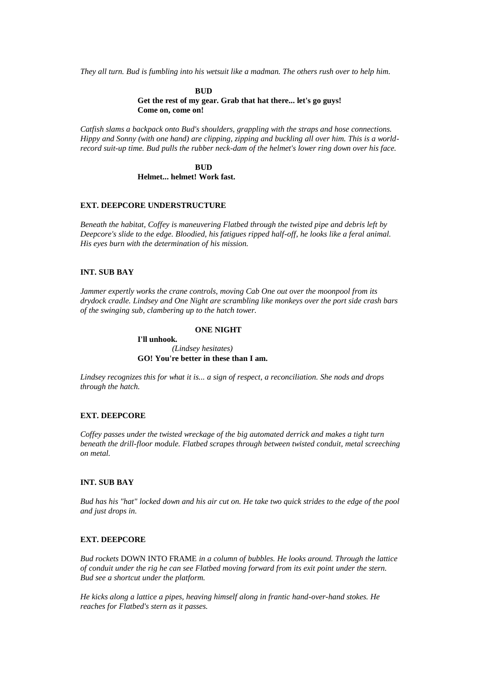*They all turn. Bud is fumbling into his wetsuit like a madman. The others rush over to help him.*

**BUD Get the rest of my gear. Grab that hat there... let's go guys! Come on, come on!**

*Catfish slams a backpack onto Bud's shoulders, grappling with the straps and hose connections. Hippy and Sonny (with one hand) are clipping, zipping and buckling all over him. This is a worldrecord suit-up time. Bud pulls the rubber neck-dam of the helmet's lower ring down over his face.*

> **BUD Helmet... helmet! Work fast.**

### **EXT. DEEPCORE UNDERSTRUCTURE**

*Beneath the habitat, Coffey is maneuvering Flatbed through the twisted pipe and debris left by Deepcore's slide to the edge. Bloodied, his fatigues ripped half-off, he looks like a feral animal. His eyes burn with the determination of his mission.*

### **INT. SUB BAY**

*Jammer expertly works the crane controls, moving Cab One out over the moonpool from its drydock cradle. Lindsey and One Night are scrambling like monkeys over the port side crash bars of the swinging sub, clambering up to the hatch tower.*

#### **ONE NIGHT**

**I'll unhook.** *(Lindsey hesitates)* **GO! You're better in these than I am.**

*Lindsey recognizes this for what it is... a sign of respect, a reconciliation. She nods and drops through the hatch.*

#### **EXT. DEEPCORE**

*Coffey passes under the twisted wreckage of the big automated derrick and makes a tight turn beneath the drill-floor module. Flatbed scrapes through between twisted conduit, metal screeching on metal.*

### **INT. SUB BAY**

*Bud has his "hat" locked down and his air cut on. He take two quick strides to the edge of the pool and just drops in.*

### **EXT. DEEPCORE**

*Bud rockets* DOWN INTO FRAME *in a column of bubbles. He looks around. Through the lattice of conduit under the rig he can see Flatbed moving forward from its exit point under the stern. Bud see a shortcut under the platform.*

*He kicks along a lattice a pipes, heaving himself along in frantic hand-over-hand stokes. He reaches for Flatbed's stern as it passes.*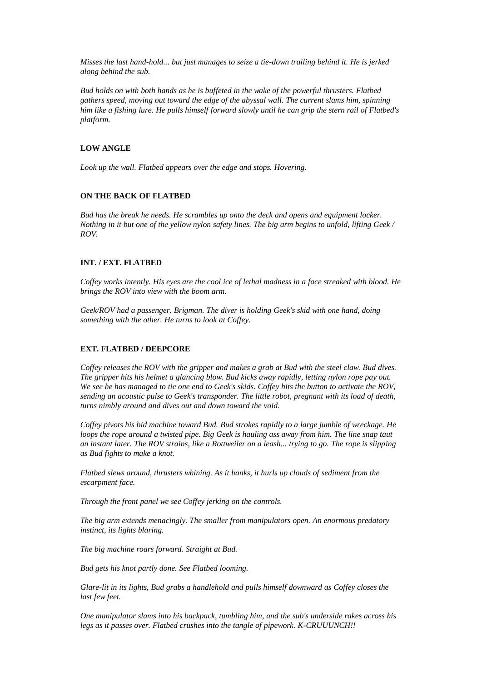*Misses the last hand-hold... but just manages to seize a tie-down trailing behind it. He is jerked along behind the sub.*

*Bud holds on with both hands as he is buffeted in the wake of the powerful thrusters. Flatbed gathers speed, moving out toward the edge of the abyssal wall. The current slams him, spinning him like a fishing lure. He pulls himself forward slowly until he can grip the stern rail of Flatbed's platform.*

# **LOW ANGLE**

*Look up the wall. Flatbed appears over the edge and stops. Hovering.*

### **ON THE BACK OF FLATBED**

*Bud has the break he needs. He scrambles up onto the deck and opens and equipment locker. Nothing in it but one of the yellow nylon safety lines. The big arm begins to unfold, lifting Geek / ROV.*

# **INT. / EXT. FLATBED**

*Coffey works intently. His eyes are the cool ice of lethal madness in a face streaked with blood. He brings the ROV into view with the boom arm.*

*Geek/ROV had a passenger. Brigman. The diver is holding Geek's skid with one hand, doing something with the other. He turns to look at Coffey.*

# **EXT. FLATBED / DEEPCORE**

*Coffey releases the ROV with the gripper and makes a grab at Bud with the steel claw. Bud dives. The gripper hits his helmet a glancing blow. Bud kicks away rapidly, letting nylon rope pay out. We see he has managed to tie one end to Geek's skids. Coffey hits the button to activate the ROV, sending an acoustic pulse to Geek's transponder. The little robot, pregnant with its load of death, turns nimbly around and dives out and down toward the void.*

*Coffey pivots his bid machine toward Bud. Bud strokes rapidly to a large jumble of wreckage. He loops the rope around a twisted pipe. Big Geek is hauling ass away from him. The line snap taut an instant later. The ROV strains, like a Rottweiler on a leash... trying to go. The rope is slipping as Bud fights to make a knot.*

*Flatbed slews around, thrusters whining. As it banks, it hurls up clouds of sediment from the escarpment face.*

*Through the front panel we see Coffey jerking on the controls.*

*The big arm extends menacingly. The smaller from manipulators open. An enormous predatory instinct, its lights blaring.*

*The big machine roars forward. Straight at Bud.*

*Bud gets his knot partly done. See Flatbed looming.*

*Glare-lit in its lights, Bud grabs a handlehold and pulls himself downward as Coffey closes the last few feet.*

*One manipulator slams into his backpack, tumbling him, and the sub's underside rakes across his legs as it passes over. Flatbed crushes into the tangle of pipework. K-CRUUUNCH!!*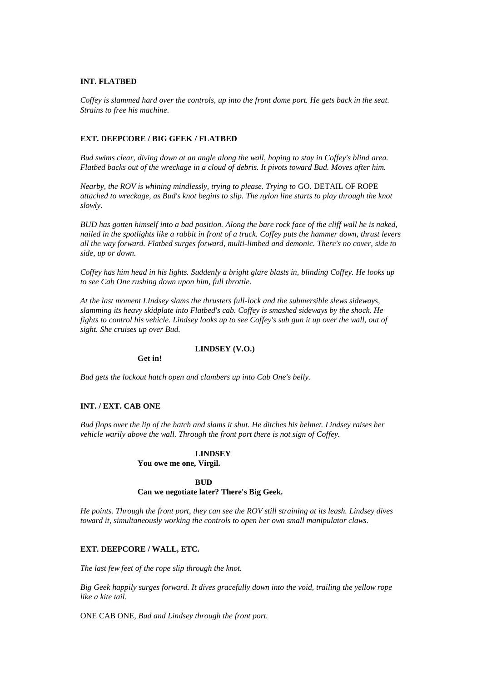# **INT. FLATBED**

*Coffey is slammed hard over the controls, up into the front dome port. He gets back in the seat. Strains to free his machine.*

# **EXT. DEEPCORE / BIG GEEK / FLATBED**

*Bud swims clear, diving down at an angle along the wall, hoping to stay in Coffey's blind area. Flatbed backs out of the wreckage in a cloud of debris. It pivots toward Bud. Moves after him.*

*Nearby, the ROV is whining mindlessly, trying to please. Trying to GO. DETAIL OF ROPE attached to wreckage, as Bud's knot begins to slip. The nylon line starts to play through the knot slowly.*

*BUD has gotten himself into a bad position. Along the bare rock face of the cliff wall he is naked, nailed in the spotlights like a rabbit in front of a truck. Coffey puts the hammer down, thrust levers all the way forward. Flatbed surges forward, multi-limbed and demonic. There's no cover, side to side, up or down.*

*Coffey has him head in his lights. Suddenly a bright glare blasts in, blinding Coffey. He looks up to see Cab One rushing down upon him, full throttle.*

*At the last moment LIndsey slams the thrusters full-lock and the submersible slews sideways, slamming its heavy skidplate into Flatbed's cab. Coffey is smashed sideways by the shock. He fights to control his vehicle. Lindsey looks up to see Coffey's sub gun it up over the wall, out of sight. She cruises up over Bud.*

# **LINDSEY (V.O.)**

**Get in!**

*Bud gets the lockout hatch open and clambers up into Cab One's belly.*

### **INT. / EXT. CAB ONE**

*Bud flops over the lip of the hatch and slams it shut. He ditches his helmet. Lindsey raises her vehicle warily above the wall. Through the front port there is not sign of Coffey.*

#### **LINDSEY**

**You owe me one, Virgil.**

# **BUD**

# **Can we negotiate later? There's Big Geek.**

*He points. Through the front port, they can see the ROV still straining at its leash. Lindsey dives toward it, simultaneously working the controls to open her own small manipulator claws.*

#### **EXT. DEEPCORE / WALL, ETC.**

*The last few feet of the rope slip through the knot.*

*Big Geek happily surges forward. It dives gracefully down into the void, trailing the yellow rope like a kite tail.*

ONE CAB ONE*, Bud and Lindsey through the front port.*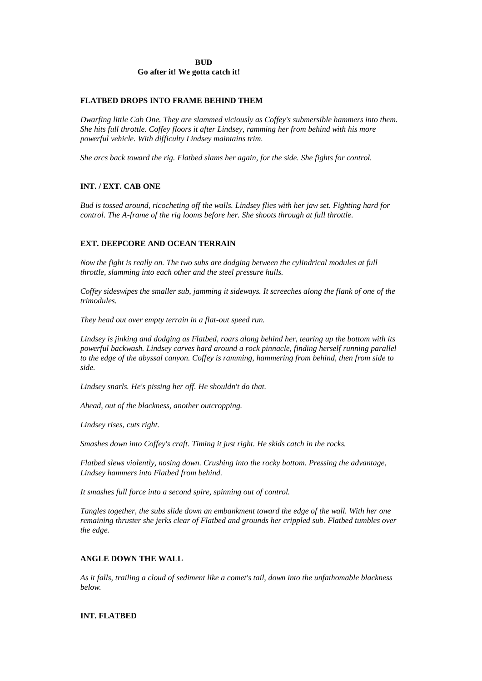# **BUD Go after it! We gotta catch it!**

# **FLATBED DROPS INTO FRAME BEHIND THEM**

*Dwarfing little Cab One. They are slammed viciously as Coffey's submersible hammers into them. She hits full throttle. Coffey floors it after Lindsey, ramming her from behind with his more powerful vehicle. With difficulty Lindsey maintains trim.*

*She arcs back toward the rig. Flatbed slams her again, for the side. She fights for control.*

# **INT. / EXT. CAB ONE**

*Bud is tossed around, ricocheting off the walls. Lindsey flies with her jaw set. Fighting hard for control. The A-frame of the rig looms before her. She shoots through at full throttle.*

# **EXT. DEEPCORE AND OCEAN TERRAIN**

*Now the fight is really on. The two subs are dodging between the cylindrical modules at full throttle, slamming into each other and the steel pressure hulls.*

*Coffey sideswipes the smaller sub, jamming it sideways. It screeches along the flank of one of the trimodules.*

*They head out over empty terrain in a flat-out speed run.*

*Lindsey is jinking and dodging as Flatbed, roars along behind her, tearing up the bottom with its powerful backwash. Lindsey carves hard around a rock pinnacle, finding herself running parallel to the edge of the abyssal canyon. Coffey is ramming, hammering from behind, then from side to side.*

*Lindsey snarls. He's pissing her off. He shouldn't do that.*

*Ahead, out of the blackness, another outcropping.*

*Lindsey rises, cuts right.*

*Smashes down into Coffey's craft. Timing it just right. He skids catch in the rocks.*

*Flatbed slews violently, nosing down. Crushing into the rocky bottom. Pressing the advantage, Lindsey hammers into Flatbed from behind.*

*It smashes full force into a second spire, spinning out of control.*

*Tangles together, the subs slide down an embankment toward the edge of the wall. With her one remaining thruster she jerks clear of Flatbed and grounds her crippled sub. Flatbed tumbles over the edge.*

# **ANGLE DOWN THE WALL**

*As it falls, trailing a cloud of sediment like a comet's tail, down into the unfathomable blackness below.*

# **INT. FLATBED**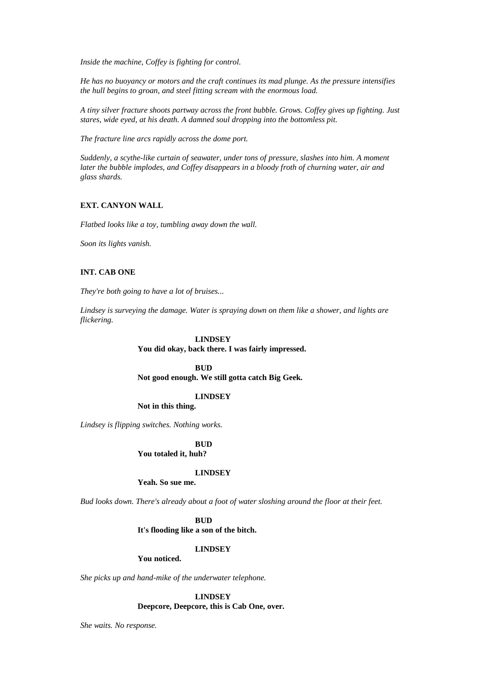*Inside the machine, Coffey is fighting for control.*

*He has no buoyancy or motors and the craft continues its mad plunge. As the pressure intensifies the hull begins to groan, and steel fitting scream with the enormous load.*

*A tiny silver fracture shoots partway across the front bubble. Grows. Coffey gives up fighting. Just stares, wide eyed, at his death. A damned soul dropping into the bottomless pit.*

*The fracture line arcs rapidly across the dome port.*

*Suddenly, a scythe-like curtain of seawater, under tons of pressure, slashes into him. A moment later the bubble implodes, and Coffey disappears in a bloody froth of churning water, air and glass shards.*

# **EXT. CANYON WALL**

*Flatbed looks like a toy, tumbling away down the wall.*

*Soon its lights vanish.*

# **INT. CAB ONE**

*They're both going to have a lot of bruises...*

*Lindsey is surveying the damage. Water is spraying down on them like a shower, and lights are flickering.*

### **LINDSEY**

**You did okay, back there. I was fairly impressed.**

### **BUD**

**Not good enough. We still gotta catch Big Geek.**

# **LINDSEY**

**Not in this thing.**

*Lindsey is flipping switches. Nothing works.*

**BUD You totaled it, huh?**

### **LINDSEY**

**Yeah. So sue me.**

*Bud looks down. There's already about a foot of water sloshing around the floor at their feet.*

# **BUD**

**It's flooding like a son of the bitch.**

#### **LINDSEY**

# **You noticed.**

*She picks up and hand-mike of the underwater telephone.*

# **LINDSEY**

**Deepcore, Deepcore, this is Cab One, over.**

*She waits. No response.*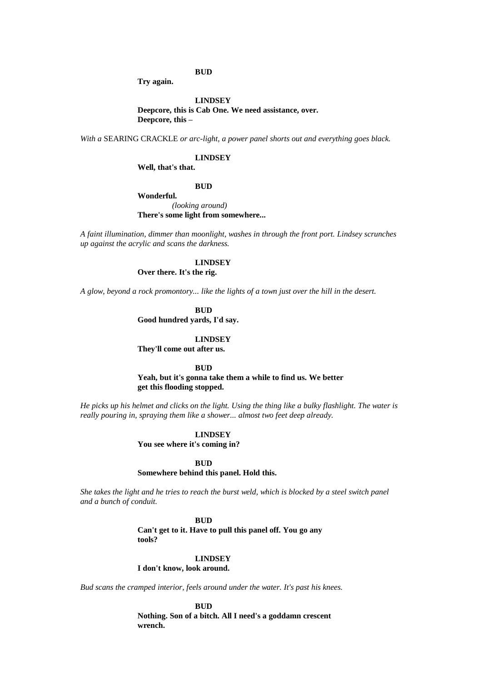# **BUD**

**Try again.**

# **LINDSEY Deepcore, this is Cab One. We need assistance, over. Deepcore, this –**

*With a* SEARING CRACKLE *or arc-light, a power panel shorts out and everything goes black.*

### **LINDSEY**

**Well, that's that.**

### **BUD**

**Wonderful.** *(looking around)* **There's some light from somewhere...**

*A faint illumination, dimmer than moonlight, washes in through the front port. Lindsey scrunches up against the acrylic and scans the darkness.*

### **LINDSEY**

**Over there. It's the rig.**

*A glow, beyond a rock promontory... like the lights of a town just over the hill in the desert.*

**BUD**

**Good hundred yards, I'd say.**

#### **LINDSEY**

**They'll come out after us.**

### **BUD**

**Yeah, but it's gonna take them a while to find us. We better get this flooding stopped.**

*He picks up his helmet and clicks on the light. Using the thing like a bulky flashlight. The water is really pouring in, spraying them like a shower... almost two feet deep already.*

# **LINDSEY**

**You see where it's coming in?**

#### **BUD**

# **Somewhere behind this panel. Hold this.**

*She takes the light and he tries to reach the burst weld, which is blocked by a steel switch panel and a bunch of conduit.*

# **BUD**

**Can't get to it. Have to pull this panel off. You go any tools?**

#### **LINDSEY**

**I don't know, look around.**

*Bud scans the cramped interior, feels around under the water. It's past his knees.*

**BUD Nothing. Son of a bitch. All I need's a goddamn crescent wrench.**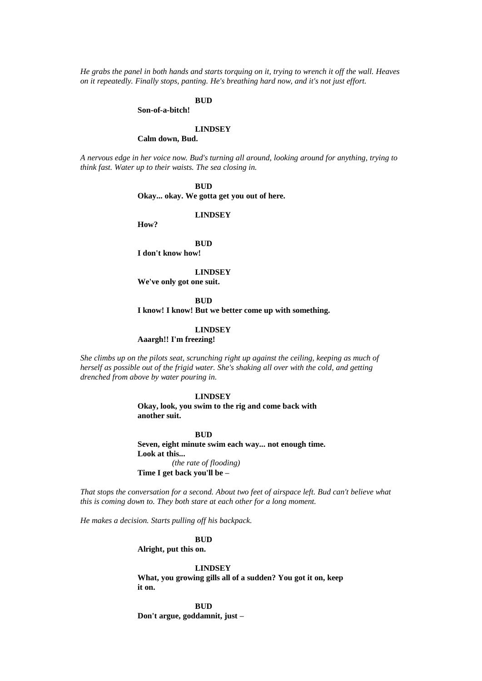*He grabs the panel in both hands and starts torquing on it, trying to wrench it off the wall. Heaves on it repeatedly. Finally stops, panting. He's breathing hard now, and it's not just effort.*

### **BUD**

**Son-of-a-bitch!**

# **LINDSEY**

**Calm down, Bud.**

*A nervous edge in her voice now. Bud's turning all around, looking around for anything, trying to think fast. Water up to their waists. The sea closing in.*

**BUD**

**Okay... okay. We gotta get you out of here.**

**LINDSEY**

**How?**

# **BUD**

**I don't know how!**

**LINDSEY**

**We've only got one suit.**

**BUD I know! I know! But we better come up with something.**

### **LINDSEY**

**Aaargh!! I'm freezing!**

*She climbs up on the pilots seat, scrunching right up against the ceiling, keeping as much of herself as possible out of the frigid water. She's shaking all over with the cold, and getting drenched from above by water pouring in.*

### **LINDSEY**

**Okay, look, you swim to the rig and come back with another suit.**

**BUD**

**Seven, eight minute swim each way... not enough time. Look at this...** *(the rate of flooding)* **Time I get back you'll be –**

*That stops the conversation for a second. About two feet of airspace left. Bud can't believe what this is coming down to. They both stare at each other for a long moment.*

*He makes a decision. Starts pulling off his backpack.*

#### **BUD**

**Alright, put this on.**

**LINDSEY What, you growing gills all of a sudden? You got it on, keep it on.**

**BUD Don't argue, goddamnit, just –**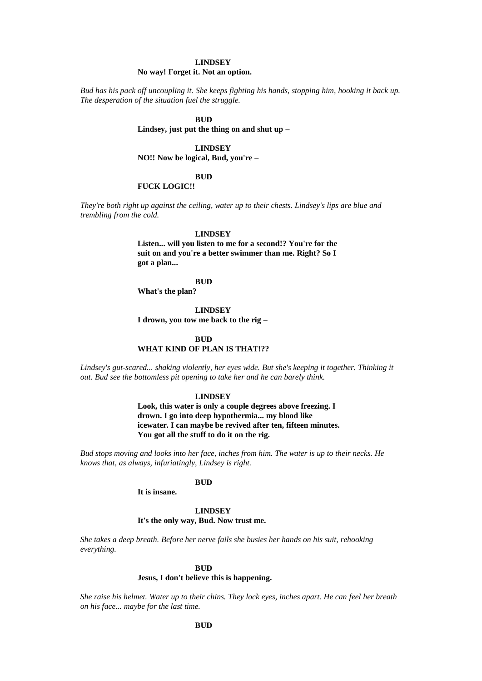### **LINDSEY**

### **No way! Forget it. Not an option.**

*Bud has his pack off uncoupling it. She keeps fighting his hands, stopping him, hooking it back up. The desperation of the situation fuel the struggle.*

# **BUD**

**Lindsey, just put the thing on and shut up –**

### **LINDSEY**

**NO!! Now be logical, Bud, you're –**

### **BUD**

### **FUCK LOGIC!!**

*They're both right up against the ceiling, water up to their chests. Lindsey's lips are blue and trembling from the cold.*

### **LINDSEY**

**Listen... will you listen to me for a second!? You're for the suit on and you're a better swimmer than me. Right? So I got a plan...**

# **BUD**

**What's the plan?**

**LINDSEY**

**I drown, you tow me back to the rig –**

### **BUD**

# **WHAT KIND OF PLAN IS THAT!??**

Lindsey's gut-scared... shaking violently, her eyes wide. But she's keeping it together. Thinking it *out. Bud see the bottomless pit opening to take her and he can barely think.*

# **LINDSEY**

**Look, this water is only a couple degrees above freezing. I drown. I go into deep hypothermia... my blood like icewater. I can maybe be revived after ten, fifteen minutes. You got all the stuff to do it on the rig.**

*Bud stops moving and looks into her face, inches from him. The water is up to their necks. He knows that, as always, infuriatingly, Lindsey is right.*

# **BUD**

**It is insane.**

# **LINDSEY**

# **It's the only way, Bud. Now trust me.**

*She takes a deep breath. Before her nerve fails she busies her hands on his suit, rehooking everything.*

### **BUD**

# **Jesus, I don't believe this is happening.**

*She raise his helmet. Water up to their chins. They lock eyes, inches apart. He can feel her breath on his face... maybe for the last time.*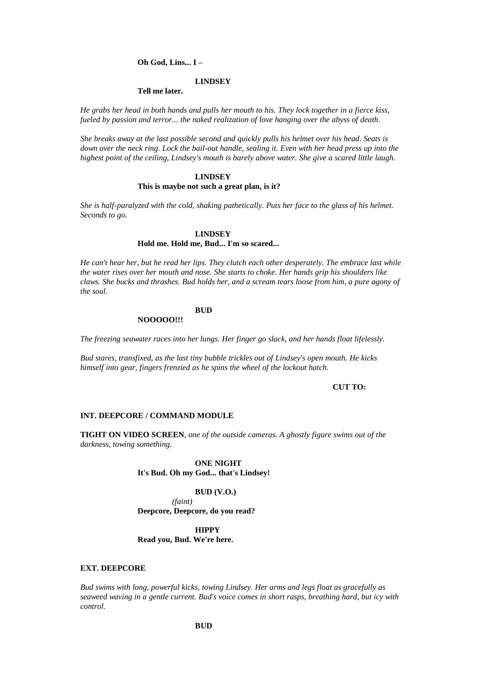### **Oh God, Lins... I –**

#### **LINDSEY**

### **Tell me later.**

*He grabs her head in both hands and pulls her mouth to his. They lock together in a fierce kiss, fueled by passion and terror... the naked realization of love hanging over the abyss of death.*

*She breaks away at the last possible second and quickly pulls his helmet over his head. Seats is down over the neck ring. Lock the bail-out handle, sealing it. Even with her head press up into the highest point of the ceiling, Lindsey's mouth is barely above water. She give a scared little laugh.*

# **LINDSEY This is maybe not such a great plan, is it?**

*She is half-paralyzed with the cold, shaking pathetically. Puts her face to the glass of his helmet. Seconds to go.*

# **LINDSEY**

# **Hold me. Hold me, Bud... I'm so scared...**

*He can't hear her, but he read her lips. They clutch each other desperately. The embrace last while the water rises over her mouth and nose. She starts to choke. Her hands grip his shoulders like claws. She bucks and thrashes. Bud holds her, and a scream tears loose from him, a pure agony of the soul.*

# **BUD**

**NOOOOO!!!**

*The freezing seawater races into her lungs. Her finger go slack, and her hands float lifelessly.*

*Bud stares, transfixed, as the last tiny bubble trickles out of Lindsey's open mouth. He kicks himself into gear, fingers frenzied as he spins the wheel of the lockout hatch.*

# **CUT TO:**

#### **INT. DEEPCORE / COMMAND MODULE**

**TIGHT ON VIDEO SCREEN***, one of the outside cameras. A ghostly figure swims out of the darkness, towing something.*

# **ONE NIGHT It's Bud. Oh my God... that's Lindsey!**

### **BUD (V.O.)**

*(faint)* **Deepcore, Deepcore, do you read?**

# **HIPPY Read you, Bud. We're here.**

#### **EXT. DEEPCORE**

*Bud swims with long, powerful kicks, towing Lindsey. Her arms and legs float as gracefully as seaweed waving in a gentle current. Bud's voice comes in short rasps, breathing hard, but icy with control.*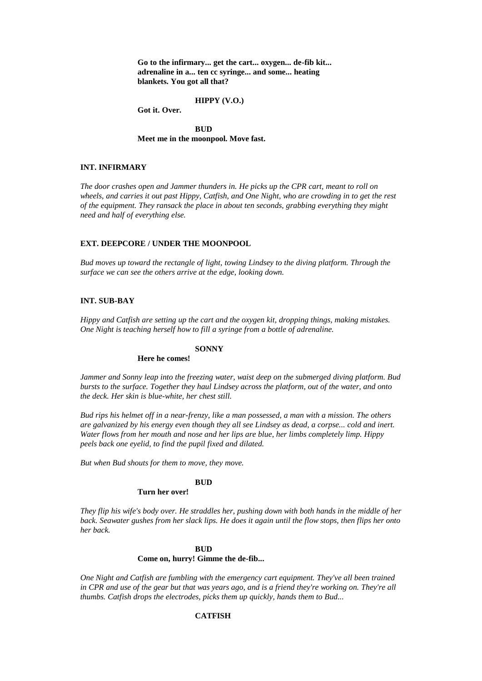**Go to the infirmary... get the cart... oxygen... de-fib kit... adrenaline in a... ten cc syringe... and some... heating blankets. You got all that?**

**HIPPY (V.O.)**

**Got it. Over.**

**BUD Meet me in the moonpool. Move fast.**

# **INT. INFIRMARY**

*The door crashes open and Jammer thunders in. He picks up the CPR cart, meant to roll on wheels, and carries it out past Hippy, Catfish, and One Night, who are crowding in to get the rest of the equipment. They ransack the place in about ten seconds, grabbing everything they might need and half of everything else.*

# **EXT. DEEPCORE / UNDER THE MOONPOOL**

*Bud moves up toward the rectangle of light, towing Lindsey to the diving platform. Through the surface we can see the others arrive at the edge, looking down.*

# **INT. SUB-BAY**

*Hippy and Catfish are setting up the cart and the oxygen kit, dropping things, making mistakes. One Night is teaching herself how to fill a syringe from a bottle of adrenaline.*

# **SONNY**

### **Here he comes!**

*Jammer and Sonny leap into the freezing water, waist deep on the submerged diving platform. Bud bursts to the surface. Together they haul Lindsey across the platform, out of the water, and onto the deck. Her skin is blue-white, her chest still.*

*Bud rips his helmet off in a near-frenzy, like a man possessed, a man with a mission. The others are galvanized by his energy even though they all see Lindsey as dead, a corpse... cold and inert. Water flows from her mouth and nose and her lips are blue, her limbs completely limp. Hippy peels back one eyelid, to find the pupil fixed and dilated.*

*But when Bud shouts for them to move, they move.*

# **BUD**

# **Turn her over!**

*They flip his wife's body over. He straddles her, pushing down with both hands in the middle of her back. Seawater gushes from her slack lips. He does it again until the flow stops, then flips her onto her back.*

### **BUD**

#### **Come on, hurry! Gimme the de-fib...**

*One Night and Catfish are fumbling with the emergency cart equipment. They've all been trained in CPR and use of the gear but that was years ago, and is a friend they're working on. They're all thumbs. Catfish drops the electrodes, picks them up quickly, hands them to Bud...*

# **CATFISH**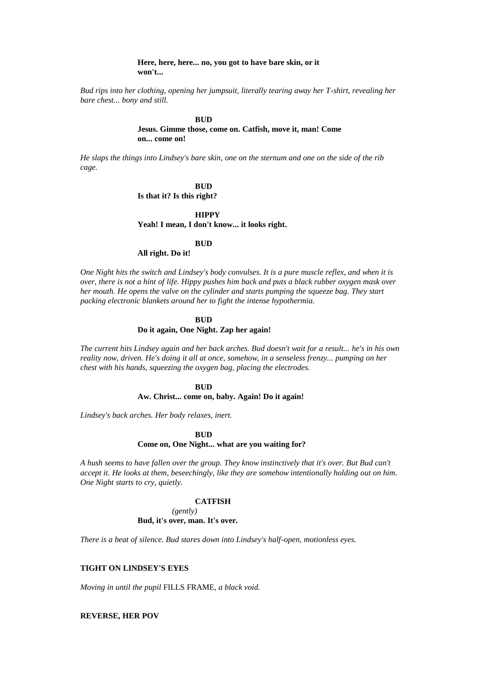### **Here, here, here... no, you got to have bare skin, or it won't...**

*Bud rips into her clothing, opening her jumpsuit, literally tearing away her T-shirt, revealing her bare chest... bony and still.*

#### **BUD**

# **Jesus. Gimme those, come on. Catfish, move it, man! Come on... come on!**

*He slaps the things into Lindsey's bare skin, one on the sternum and one on the side of the rib cage.*

> **BUD Is that it? Is this right?**

**HIPPY Yeah! I mean, I don't know... it looks right.**

# **BUD**

# **All right. Do it!**

*One Night hits the switch and Lindsey's body convulses. It is a pure muscle reflex, and when it is over, there is not a hint of life. Hippy pushes him back and puts a black rubber oxygen mask over her mouth. He opens the valve on the cylinder and starts pumping the squeeze bag. They start packing electronic blankets around her to fight the intense hypothermia.*

### **BUD**

### **Do it again, One Night. Zap her again!**

*The current hits Lindsey again and her back arches. Bud doesn't wait for a result... he's in his own reality now, driven. He's doing it all at once, somehow, in a senseless frenzy... pumping on her chest with his hands, squeezing the oxygen bag, placing the electrodes.*

# **BUD**

# **Aw. Christ... come on, baby. Again! Do it again!**

*Lindsey's back arches. Her body relaxes, inert.*

### **BUD**

#### **Come on, One Night... what are you waiting for?**

*A hush seems to have fallen over the group. They know instinctively that it's over. But Bud can't accept it. He looks at them, beseechingly, like they are somehow intentionally holding out on him. One Night starts to cry, quietly.*

#### **CATFISH**

# *(gently)* **Bud, it's over, man. It's over.**

*There is a beat of silence. Bud stares down into Lindsey's half-open, motionless eyes.*

# **TIGHT ON LINDSEY'S EYES**

*Moving in until the pupil* FILLS FRAME*, a black void.*

# **REVERSE, HER POV**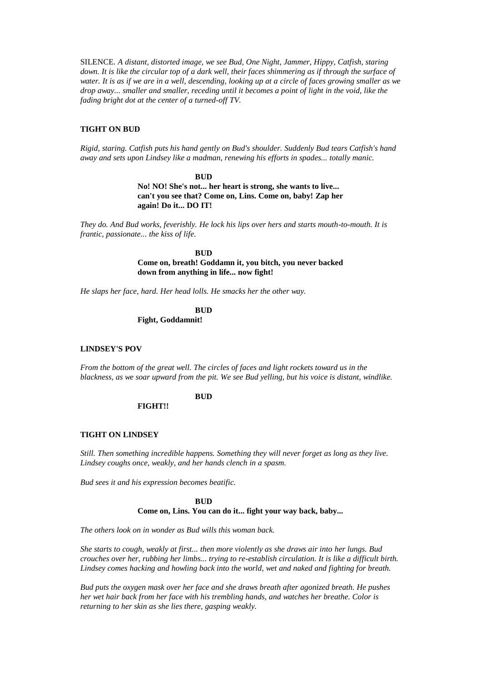SILENCE*. A distant, distorted image, we see Bud, One Night, Jammer, Hippy, Catfish, staring down. It is like the circular top of a dark well, their faces shimmering as if through the surface of water. It is as if we are in a well, descending, looking up at a circle of faces growing smaller as we drop away... smaller and smaller, receding until it becomes a point of light in the void, like the fading bright dot at the center of a turned-off TV.*

# **TIGHT ON BUD**

*Rigid, staring. Catfish puts his hand gently on Bud's shoulder. Suddenly Bud tears Catfish's hand away and sets upon Lindsey like a madman, renewing his efforts in spades... totally manic.*

#### **BUD**

**No! NO! She's not... her heart is strong, she wants to live... can't you see that? Come on, Lins. Come on, baby! Zap her again! Do it... DO IT!**

*They do. And Bud works, feverishly. He lock his lips over hers and starts mouth-to-mouth. It is frantic, passionate... the kiss of life.*

> **BUD Come on, breath! Goddamn it, you bitch, you never backed down from anything in life... now fight!**

*He slaps her face, hard. Her head lolls. He smacks her the other way.*

**BUD Fight, Goddamnit!**

# **LINDSEY'S POV**

*From the bottom of the great well. The circles of faces and light rockets toward us in the blackness, as we soar upward from the pit. We see Bud yelling, but his voice is distant, windlike.*

# **BUD**

**FIGHT!!**

### **TIGHT ON LINDSEY**

*Still. Then something incredible happens. Something they will never forget as long as they live. Lindsey coughs once, weakly, and her hands clench in a spasm.*

*Bud sees it and his expression becomes beatific.*

# **BUD Come on, Lins. You can do it... fight your way back, baby...**

*The others look on in wonder as Bud wills this woman back.*

*She starts to cough, weakly at first... then more violently as she draws air into her lungs. Bud crouches over her, rubbing her limbs... trying to re-establish circulation. It is like a difficult birth. Lindsey comes hacking and howling back into the world, wet and naked and fighting for breath.*

*Bud puts the oxygen mask over her face and she draws breath after agonized breath. He pushes her wet hair back from her face with his trembling hands, and watches her breathe. Color is returning to her skin as she lies there, gasping weakly.*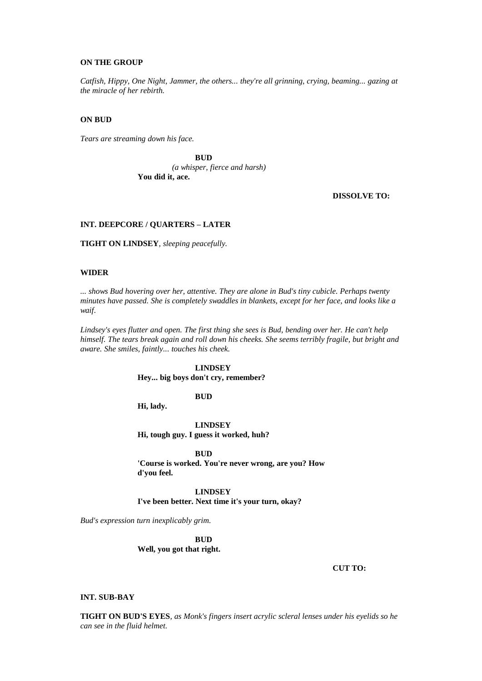### **ON THE GROUP**

*Catfish, Hippy, One Night, Jammer, the others... they're all grinning, crying, beaming... gazing at the miracle of her rebirth.*

### **ON BUD**

*Tears are streaming down his face.*

**BUD** *(a whisper, fierce and harsh)* **You did it, ace.**

**DISSOLVE TO:**

# **INT. DEEPCORE / QUARTERS – LATER**

**TIGHT ON LINDSEY***, sleeping peacefully.*

# **WIDER**

*... shows Bud hovering over her, attentive. They are alone in Bud's tiny cubicle. Perhaps twenty minutes have passed. She is completely swaddles in blankets, except for her face, and looks like a waif.*

*Lindsey's eyes flutter and open. The first thing she sees is Bud, bending over her. He can't help himself. The tears break again and roll down his cheeks. She seems terribly fragile, but bright and aware. She smiles, faintly... touches his cheek.*

### **LINDSEY**

**Hey... big boys don't cry, remember?**

**BUD**

**Hi, lady.**

**LINDSEY Hi, tough guy. I guess it worked, huh?**

**BUD**

**'Course is worked. You're never wrong, are you? How d'you feel.**

**LINDSEY I've been better. Next time it's your turn, okay?**

*Bud's expression turn inexplicably grim.*

**BUD Well, you got that right.**

**CUT TO:**

### **INT. SUB-BAY**

**TIGHT ON BUD'S EYES***, as Monk's fingers insert acrylic scleral lenses under his eyelids so he can see in the fluid helmet.*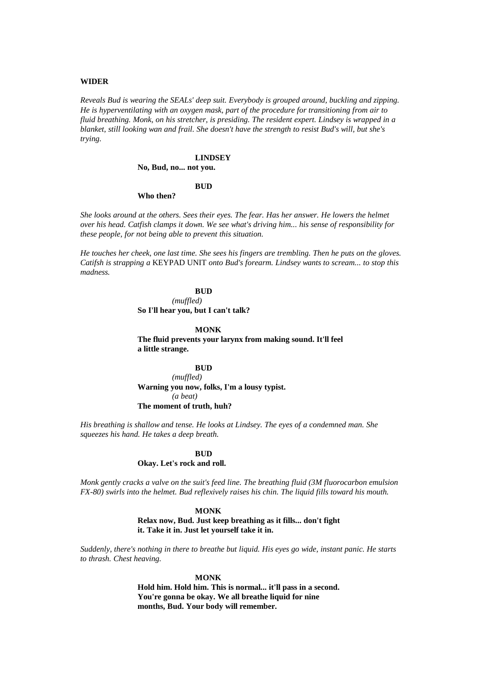### **WIDER**

*Reveals Bud is wearing the SEALs' deep suit. Everybody is grouped around, buckling and zipping. He is hyperventilating with an oxygen mask, part of the procedure for transitioning from air to fluid breathing. Monk, on his stretcher, is presiding. The resident expert. Lindsey is wrapped in a blanket, still looking wan and frail. She doesn't have the strength to resist Bud's will, but she's trying.*

### **LINDSEY No, Bud, no... not you.**

# **BUD**

# **Who then?**

*She looks around at the others. Sees their eyes. The fear. Has her answer. He lowers the helmet over his head. Catfish clamps it down. We see what's driving him... his sense of responsibility for these people, for not being able to prevent this situation.*

*He touches her cheek, one last time. She sees his fingers are trembling. Then he puts on the gloves. Catifsh is strapping a* KEYPAD UNIT *onto Bud's forearm. Lindsey wants to scream... to stop this madness.*

# **BUD**

*(muffled)* **So I'll hear you, but I can't talk?**

**MONK**

**The fluid prevents your larynx from making sound. It'll feel a little strange.**

**BUD** *(muffled)* **Warning you now, folks, I'm a lousy typist.** *(a beat)* **The moment of truth, huh?**

*His breathing is shallow and tense. He looks at Lindsey. The eyes of a condemned man. She squeezes his hand. He takes a deep breath.*

# **BUD Okay. Let's rock and roll.**

*Monk gently cracks a valve on the suit's feed line. The breathing fluid (3M fluorocarbon emulsion FX-80) swirls into the helmet. Bud reflexively raises his chin. The liquid fills toward his mouth.*

#### **MONK**

**Relax now, Bud. Just keep breathing as it fills... don't fight it. Take it in. Just let yourself take it in.**

*Suddenly, there's nothing in there to breathe but liquid. His eyes go wide, instant panic. He starts to thrash. Chest heaving.*

#### **MONK**

**Hold him. Hold him. This is normal... it'll pass in a second. You're gonna be okay. We all breathe liquid for nine months, Bud. Your body will remember.**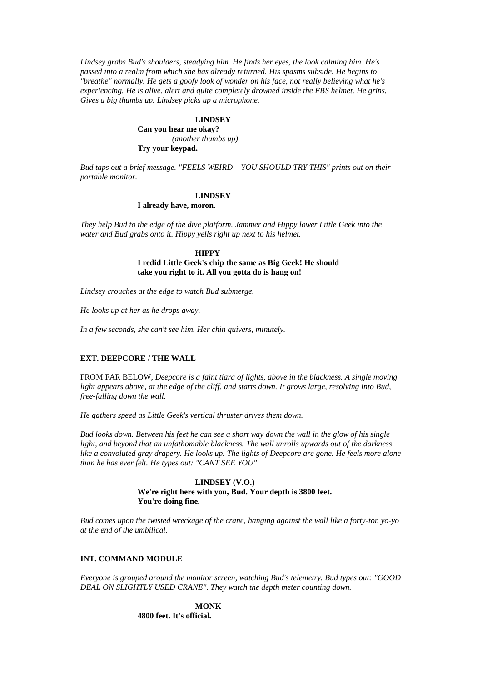*Lindsey grabs Bud's shoulders, steadying him. He finds her eyes, the look calming him. He's passed into a realm from which she has already returned. His spasms subside. He begins to "breathe" normally. He gets a goofy look of wonder on his face, not really believing what he's experiencing. He is alive, alert and quite completely drowned inside the FBS helmet. He grins. Gives a big thumbs up. Lindsey picks up a microphone.*

### **LINDSEY**

**Can you hear me okay?** *(another thumbs up)* **Try your keypad.**

*Bud taps out a brief message. "FEELS WEIRD – YOU SHOULD TRY THIS" prints out on their portable monitor.*

### **LINDSEY**

### **I already have, moron.**

*They help Bud to the edge of the dive platform. Jammer and Hippy lower Little Geek into the water and Bud grabs onto it. Hippy yells right up next to his helmet.*

> **HIPPY I redid Little Geek's chip the same as Big Geek! He should take you right to it. All you gotta do is hang on!**

*Lindsey crouches at the edge to watch Bud submerge.*

*He looks up at her as he drops away.*

*In a few seconds, she can't see him. Her chin quivers, minutely.*

# **EXT. DEEPCORE / THE WALL**

FROM FAR BELOW*, Deepcore is a faint tiara of lights, above in the blackness. A single moving light appears above, at the edge of the cliff, and starts down. It grows large, resolving into Bud, free-falling down the wall.*

*He gathers speed as Little Geek's vertical thruster drives them down.*

*Bud looks down. Between his feet he can see a short way down the wall in the glow of his single light, and beyond that an unfathomable blackness. The wall unrolls upwards out of the darkness like a convoluted gray drapery. He looks up. The lights of Deepcore are gone. He feels more alone than he has ever felt. He types out: "CANT SEE YOU"*

> **LINDSEY (V.O.) We're right here with you, Bud. Your depth is 3800 feet. You're doing fine.**

*Bud comes upon the twisted wreckage of the crane, hanging against the wall like a forty-ton yo-yo at the end of the umbilical.*

### **INT. COMMAND MODULE**

*Everyone is grouped around the monitor screen, watching Bud's telemetry. Bud types out: "GOOD DEAL ON SLIGHTLY USED CRANE". They watch the depth meter counting down.*

> **MONK 4800 feet. It's official.**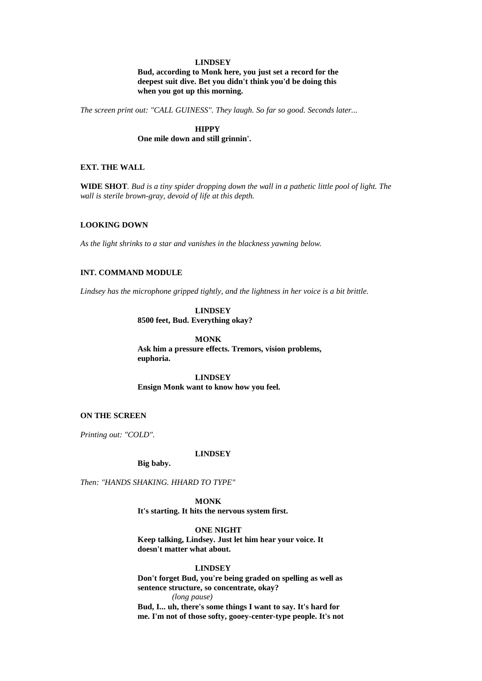# **LINDSEY**

**Bud, according to Monk here, you just set a record for the deepest suit dive. Bet you didn't think you'd be doing this when you got up this morning.**

*The screen print out: "CALL GUINESS". They laugh. So far so good. Seconds later...*

**HIPPY One mile down and still grinnin'.**

# **EXT. THE WALL**

**WIDE SHOT***. Bud is a tiny spider dropping down the wall in a pathetic little pool of light. The wall is sterile brown-gray, devoid of life at this depth.*

# **LOOKING DOWN**

*As the light shrinks to a star and vanishes in the blackness yawning below.*

# **INT. COMMAND MODULE**

*Lindsey has the microphone gripped tightly, and the lightness in her voice is a bit brittle.*

# **LINDSEY 8500 feet, Bud. Everything okay?**

**MONK Ask him a pressure effects. Tremors, vision problems, euphoria.**

**LINDSEY Ensign Monk want to know how you feel.**

### **ON THE SCREEN**

*Printing out: "COLD".*

### **LINDSEY**

**Big baby.**

*Then: "HANDS SHAKING. HHARD TO TYPE"*

**MONK It's starting. It hits the nervous system first.**

**ONE NIGHT**

**Keep talking, Lindsey. Just let him hear your voice. It doesn't matter what about.**

### **LINDSEY**

**Don't forget Bud, you're being graded on spelling as well as sentence structure, so concentrate, okay?** *(long pause)*

**Bud, I... uh, there's some things I want to say. It's hard for me. I'm not of those softy, gooey-center-type people. It's not**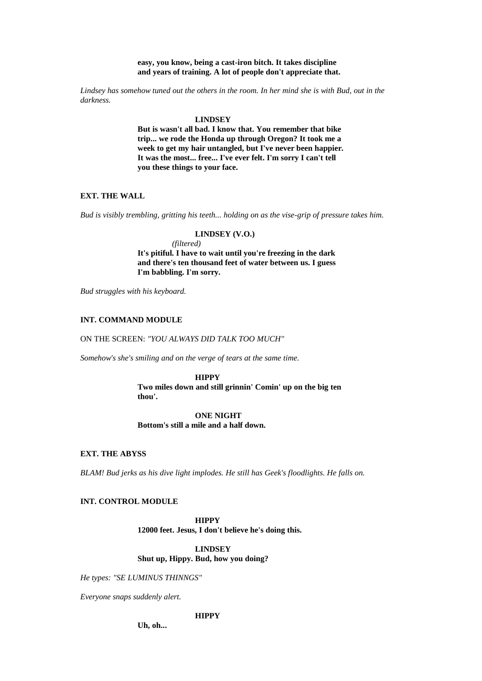**easy, you know, being a cast-iron bitch. It takes discipline and years of training. A lot of people don't appreciate that.**

*Lindsey has somehow tuned out the others in the room. In her mind she is with Bud, out in the darkness.*

#### **LINDSEY**

**But is wasn't all bad. I know that. You remember that bike trip... we rode the Honda up through Oregon? It took me a week to get my hair untangled, but I've never been happier. It was the most... free... I've ever felt. I'm sorry I can't tell you these things to your face.**

# **EXT. THE WALL**

*Bud is visibly trembling, gritting his teeth... holding on as the vise-grip of pressure takes him.*

# **LINDSEY (V.O.)** *(filtered)* **It's pitiful. I have to wait until you're freezing in the dark and there's ten thousand feet of water between us. I guess I'm babbling. I'm sorry.**

*Bud struggles with his keyboard.*

### **INT. COMMAND MODULE**

ON THE SCREEN: *"YOU ALWAYS DID TALK TOO MUCH"*

*Somehow's she's smiling and on the verge of tears at the same time.*

#### **HIPPY**

**Two miles down and still grinnin' Comin' up on the big ten thou'.**

**ONE NIGHT Bottom's still a mile and a half down.**

### **EXT. THE ABYSS**

*BLAM! Bud jerks as his dive light implodes. He still has Geek's floodlights. He falls on.*

### **INT. CONTROL MODULE**

**HIPPY 12000 feet. Jesus, I don't believe he's doing this.**

**LINDSEY Shut up, Hippy. Bud, how you doing?**

*He types: "SE LUMINUS THINNGS"*

*Everyone snaps suddenly alert.*

#### **HIPPY**

**Uh, oh...**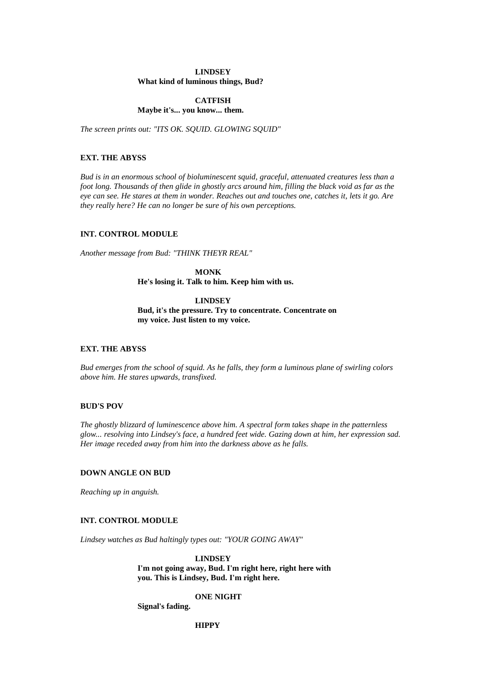# **LINDSEY What kind of luminous things, Bud?**

# **CATFISH Maybe it's... you know... them.**

*The screen prints out: "ITS OK. SQUID. GLOWING SQUID"*

# **EXT. THE ABYSS**

*Bud is in an enormous school of bioluminescent squid, graceful, attenuated creatures less than a foot long. Thousands of then glide in ghostly arcs around him, filling the black void as far as the eye can see. He stares at them in wonder. Reaches out and touches one, catches it, lets it go. Are they really here? He can no longer be sure of his own perceptions.*

# **INT. CONTROL MODULE**

*Another message from Bud: "THINK THEYR REAL"*

**MONK He's losing it. Talk to him. Keep him with us.**

# **LINDSEY Bud, it's the pressure. Try to concentrate. Concentrate on my voice. Just listen to my voice.**

# **EXT. THE ABYSS**

*Bud emerges from the school of squid. As he falls, they form a luminous plane of swirling colors above him. He stares upwards, transfixed.*

# **BUD'S POV**

*The ghostly blizzard of luminescence above him. A spectral form takes shape in the patternless glow... resolving into Lindsey's face, a hundred feet wide. Gazing down at him, her expression sad. Her image receded away from him into the darkness above as he falls.*

# **DOWN ANGLE ON BUD**

*Reaching up in anguish.*

### **INT. CONTROL MODULE**

*Lindsey watches as Bud haltingly types out: "YOUR GOING AWAY"*

### **LINDSEY**

**I'm not going away, Bud. I'm right here, right here with you. This is Lindsey, Bud. I'm right here.**

**ONE NIGHT**

**Signal's fading.**

**HIPPY**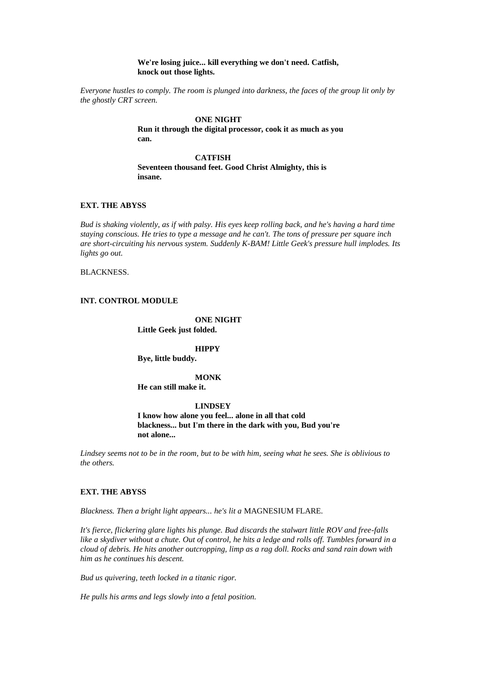# **We're losing juice... kill everything we don't need. Catfish, knock out those lights.**

*Everyone hustles to comply. The room is plunged into darkness, the faces of the group lit only by the ghostly CRT screen.*

> **ONE NIGHT Run it through the digital processor, cook it as much as you can.**

**CATFISH Seventeen thousand feet. Good Christ Almighty, this is insane.**

# **EXT. THE ABYSS**

*Bud is shaking violently, as if with palsy. His eyes keep rolling back, and he's having a hard time staying conscious. He tries to type a message and he can't. The tons of pressure per square inch are short-circuiting his nervous system. Suddenly K-BAM! Little Geek's pressure hull implodes. Its lights go out.* 

BLACKNESS.

# **INT. CONTROL MODULE**

**ONE NIGHT**

**Little Geek just folded.**

### **HIPPY**

**Bye, little buddy.**

# **MONK**

**He can still make it.**

# **LINDSEY**

**I know how alone you feel... alone in all that cold blackness... but I'm there in the dark with you, Bud you're not alone...**

*Lindsey seems not to be in the room, but to be with him, seeing what he sees. She is oblivious to the others.*

# **EXT. THE ABYSS**

*Blackness. Then a bright light appears... he's lit a* MAGNESIUM FLARE*.*

*It's fierce, flickering glare lights his plunge. Bud discards the stalwart little ROV and free-falls like a skydiver without a chute. Out of control, he hits a ledge and rolls off. Tumbles forward in a cloud of debris. He hits another outcropping, limp as a rag doll. Rocks and sand rain down with him as he continues his descent.*

*Bud us quivering, teeth locked in a titanic rigor.*

*He pulls his arms and legs slowly into a fetal position.*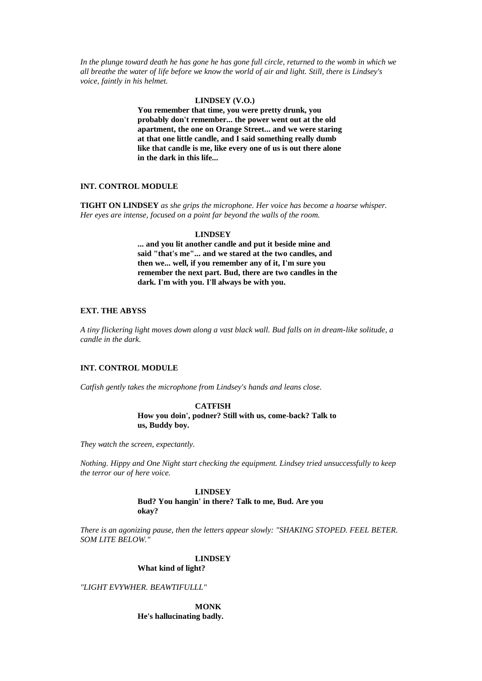*In the plunge toward death he has gone he has gone full circle, returned to the womb in which we all breathe the water of life before we know the world of air and light. Still, there is Lindsey's voice, faintly in his helmet.*

### **LINDSEY (V.O.)**

**You remember that time, you were pretty drunk, you probably don't remember... the power went out at the old apartment, the one on Orange Street... and we were staring at that one little candle, and I said something really dumb like that candle is me, like every one of us is out there alone in the dark in this life...**

# **INT. CONTROL MODULE**

**TIGHT ON LINDSEY** *as she grips the microphone. Her voice has become a hoarse whisper. Her eyes are intense, focused on a point far beyond the walls of the room.*

### **LINDSEY**

**... and you lit another candle and put it beside mine and said "that's me"... and we stared at the two candles, and then we... well, if you remember any of it, I'm sure you remember the next part. Bud, there are two candles in the dark. I'm with you. I'll always be with you.**

### **EXT. THE ABYSS**

*A tiny flickering light moves down along a vast black wall. Bud falls on in dream-like solitude, a candle in the dark.*

# **INT. CONTROL MODULE**

*Catfish gently takes the microphone from Lindsey's hands and leans close.*

# **CATFISH**

**How you doin', podner? Still with us, come-back? Talk to us, Buddy boy.**

*They watch the screen, expectantly.*

*Nothing. Hippy and One Night start checking the equipment. Lindsey tried unsuccessfully to keep the terror our of here voice.*

### **LINDSEY**

**Bud? You hangin' in there? Talk to me, Bud. Are you okay?**

*There is an agonizing pause, then the letters appear slowly: "SHAKING STOPED. FEEL BETER. SOM LITE BELOW."*

# **LINDSEY**

### **What kind of light?**

*"LIGHT EVYWHER. BEAWTIFULLL"*

**MONK He's hallucinating badly.**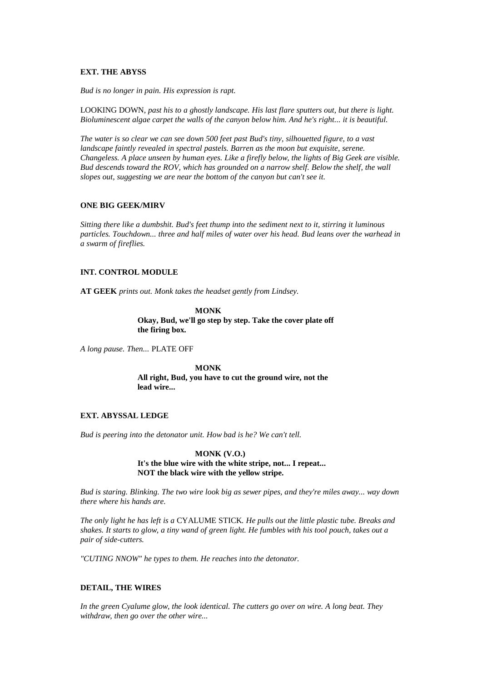# **EXT. THE ABYSS**

*Bud is no longer in pain. His expression is rapt.*

LOOKING DOWN*, past his to a ghostly landscape. His last flare sputters out, but there is light. Bioluminescent algae carpet the walls of the canyon below him. And he's right... it is beautiful.*

*The water is so clear we can see down 500 feet past Bud's tiny, silhouetted figure, to a vast landscape faintly revealed in spectral pastels. Barren as the moon but exquisite, serene. Changeless. A place unseen by human eyes. Like a firefly below, the lights of Big Geek are visible. Bud descends toward the ROV, which has grounded on a narrow shelf. Below the shelf, the wall slopes out, suggesting we are near the bottom of the canyon but can't see it.*

# **ONE BIG GEEK/MIRV**

*Sitting there like a dumbshit. Bud's feet thump into the sediment next to it, stirring it luminous particles. Touchdown... three and half miles of water over his head. Bud leans over the warhead in a swarm of fireflies.*

# **INT. CONTROL MODULE**

**AT GEEK** *prints out. Monk takes the headset gently from Lindsey.*

**MONK Okay, Bud, we'll go step by step. Take the cover plate off the firing box.**

*A long pause. Then...* PLATE OFF

**MONK All right, Bud, you have to cut the ground wire, not the lead wire...**

### **EXT. ABYSSAL LEDGE**

*Bud is peering into the detonator unit. How bad is he? We can't tell.*

**MONK (V.O.) It's the blue wire with the white stripe, not... I repeat... NOT the black wire with the yellow stripe.**

*Bud is staring. Blinking. The two wire look big as sewer pipes, and they're miles away... way down there where his hands are.*

*The only light he has left is a* CYALUME STICK*. He pulls out the little plastic tube. Breaks and shakes. It starts to glow, a tiny wand of green light. He fumbles with his tool pouch, takes out a pair of side-cutters.*

*"CUTING NNOW" he types to them. He reaches into the detonator.*

# **DETAIL, THE WIRES**

*In the green Cyalume glow, the look identical. The cutters go over on wire. A long beat. They withdraw, then go over the other wire...*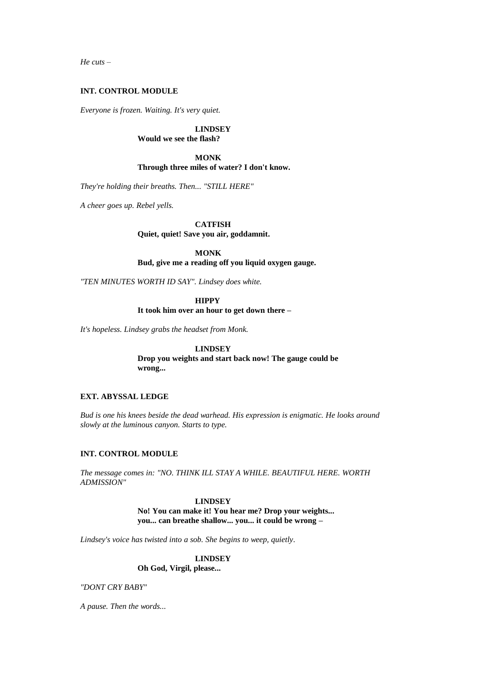*He cuts –*

### **INT. CONTROL MODULE**

*Everyone is frozen. Waiting. It's very quiet.*

**LINDSEY Would we see the flash?**

**MONK Through three miles of water? I don't know.**

*They're holding their breaths. Then... "STILL HERE"*

*A cheer goes up. Rebel yells.*

**CATFISH**

**Quiet, quiet! Save you air, goddamnit.**

**MONK**

**Bud, give me a reading off you liquid oxygen gauge.**

*"TEN MINUTES WORTH ID SAY". Lindsey does white.*

# **HIPPY**

**It took him over an hour to get down there –**

*It's hopeless. Lindsey grabs the headset from Monk.*

# **LINDSEY**

**Drop you weights and start back now! The gauge could be wrong...**

# **EXT. ABYSSAL LEDGE**

*Bud is one his knees beside the dead warhead. His expression is enigmatic. He looks around slowly at the luminous canyon. Starts to type.*

# **INT. CONTROL MODULE**

*The message comes in: "NO. THINK ILL STAY A WHILE. BEAUTIFUL HERE. WORTH ADMISSION"*

> **LINDSEY No! You can make it! You hear me? Drop your weights... you... can breathe shallow... you... it could be wrong –**

*Lindsey's voice has twisted into a sob. She begins to weep, quietly.*

# **LINDSEY Oh God, Virgil, please...**

*"DONT CRY BABY"*

*A pause. Then the words...*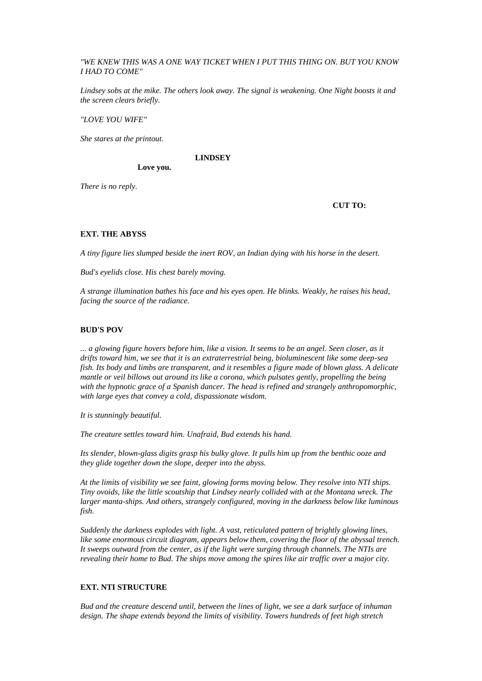# *"WE KNEW THIS WAS A ONE WAY TICKET WHEN I PUT THIS THING ON. BUT YOU KNOW I HAD TO COME"*

*Lindsey sobs at the mike. The others look away. The signal is weakening. One Night boosts it and the screen clears briefly.*

*"LOVE YOU WIFE"*

*She stares at the printout.*

**LINDSEY**

*There is no reply.*

**CUT TO:**

# **EXT. THE ABYSS**

*A tiny figure lies slumped beside the inert ROV, an Indian dying with his horse in the desert.*

*Bud's eyelids close. His chest barely moving.*

**Love you.**

*A strange illumination bathes his face and his eyes open. He blinks. Weakly, he raises his head, facing the source of the radiance.*

# **BUD'S POV**

*... a glowing figure hovers before him, like a vision. It seems to be an angel. Seen closer, as it drifts toward him, we see that it is an extraterrestrial being, bioluminescent like some deep-sea fish. Its body and limbs are transparent, and it resembles a figure made of blown glass. A delicate mantle or veil billows out around its like a corona, which pulsates gently, propelling the being with the hypnotic grace of a Spanish dancer. The head is refined and strangely anthropomorphic, with large eyes that convey a cold, dispassionate wisdom.*

*It is stunningly beautiful.*

*The creature settles toward him. Unafraid, Bud extends his hand.*

*Its slender, blown-glass digits grasp his bulky glove. It pulls him up from the benthic ooze and they glide together down the slope, deeper into the abyss.*

*At the limits of visibility we see faint, glowing forms moving below. They resolve into NTI ships. Tiny ovoids, like the little scoutship that Lindsey nearly collided with at the Montana wreck. The larger manta-ships. And others, strangely configured, moving in the darkness below like luminous fish.*

*Suddenly the darkness explodes with light. A vast, reticulated pattern of brightly glowing lines, like some enormous circuit diagram, appears below them, covering the floor of the abyssal trench. It sweeps outward from the center, as if the light were surging through channels. The NTIs are revealing their home to Bud. The ships move among the spires like air traffic over a major city.*

# **EXT. NTI STRUCTURE**

*Bud and the creature descend until, between the lines of light, we see a dark surface of inhuman design. The shape extends beyond the limits of visibility. Towers hundreds of feet high stretch*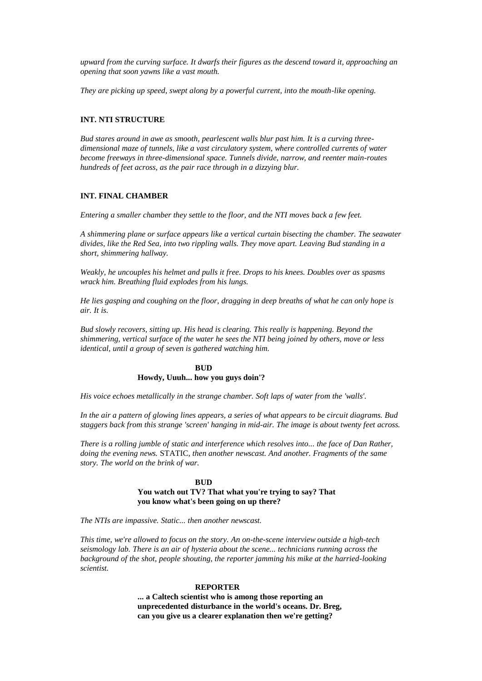*upward from the curving surface. It dwarfs their figures as the descend toward it, approaching an opening that soon yawns like a vast mouth.*

*They are picking up speed, swept along by a powerful current, into the mouth-like opening.*

# **INT. NTI STRUCTURE**

*Bud stares around in awe as smooth, pearlescent walls blur past him. It is a curving threedimensional maze of tunnels, like a vast circulatory system, where controlled currents of water become freeways in three-dimensional space. Tunnels divide, narrow, and reenter main-routes hundreds of feet across, as the pair race through in a dizzying blur.*

# **INT. FINAL CHAMBER**

*Entering a smaller chamber they settle to the floor, and the NTI moves back a few feet.*

*A shimmering plane or surface appears like a vertical curtain bisecting the chamber. The seawater divides, like the Red Sea, into two rippling walls. They move apart. Leaving Bud standing in a short, shimmering hallway.*

*Weakly, he uncouples his helmet and pulls it free. Drops to his knees. Doubles over as spasms wrack him. Breathing fluid explodes from his lungs.*

*He lies gasping and coughing on the floor, dragging in deep breaths of what he can only hope is air. It is.*

*Bud slowly recovers, sitting up. His head is clearing. This really is happening. Beyond the shimmering, vertical surface of the water he sees the NTI being joined by others, move or less identical, until a group of seven is gathered watching him.*

# **BUD Howdy, Uuuh... how you guys doin'?**

*His voice echoes metallically in the strange chamber. Soft laps of water from the 'walls'.*

*In the air a pattern of glowing lines appears, a series of what appears to be circuit diagrams. Bud staggers back from this strange 'screen' hanging in mid-air. The image is about twenty feet across.*

*There is a rolling jumble of static and interference which resolves into... the face of Dan Rather, doing the evening news.* STATIC*, then another newscast. And another. Fragments of the same story. The world on the brink of war.*

# **BUD You watch out TV? That what you're trying to say? That you know what's been going on up there?**

*The NTIs are impassive. Static... then another newscast.*

*This time, we're allowed to focus on the story. An on-the-scene interview outside a high-tech seismology lab. There is an air of hysteria about the scene... technicians running across the background of the shot, people shouting, the reporter jamming his mike at the harried-looking scientist.*

### **REPORTER**

**... a Caltech scientist who is among those reporting an unprecedented disturbance in the world's oceans. Dr. Breg, can you give us a clearer explanation then we're getting?**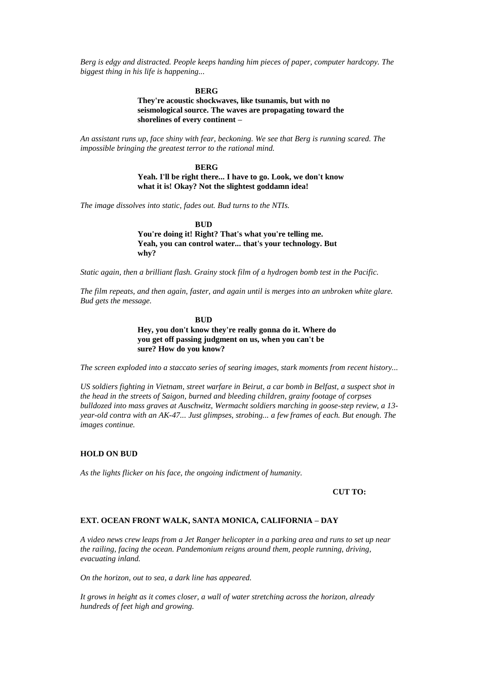*Berg is edgy and distracted. People keeps handing him pieces of paper, computer hardcopy. The biggest thing in his life is happening...*

#### **BERG**

**They're acoustic shockwaves, like tsunamis, but with no seismological source. The waves are propagating toward the shorelines of every continent –**

*An assistant runs up, face shiny with fear, beckoning. We see that Berg is running scared. The impossible bringing the greatest terror to the rational mind.*

#### **BERG**

**Yeah. I'll be right there... I have to go. Look, we don't know what it is! Okay? Not the slightest goddamn idea!**

*The image dissolves into static, fades out. Bud turns to the NTIs.*

**sure? How do you know?**

**BUD**

**You're doing it! Right? That's what you're telling me. Yeah, you can control water... that's your technology. But why?**

*Static again, then a brilliant flash. Grainy stock film of a hydrogen bomb test in the Pacific.*

*The film repeats, and then again, faster, and again until is merges into an unbroken white glare. Bud gets the message.*

> **BUD Hey, you don't know they're really gonna do it. Where do you get off passing judgment on us, when you can't be**

*The screen exploded into a staccato series of searing images, stark moments from recent history...*

*US soldiers fighting in Vietnam, street warfare in Beirut, a car bomb in Belfast, a suspect shot in the head in the streets of Saigon, burned and bleeding children, grainy footage of corpses bulldozed into mass graves at Auschwitz, Wermacht soldiers marching in goose-step review, a 13 year-old contra with an AK-47... Just glimpses, strobing... a few frames of each. But enough. The images continue.*

### **HOLD ON BUD**

*As the lights flicker on his face, the ongoing indictment of humanity.*

**CUT TO:**

# **EXT. OCEAN FRONT WALK, SANTA MONICA, CALIFORNIA – DAY**

*A video news crew leaps from a Jet Ranger helicopter in a parking area and runs to set up near the railing, facing the ocean. Pandemonium reigns around them, people running, driving, evacuating inland.*

*On the horizon, out to sea, a dark line has appeared.*

*It grows in height as it comes closer, a wall of water stretching across the horizon, already hundreds of feet high and growing.*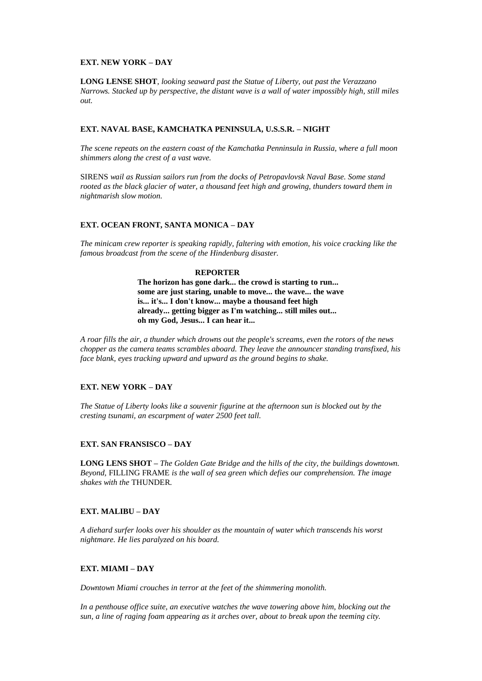### **EXT. NEW YORK – DAY**

**LONG LENSE SHOT***, looking seaward past the Statue of Liberty, out past the Verazzano Narrows. Stacked up by perspective, the distant wave is a wall of water impossibly high, still miles out.*

# **EXT. NAVAL BASE, KAMCHATKA PENINSULA, U.S.S.R. – NIGHT**

*The scene repeats on the eastern coast of the Kamchatka Penninsula in Russia, where a full moon shimmers along the crest of a vast wave.*

SIRENS *wail as Russian sailors run from the docks of Petropavlovsk Naval Base. Some stand rooted as the black glacier of water, a thousand feet high and growing, thunders toward them in nightmarish slow motion.*

# **EXT. OCEAN FRONT, SANTA MONICA – DAY**

*The minicam crew reporter is speaking rapidly, faltering with emotion, his voice cracking like the famous broadcast from the scene of the Hindenburg disaster.*

### **REPORTER**

**The horizon has gone dark... the crowd is starting to run... some are just staring, unable to move... the wave... the wave is... it's... I don't know... maybe a thousand feet high already... getting bigger as I'm watching... still miles out... oh my God, Jesus... I can hear it...**

*A roar fills the air, a thunder which drowns out the people's screams, even the rotors of the news chopper as the camera teams scrambles aboard. They leave the announcer standing transfixed, his face blank, eyes tracking upward and upward as the ground begins to shake.*

# **EXT. NEW YORK – DAY**

*The Statue of Liberty looks like a souvenir figurine at the afternoon sun is blocked out by the cresting tsunami, an escarpment of water 2500 feet tall.*

### **EXT. SAN FRANSISCO – DAY**

**LONG LENS SHOT –** *The Golden Gate Bridge and the hills of the city, the buildings downtown. Beyond,* FILLING FRAME *is the wall of sea green which defies our comprehension. The image shakes with the* THUNDER*.*

# **EXT. MALIBU – DAY**

*A diehard surfer looks over his shoulder as the mountain of water which transcends his worst nightmare. He lies paralyzed on his board.*

# **EXT. MIAMI – DAY**

*Downtown Miami crouches in terror at the feet of the shimmering monolith.*

*In a penthouse office suite, an executive watches the wave towering above him, blocking out the sun, a line of raging foam appearing as it arches over, about to break upon the teeming city.*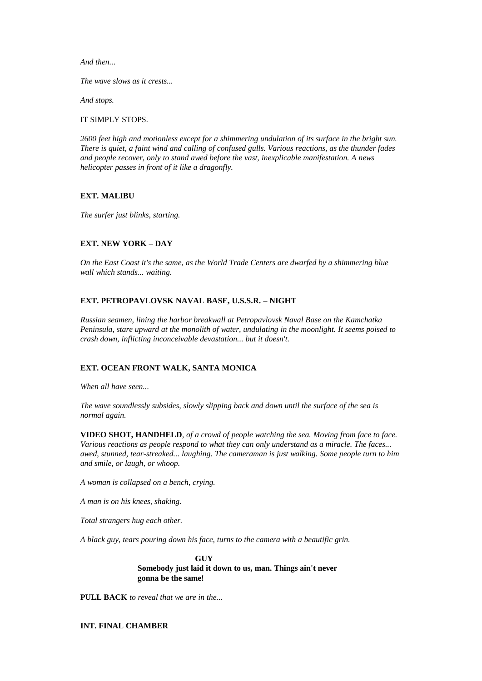*And then...*

*The wave slows as it crests...*

*And stops.*

IT SIMPLY STOPS*.*

*2600 feet high and motionless except for a shimmering undulation of its surface in the bright sun. There is quiet, a faint wind and calling of confused gulls. Various reactions, as the thunder fades and people recover, only to stand awed before the vast, inexplicable manifestation. A news helicopter passes in front of it like a dragonfly.*

# **EXT. MALIBU**

*The surfer just blinks, starting.*

# **EXT. NEW YORK – DAY**

*On the East Coast it's the same, as the World Trade Centers are dwarfed by a shimmering blue wall which stands... waiting.*

### **EXT. PETROPAVLOVSK NAVAL BASE, U.S.S.R. – NIGHT**

*Russian seamen, lining the harbor breakwall at Petropavlovsk Naval Base on the Kamchatka Peninsula, stare upward at the monolith of water, undulating in the moonlight. It seems poised to crash down, inflicting inconceivable devastation... but it doesn't.*

# **EXT. OCEAN FRONT WALK, SANTA MONICA**

*When all have seen...*

*The wave soundlessly subsides, slowly slipping back and down until the surface of the sea is normal again.*

**VIDEO SHOT, HANDHELD***, of a crowd of people watching the sea. Moving from face to face. Various reactions as people respond to what they can only understand as a miracle. The faces... awed, stunned, tear-streaked... laughing. The cameraman is just walking. Some people turn to him and smile, or laugh, or whoop.*

*A woman is collapsed on a bench, crying.*

*A man is on his knees, shaking.*

*Total strangers hug each other.*

*A black guy, tears pouring down his face, turns to the camera with a beautific grin.*

**GUY Somebody just laid it down to us, man. Things ain't never gonna be the same!**

**PULL BACK** *to reveal that we are in the...*

**INT. FINAL CHAMBER**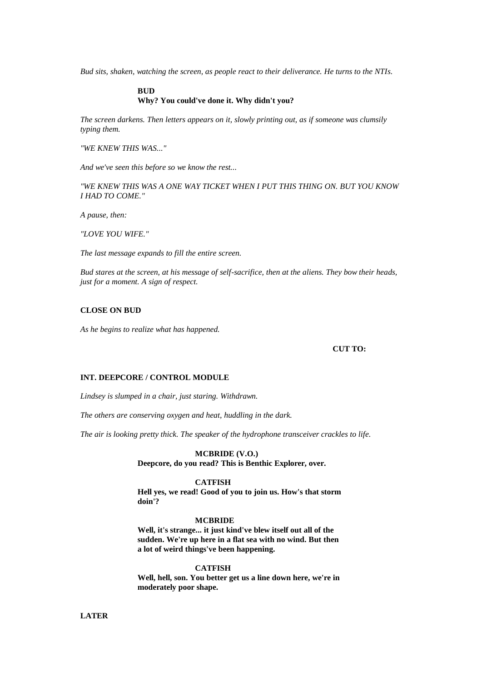*Bud sits, shaken, watching the screen, as people react to their deliverance. He turns to the NTIs.*

# **BUD Why? You could've done it. Why didn't you?**

*The screen darkens. Then letters appears on it, slowly printing out, as if someone was clumsily typing them.*

*"WE KNEW THIS WAS..."*

*And we've seen this before so we know the rest...*

*"WE KNEW THIS WAS A ONE WAY TICKET WHEN I PUT THIS THING ON. BUT YOU KNOW I HAD TO COME."*

*A pause, then:*

*"LOVE YOU WIFE."*

*The last message expands to fill the entire screen.*

*Bud stares at the screen, at his message of self-sacrifice, then at the aliens. They bow their heads, just for a moment. A sign of respect.*

### **CLOSE ON BUD**

*As he begins to realize what has happened.*

**CUT TO:**

### **INT. DEEPCORE / CONTROL MODULE**

*Lindsey is slumped in a chair, just staring. Withdrawn.*

*The others are conserving oxygen and heat, huddling in the dark.*

*The air is looking pretty thick. The speaker of the hydrophone transceiver crackles to life.*

### **MCBRIDE (V.O.)**

**Deepcore, do you read? This is Benthic Explorer, over.**

#### **CATFISH**

**Hell yes, we read! Good of you to join us. How's that storm doin'?**

### **MCBRIDE**

**Well, it's strange... it just kind've blew itself out all of the sudden. We're up here in a flat sea with no wind. But then a lot of weird things've been happening.**

# **CATFISH**

**Well, hell, son. You better get us a line down here, we're in moderately poor shape.**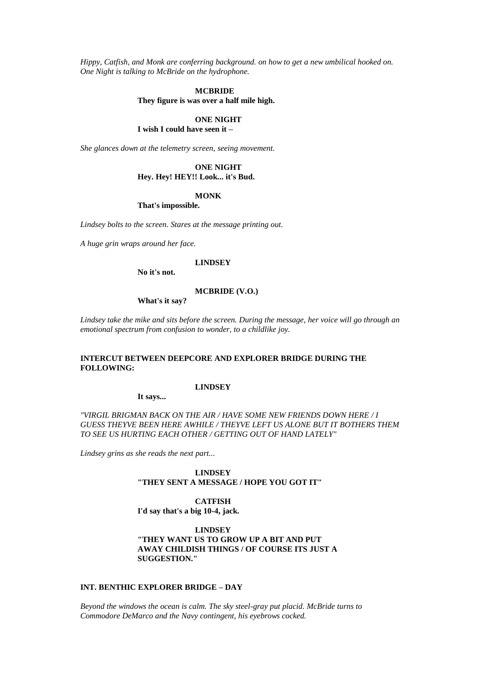*Hippy, Catfish, and Monk are conferring background. on how to get a new umbilical hooked on. One Night is talking to McBride on the hydrophone.*

#### **MCBRIDE**

**They figure is was over a half mile high.**

# **ONE NIGHT**

# **I wish I could have seen it –**

*She glances down at the telemetry screen, seeing movement.*

# **ONE NIGHT**

# **Hey. Hey! HEY!! Look... it's Bud.**

# **MONK**

**That's impossible.**

*Lindsey bolts to the screen. Stares at the message printing out.*

*A huge grin wraps around her face.*

#### **LINDSEY**

**No it's not.**

### **MCBRIDE (V.O.)**

**What's it say?**

*Lindsey take the mike and sits before the screen. During the message, her voice will go through an emotional spectrum from confusion to wonder, to a childlike joy.*

# **INTERCUT BETWEEN DEEPCORE AND EXPLORER BRIDGE DURING THE FOLLOWING:**

### **LINDSEY**

**It says...**

# *"VIRGIL BRIGMAN BACK ON THE AIR / HAVE SOME NEW FRIENDS DOWN HERE / I GUESS THEYVE BEEN HERE AWHILE / THEYVE LEFT US ALONE BUT IT BOTHERS THEM TO SEE US HURTING EACH OTHER / GETTING OUT OF HAND LATELY"*

*Lindsey grins as she reads the next part...*

# **LINDSEY "THEY SENT A MESSAGE / HOPE YOU GOT IT"**

# **CATFISH**

**I'd say that's a big 10-4, jack.**

# **LINDSEY "THEY WANT US TO GROW UP A BIT AND PUT AWAY CHILDISH THINGS / OF COURSE ITS JUST A SUGGESTION."**

# **INT. BENTHIC EXPLORER BRIDGE – DAY**

*Beyond the windows the ocean is calm. The sky steel-gray put placid. McBride turns to Commodore DeMarco and the Navy contingent, his eyebrows cocked.*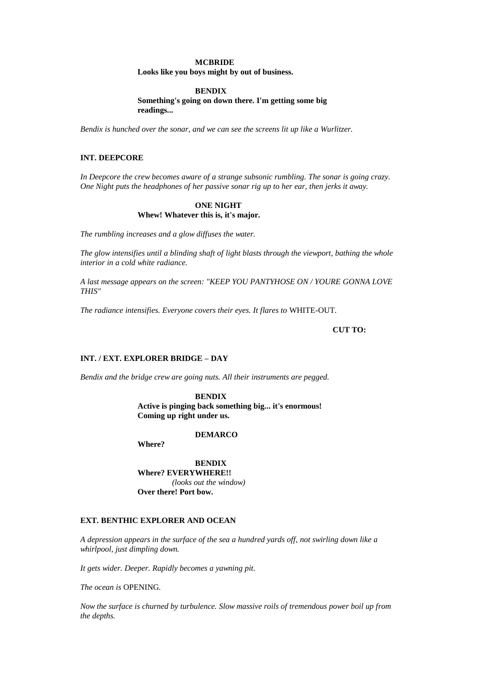### **MCBRIDE**

**Looks like you boys might by out of business.**

# **BENDIX**

**Something's going on down there. I'm getting some big readings...**

*Bendix is hunched over the sonar, and we can see the screens lit up like a Wurlitzer.*

# **INT. DEEPCORE**

*In Deepcore the crew becomes aware of a strange subsonic rumbling. The sonar is going crazy. One Night puts the headphones of her passive sonar rig up to her ear, then jerks it away.*

# **ONE NIGHT Whew! Whatever this is, it's major.**

*The rumbling increases and a glow diffuses the water.*

*The glow intensifies until a blinding shaft of light blasts through the viewport, bathing the whole interior in a cold white radiance.*

*A last message appears on the screen: "KEEP YOU PANTYHOSE ON / YOURE GONNA LOVE THIS"*

*The radiance intensifies. Everyone covers their eyes. It flares to* WHITE-OUT*.*

# **CUT TO:**

### **INT. / EXT. EXPLORER BRIDGE – DAY**

*Bendix and the bridge crew are going nuts. All their instruments are pegged.*

**BENDIX Active is pinging back something big... it's enormous! Coming up right under us.**

**DEMARCO**

**Where?**

**BENDIX Where? EVERYWHERE!!** *(looks out the window)* **Over there! Port bow.**

# **EXT. BENTHIC EXPLORER AND OCEAN**

*A depression appears in the surface of the sea a hundred yards off, not swirling down like a whirlpool, just dimpling down.*

*It gets wider. Deeper. Rapidly becomes a yawning pit.*

*The ocean is* OPENING*.*

*Now the surface is churned by turbulence. Slow massive roils of tremendous power boil up from the depths.*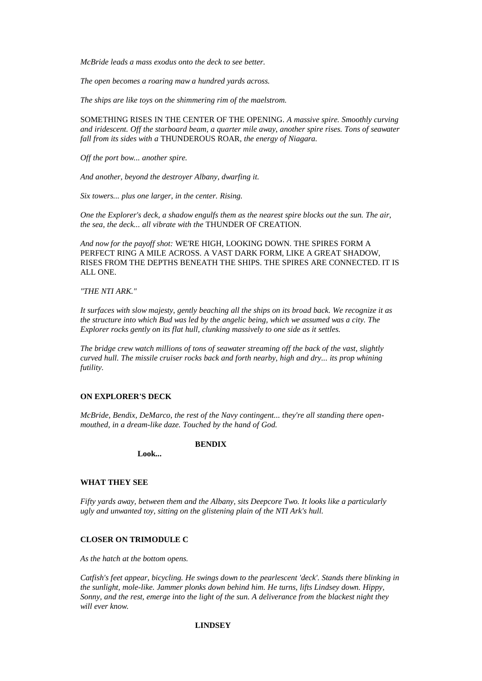*McBride leads a mass exodus onto the deck to see better.*

*The open becomes a roaring maw a hundred yards across.*

*The ships are like toys on the shimmering rim of the maelstrom.*

SOMETHING RISES IN THE CENTER OF THE OPENING*. A massive spire. Smoothly curving and iridescent. Off the starboard beam, a quarter mile away, another spire rises. Tons of seawater fall from its sides with a* THUNDEROUS ROAR*, the energy of Niagara.*

*Off the port bow... another spire.*

*And another, beyond the destroyer Albany, dwarfing it.*

*Six towers... plus one larger, in the center. Rising.*

*One the Explorer's deck, a shadow engulfs them as the nearest spire blocks out the sun. The air, the sea, the deck... all vibrate with the* THUNDER OF CREATION*.*

*And now for the payoff shot:* WE'RE HIGH, LOOKING DOWN. THE SPIRES FORM A PERFECT RING A MILE ACROSS. A VAST DARK FORM, LIKE A GREAT SHADOW, RISES FROM THE DEPTHS BENEATH THE SHIPS. THE SPIRES ARE CONNECTED. IT IS ALL ONE.

### *"THE NTI ARK."*

*It surfaces with slow majesty, gently beaching all the ships on its broad back. We recognize it as the structure into which Bud was led by the angelic being, which we assumed was a city. The Explorer rocks gently on its flat hull, clunking massively to one side as it settles.*

*The bridge crew watch millions of tons of seawater streaming off the back of the vast, slightly curved hull. The missile cruiser rocks back and forth nearby, high and dry... its prop whining futility.*

# **ON EXPLORER'S DECK**

*McBride, Bendix, DeMarco, the rest of the Navy contingent... they're all standing there openmouthed, in a dream-like daze. Touched by the hand of God.*

**BENDIX**

**Look...**

### **WHAT THEY SEE**

*Fifty yards away, between them and the Albany, sits Deepcore Two. It looks like a particularly ugly and unwanted toy, sitting on the glistening plain of the NTI Ark's hull.*

# **CLOSER ON TRIMODULE C**

*As the hatch at the bottom opens.*

*Catfish's feet appear, bicycling. He swings down to the pearlescent 'deck'. Stands there blinking in the sunlight, mole-like. Jammer plonks down behind him. He turns, lifts Lindsey down. Hippy, Sonny, and the rest, emerge into the light of the sun. A deliverance from the blackest night they will ever know.*

# **LINDSEY**